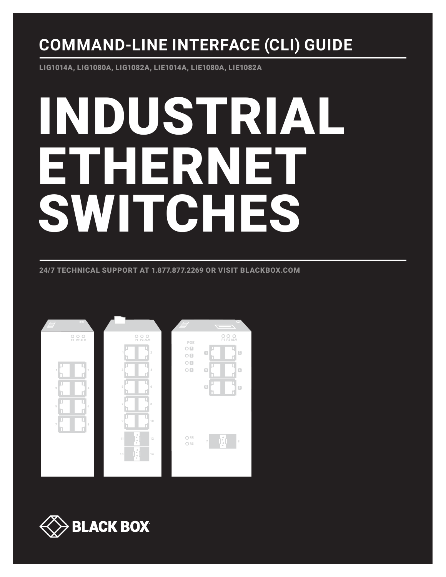## **COMMAND-LINE INTERFACE (CLI) GUIDE**

LIG1014A, LIG1080A, LIG1082A, LIE1014A, LIE1080A, LIE1082A

# INDUSTRIAL ETHERNET SWITCHES

24/7 TECHNICAL SUPPORT AT 1.877.877.2269 OR VISIT BLACKBOX.COM



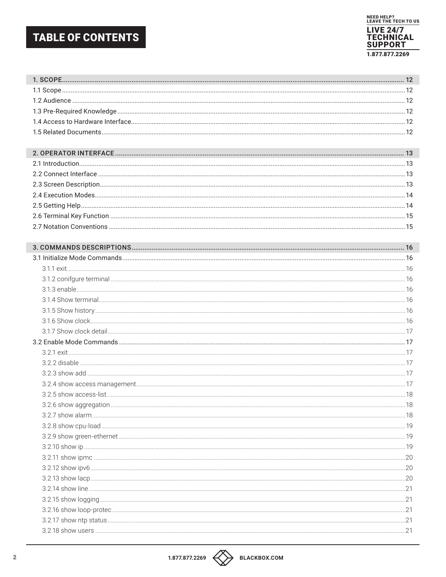## **TABLE OF CONTENTS**

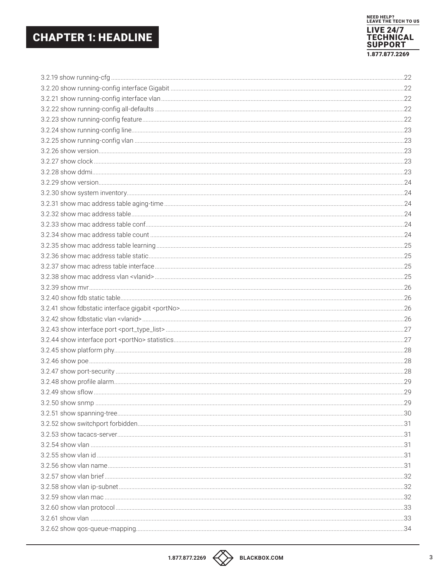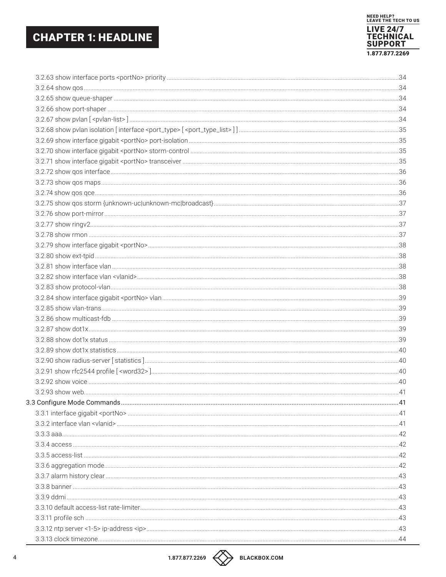

| 3.3.1 interface gigabit <portno> manuscription = 41</portno> |  |
|--------------------------------------------------------------|--|
|                                                              |  |
|                                                              |  |
|                                                              |  |
|                                                              |  |
|                                                              |  |
|                                                              |  |
|                                                              |  |
|                                                              |  |
|                                                              |  |
|                                                              |  |
|                                                              |  |
|                                                              |  |

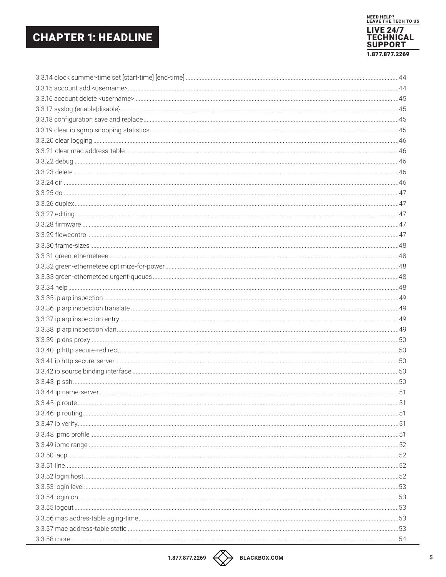L,

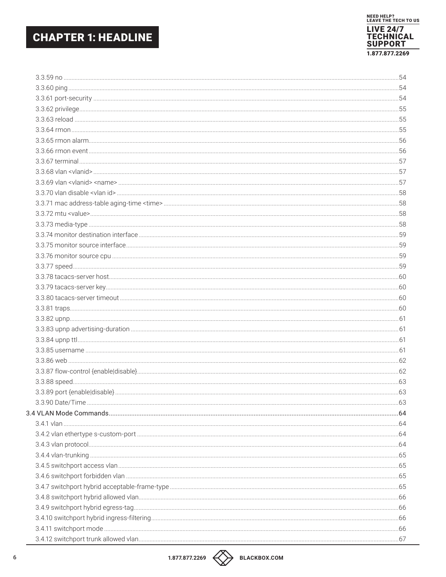

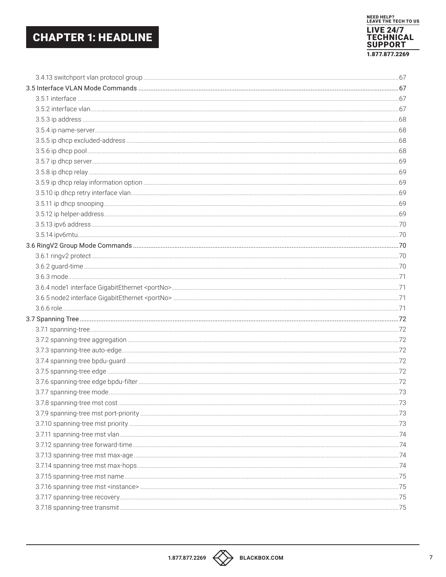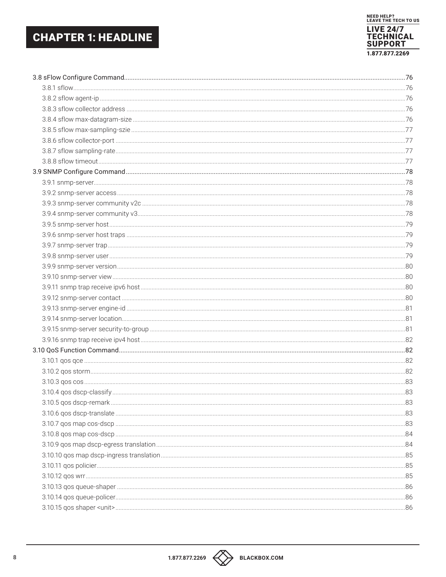

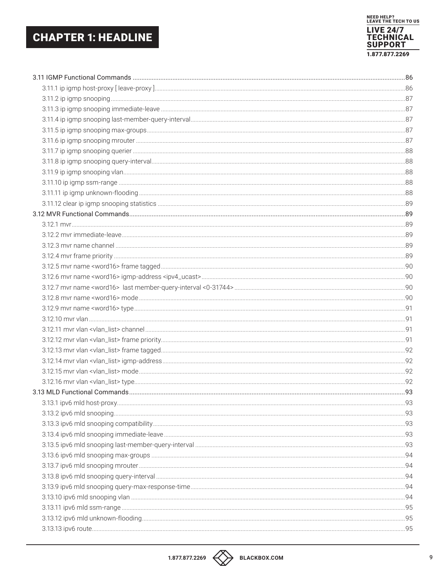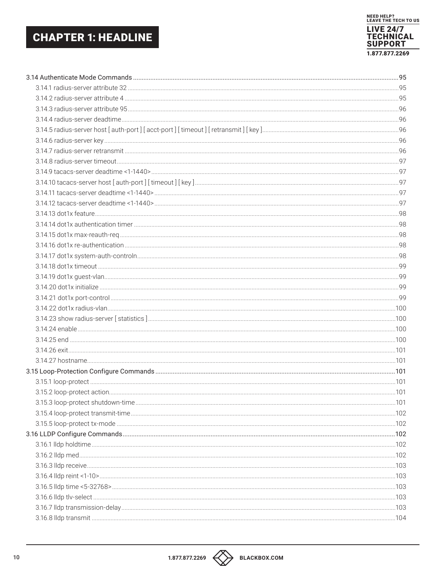

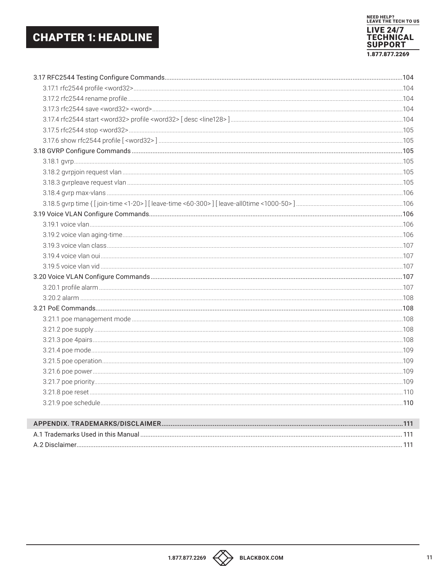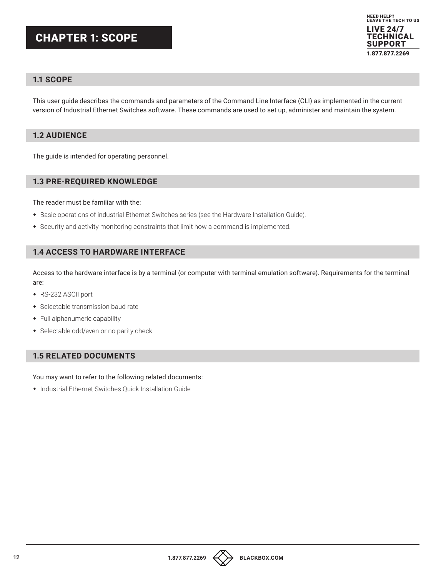## CHAPTER 1: SCOPE



#### **1.1 SCOPE**

This user guide describes the commands and parameters of the Command Line Interface (CLI) as implemented in the current version of Industrial Ethernet Switches software. These commands are used to set up, administer and maintain the system.

#### **1.2 AUDIENCE**

The guide is intended for operating personnel.

#### **1.3 PRE-REQUIRED KNOWLEDGE**

The reader must be familiar with the:

- Basic operations of industrial Ethernet Switches series (see the Hardware Installation Guide).
- Security and activity monitoring constraints that limit how a command is implemented.

#### **1.4 ACCESS TO HARDWARE INTERFACE**

Access to the hardware interface is by a terminal (or computer with terminal emulation software). Requirements for the terminal are:

- RS-232 ASCII port
- Selectable transmission baud rate
- Full alphanumeric capability
- Selectable odd/even or no parity check

#### **1.5 RELATED DOCUMENTS**

You may want to refer to the following related documents:

Industrial Ethernet Switches Quick Installation Guide

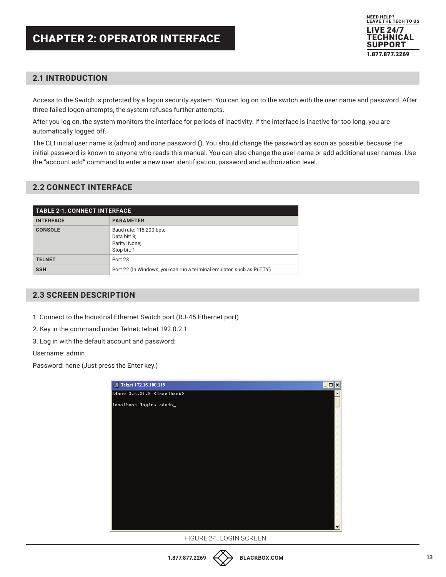

#### **2.1 INTRODUCTION**

Access to the Switch is protected by a logon security system. You can log on to the switch with the user name and password. After three failed logon attempts, the system refuses further attempts.

After you log on, the system monitors the interface for periods of inactivity. If the interface is inactive for too long, you are automatically logged off.

The CLI initial user name is (admin) and none password (). You should change the password as soon as possible, because the initial password is known to anyone who reads this manual. You can also change the user name or add additional user names. Use the "account add" command to enter a new user identification, password and authorization level.

#### **2.2 CONNECT INTERFACE**

| <b>TABLE 2-1. CONNECT INTERFACE</b> |                                                                         |
|-------------------------------------|-------------------------------------------------------------------------|
| <b>INTERFACE</b>                    | <b>PARAMETER</b>                                                        |
| <b>CONSOLE</b>                      | Baud rate: 115,200 bps;<br>Data bit: 8;<br>Parity: None;<br>Stop bit: 1 |
| <b>TELNET</b>                       | Port 23                                                                 |
| <b>SSH</b>                          | Port 22 (In Windows, you can run a terminal emulator, such as PuTTY)    |

#### **2.3 SCREEN DESCRIPTION**

1. Connect to the Industrial Ethernet Switch port (RJ-45 Ethernet port)

2. Key in the command under Telnet: telnet 192.0.2.1

3. Log in with the default account and password:

Username: admin

Password: none (Just press the Enter key.)



FIGURE 2-1. LOGIN SCREEN.

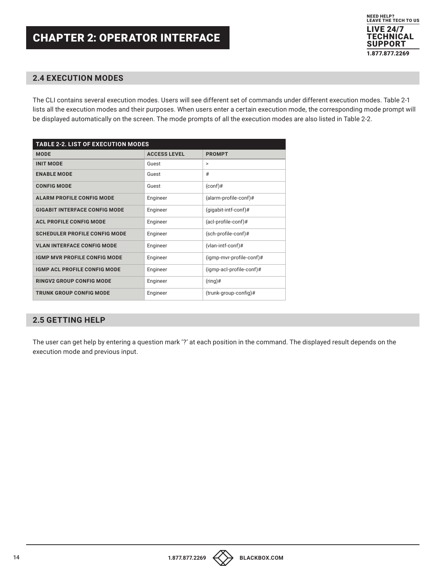

#### **2.4 EXECUTION MODES**

The CLI contains several execution modes. Users will see different set of commands under different execution modes. Table 2-1 lists all the execution modes and their purposes. When users enter a certain execution mode, the corresponding mode prompt will be displayed automatically on the screen. The mode prompts of all the execution modes are also listed in Table 2-2.

| <b>TABLE 2-2. LIST OF EXECUTION MODES</b> |                     |                          |
|-------------------------------------------|---------------------|--------------------------|
| <b>MODE</b>                               | <b>ACCESS LEVEL</b> | <b>PROMPT</b>            |
| <b>INIT MODE</b>                          | Guest               | $\geq$                   |
| <b>ENABLE MODE</b>                        | Guest               | #                        |
| <b>CONFIG MODE</b>                        | Guest               | $(conf)$ #               |
| ALARM PROFILE CONFIG MODE                 | Engineer            | (alarm-profile-conf)#    |
| <b>GIGABIT INTERFACE CONFIG MODE</b>      | Engineer            | $(gigabit-intf-conf)$ #  |
| <b>ACL PROFILE CONFIG MODE</b>            | Engineer            | (acl-profile-conf)#      |
| <b>SCHEDULER PROFILE CONFIG MODE</b>      | Engineer            | (sch-profile-conf)#      |
| <b>VLAN INTERFACE CONFIG MODE</b>         | Engineer            | (vlan-intf-conf)#        |
| IGMP MVR PROFILE CONFIG MODE              | Engineer            | (igmp-mvr-profile-conf)# |
| IGMP ACL PROFILE CONFIG MODE              | Engineer            | (igmp-acl-profile-conf)# |
| RINGV2 GROUP CONFIG MODE                  | Engineer            | $(ring)$ #               |
| <b>TRUNK GROUP CONFIG MODE</b>            | Engineer            | $(true-config)$ #        |

#### **2.5 GETTING HELP**

The user can get help by entering a question mark '?' at each position in the command. The displayed result depends on the execution mode and previous input.

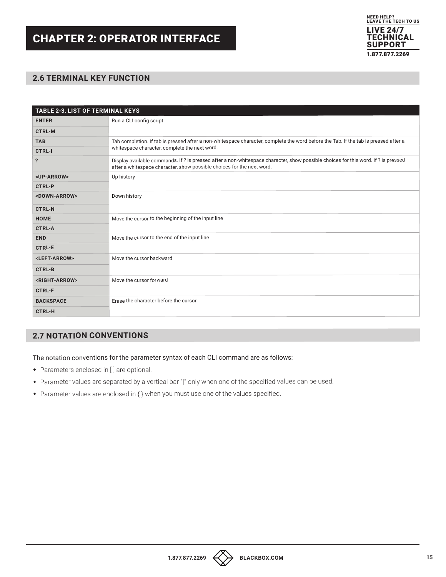## CHAPTER 2: OPERATOR INTERFACE



#### **2.6 TERMINAL KEY FUNCTION**

| <b>TABLE 2-3. LIST OF TERMINAL KEYS</b> |                                                                                                                                                                                                              |  |
|-----------------------------------------|--------------------------------------------------------------------------------------------------------------------------------------------------------------------------------------------------------------|--|
| <b>ENTER</b>                            | Run a CLI config script                                                                                                                                                                                      |  |
| <b>CTRL-M</b>                           |                                                                                                                                                                                                              |  |
| <b>TAB</b>                              | Tab completion. If tab is pressed after a non-whitespace character, complete the word before the Tab. If the tab is pressed after a                                                                          |  |
| <b>CTRL-I</b>                           | whitespace character, complete the next word.                                                                                                                                                                |  |
| $\ddot{\phantom{0}}$                    | Display available commands. If ? is pressed after a non-whitespace character, show possible choices for this word. If ? is pressed<br>after a whitespace character, show possible choices for the next word. |  |
| <up-arrow></up-arrow>                   | Up history                                                                                                                                                                                                   |  |
| <b>CTRL-P</b>                           |                                                                                                                                                                                                              |  |
| <down-arrow></down-arrow>               | Down history                                                                                                                                                                                                 |  |
| <b>CTRL-N</b>                           |                                                                                                                                                                                                              |  |
| <b>HOME</b>                             | Move the cursor to the beginning of the input line                                                                                                                                                           |  |
| <b>CTRL-A</b>                           |                                                                                                                                                                                                              |  |
| <b>END</b>                              | Move the cursor to the end of the input line                                                                                                                                                                 |  |
| <b>CTRL-E</b>                           |                                                                                                                                                                                                              |  |
| <left-arrow></left-arrow>               | Move the cursor backward                                                                                                                                                                                     |  |
| <b>CTRL-B</b>                           |                                                                                                                                                                                                              |  |
| <right-arrow></right-arrow>             | Move the cursor forward                                                                                                                                                                                      |  |
| <b>CTRL-F</b>                           |                                                                                                                                                                                                              |  |
| <b>BACKSPACE</b>                        | Erase the character before the cursor                                                                                                                                                                        |  |
| <b>CTRL-H</b>                           |                                                                                                                                                                                                              |  |

#### **2.7 NOTATION CONVENTIONS**

The notation conventions for the parameter syntax of each CLI command are as follows:

- Parameters enclosed in [ ] are optional.
- Parameter values are separated by a vertical bar "|" only when one of the specified values can be used.
- Parameter values are enclosed in { } when you must use one of the values specified.

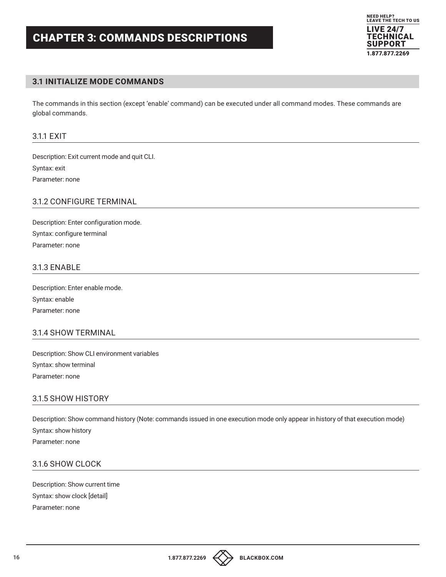

#### **3.1 INITIALIZE MODE COMMANDS**

The commands in this section (except 'enable' command) can be executed under all command modes. These commands are global commands.

#### 3.1.1 EXIT

Description: Exit current mode and quit CLI. Syntax: exit Parameter: none

#### 3.1.2 CONFIGURE TERMINAL

Description: Enter configuration mode. Syntax: configure terminal Parameter: none

#### 3.1.3 ENABLE

Description: Enter enable mode. Syntax: enable Parameter: none

#### 3.1.4 SHOW TERMINAL

Description: Show CLI environment variables Syntax: show terminal Parameter: none

#### 3.1.5 SHOW HISTORY

Description: Show command history (Note: commands issued in one execution mode only appear in history of that execution mode) Syntax: show history Parameter: none

#### 3.1.6 SHOW CLOCK

Description: Show current time Syntax: show clock [detail] Parameter: none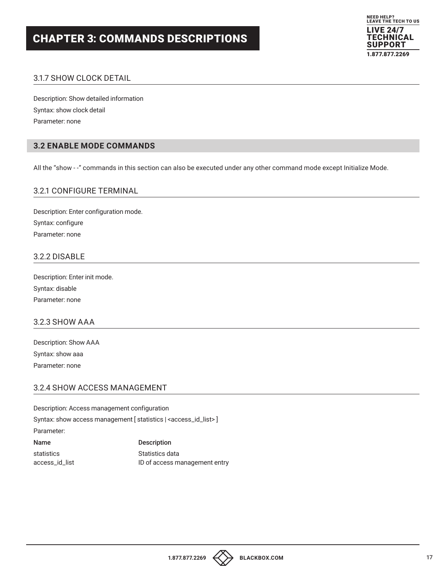

#### 3.1.7 SHOW CLOCK DETAIL

Description: Show detailed information Syntax: show clock detail Parameter: none

#### **3.2 ENABLE MODE COMMANDS**

All the "show - -" commands in this section can also be executed under any other command mode except Initialize Mode.

#### 3.2.1 CONFIGURE TERMINAL

Description: Enter configuration mode. Syntax: configure Parameter: none

#### 3.2.2 DISABLE

Description: Enter init mode. Syntax: disable Parameter: none

#### 3.2.3 SHOW AAA

Description: Show AAA Syntax: show aaa Parameter: none

#### 3.2.4 SHOW ACCESS MANAGEMENT

Description: Access management configuration

Syntax: show access management [ statistics | <access\_id\_list>]

#### Parameter:

statistics statistics of the Statistics data

Name Description

access\_id\_list **ID** of access management entry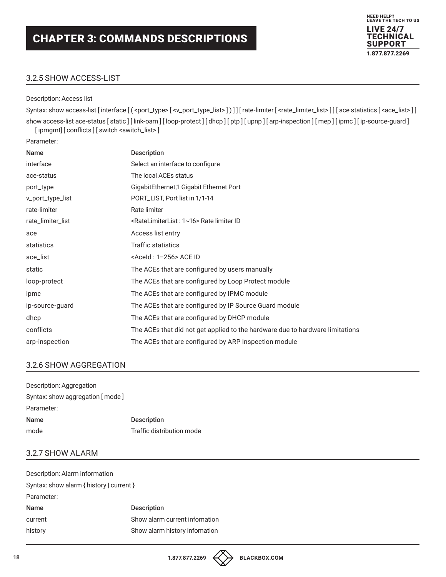#### 3.2.5 SHOW ACCESS-LIST

#### Description: Access list

Syntax: show access-list [interface [(<port\_type>[<v\_port\_type\_list>])]] [rate-limiter [<rate\_limiter\_list>]] [ace statistics [<ace\_list>]] show access-list ace-status [ static ] [ link-oam ] [ loop-protect ] [ dhcp ] [ ptp ] [ upnp ] [ arp-inspection ] [ mep ] [ ipmc ] [ ip-source-guard ]

NEED HELP? LEAVE THE TECH TO US LIVE 24/7 **TECHNICAL** SUPPORT 1.877.877.2269

[ipmgmt] [ conflicts ] [ switch <switch\_list>]

Parameter:

| <b>Name</b>       | <b>Description</b>                                                            |
|-------------------|-------------------------------------------------------------------------------|
| interface         | Select an interface to configure                                              |
| ace-status        | The local ACEs status                                                         |
| port_type         | GigabitEthernet,1 Gigabit Ethernet Port                                       |
| v_port_type_list  | PORT_LIST, Port list in 1/1-14                                                |
| rate-limiter      | Rate limiter                                                                  |
| rate_limiter_list | <ratelimiterlist: 1~16="">RatelimiterID</ratelimiterlist:>                    |
| ace               | Access list entry                                                             |
| statistics        | Traffic statistics                                                            |
| ace_list          | <aceld: 1-256=""> ACE ID</aceld:>                                             |
| static            | The ACEs that are configured by users manually                                |
| loop-protect      | The ACEs that are configured by Loop Protect module                           |
| ipmc              | The ACEs that are configured by IPMC module                                   |
| ip-source-guard   | The ACEs that are configured by IP Source Guard module                        |
| dhcp              | The ACEs that are configured by DHCP module                                   |
| conflicts         | The ACEs that did not get applied to the hardware due to hardware limitations |
| arp-inspection    | The ACEs that are configured by ARP Inspection module                         |

#### 3.2.6 SHOW AGGREGATION

| Description: Aggregation        |                           |
|---------------------------------|---------------------------|
| Syntax: show aggregation [mode] |                           |
| Parameter:                      |                           |
| Name                            | <b>Description</b>        |
| mode                            | Traffic distribution mode |

#### 3.2.7 SHOW ALARM

| Description: Alarm information           |                               |  |
|------------------------------------------|-------------------------------|--|
| Syntax: show alarm { history   current } |                               |  |
| Parameter:                               |                               |  |
| <b>Name</b>                              | <b>Description</b>            |  |
| current                                  | Show alarm current infomation |  |
| history                                  | Show alarm history infomation |  |
|                                          |                               |  |

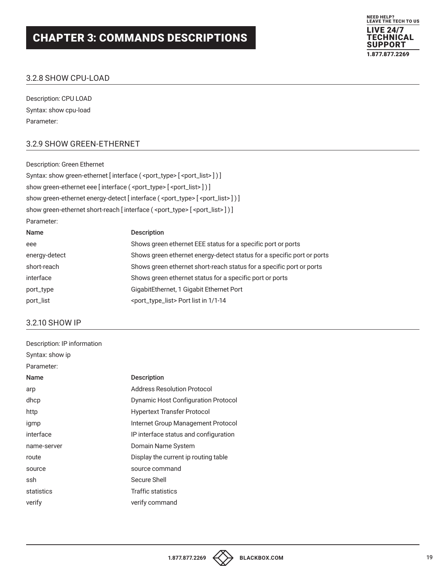

#### 3.2.8 SHOW CPU-LOAD

Description: CPU LOAD Syntax: show cpu-load Parameter:

#### 3.2.9 SHOW GREEN-ETHERNET

Description: Green Ethernet Syntax: show green-ethernet [interface ( <port\_type> [ <port\_list>] ) ] show green-ethernet eee [interface ( <port\_type> [ <port\_list> ] ) ] show green-ethernet energy-detect [interface ( <port\_type> [ <port\_list>]) ] show green-ethernet short-reach [interface (<port\_type> [<port\_list>]) ] Parameter: Name Description eee Shows green ethernet EEE status for a specific port or ports energy-detect Shows green ethernet energy-detect status for a specific port or ports short-reach Shows green ethernet short-reach status for a specific port or ports interface Shows green ethernet status for a specific port or ports port\_type GigabitEthernet, 1 Gigabit Ethernet Port

#### 3.2.10 SHOW IP

| Description: IP information |                                            |
|-----------------------------|--------------------------------------------|
| Syntax: show ip             |                                            |
| Parameter:                  |                                            |
| <b>Name</b>                 | <b>Description</b>                         |
| arp                         | <b>Address Resolution Protocol</b>         |
| dhcp                        | <b>Dynamic Host Configuration Protocol</b> |
| http                        | <b>Hypertext Transfer Protocol</b>         |
| igmp                        | Internet Group Management Protocol         |
| interface                   | IP interface status and configuration      |
| name-server                 | Domain Name System                         |
| route                       | Display the current ip routing table       |
| source                      | source command                             |
| ssh                         | Secure Shell                               |
| statistics                  | Traffic statistics                         |
| verify                      | verify command                             |
|                             |                                            |

port\_list <port\_type\_list> Port list in 1/1-14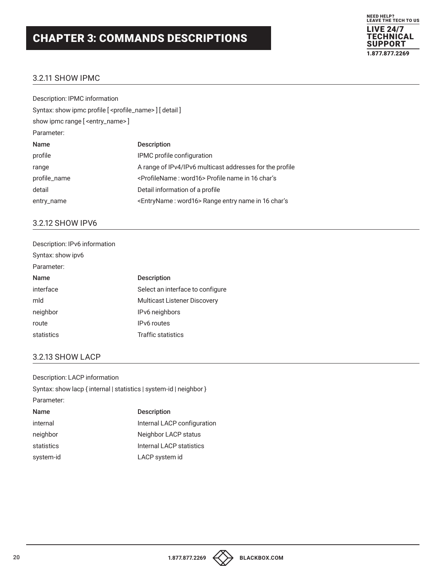

#### 3.2.11 SHOW IPMC

| Description: IPMC information                                          |                                                                   |
|------------------------------------------------------------------------|-------------------------------------------------------------------|
| Syntax: show ipmc profile [ <profile_name> ] [ detail ]</profile_name> |                                                                   |
| show ipmc range [ <entry_name> ]</entry_name>                          |                                                                   |
| Parameter:                                                             |                                                                   |
| Name                                                                   | <b>Description</b>                                                |
| profile                                                                | IPMC profile configuration                                        |
| range                                                                  | A range of IPv4/IPv6 multicast addresses for the profile          |
| profile_name                                                           | <profilename: word16=""> Profile name in 16 char's</profilename:> |
| detail                                                                 | Detail information of a profile                                   |
| entry_name                                                             | <entryname: word16=""> Range entry name in 16 char's</entryname:> |
|                                                                        |                                                                   |

#### 3.2.12 SHOW IPV6

| Description: IPv6 information |                                     |
|-------------------------------|-------------------------------------|
| Syntax: show ipv6             |                                     |
| Parameter:                    |                                     |
| <b>Name</b>                   | <b>Description</b>                  |
| interface                     | Select an interface to configure    |
| mld                           | <b>Multicast Listener Discovery</b> |
| neighbor                      | IPv6 neighbors                      |
| route                         | <b>IPv6</b> routes                  |
| statistics                    | Traffic statistics                  |

#### 3.2.13 SHOW LACP

Description: LACP information Syntax: show lacp { internal | statistics | system-id | neighbor } Parameter: Name Description internal internal LACP configuration neighbor Neighbor LACP status statistics **Internal LACP** statistics system-id LACP system id

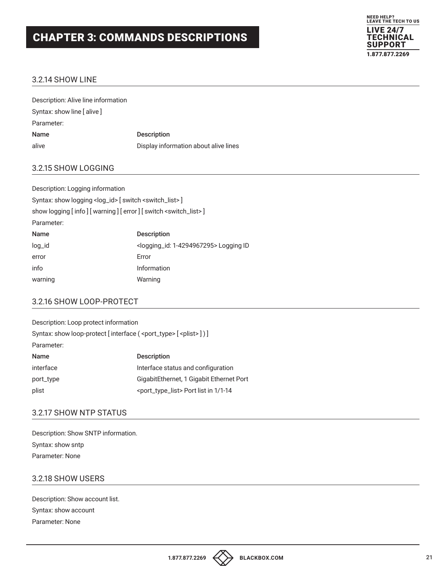

#### 3.2.14 SHOW LINE

| Description: Alive line information |                                       |
|-------------------------------------|---------------------------------------|
| Syntax: show line [alive]           |                                       |
| Parameter:                          |                                       |
| <b>Name</b>                         | <b>Description</b>                    |
| alive                               | Display information about alive lines |

#### 3.2.15 SHOW LOGGING

| Description: Logging information                                             |                                                        |
|------------------------------------------------------------------------------|--------------------------------------------------------|
| Syntax: show logging <log_id> [ switch <switch_list>]</switch_list></log_id> |                                                        |
| show logging [info] [warning] [error] [switch < switch_list > ]              |                                                        |
| Parameter:                                                                   |                                                        |
| <b>Name</b>                                                                  | <b>Description</b>                                     |
| $log_id$                                                                     | <logging_id: 1-4294967295=""> Logging ID</logging_id:> |
| error                                                                        | Error                                                  |
| info                                                                         | Information                                            |
| warning                                                                      | Warning                                                |

#### 3.2.16 SHOW LOOP-PROTECT

| Description: Loop protect information                                              |                                                       |
|------------------------------------------------------------------------------------|-------------------------------------------------------|
| Syntax: show loop-protect [interface ( <port_type> [<plist>])]</plist></port_type> |                                                       |
| Parameter:                                                                         |                                                       |
| Name                                                                               | <b>Description</b>                                    |
| interface                                                                          | Interface status and configuration                    |
| port_type                                                                          | GigabitEthernet, 1 Gigabit Ethernet Port              |
| plist                                                                              | <port_type_list> Port list in 1/1-14</port_type_list> |

#### 3.2.17 SHOW NTP STATUS

| Description: Show SNTP information. |
|-------------------------------------|
| Syntax: show sntp                   |
| Parameter: None                     |

#### 3.2.18 SHOW USERS

Description: Show account list. Syntax: show account Parameter: None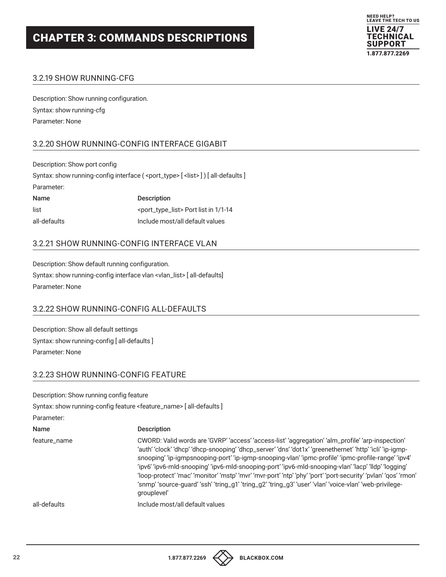

#### 3.2.19 SHOW RUNNING-CFG

Description: Show running configuration. Syntax: show running-cfg Parameter: None

#### 3.2.20 SHOW RUNNING-CONFIG INTERFACE GIGABIT

Description: Show port config Syntax: show running-config interface (<port\_type> [<list>]) [all-defaults] Parameter: Name Description list <port\_type\_list> Port list in 1/1-14 all-defaults Include most/all default values

#### 3.2.21 SHOW RUNNING-CONFIG INTERFACE VLAN

Description: Show default running configuration. Syntax: show running-config interface vlan <vlan\_list> [ all-defaults] Parameter: None

#### 3.2.22 SHOW RUNNING-CONFIG ALL-DEFAULTS

Description: Show all default settings Syntax: show running-config [ all-defaults ] Parameter: None

#### 3.2.23 SHOW RUNNING-CONFIG FEATURE

Description: Show running config feature

Syntax: show running-config feature <feature\_name> [ all-defaults ]

Parameter:

| <b>Name</b>  | <b>Description</b>                                                                                                                                                                                                                                                                                                                                                                                                                                                                                                                                                                                                                                                        |
|--------------|---------------------------------------------------------------------------------------------------------------------------------------------------------------------------------------------------------------------------------------------------------------------------------------------------------------------------------------------------------------------------------------------------------------------------------------------------------------------------------------------------------------------------------------------------------------------------------------------------------------------------------------------------------------------------|
| feature_name | CWORD: Valid words are 'GVRP' 'access' 'access-list' 'aggregation' 'alm_profile' 'arp-inspection'<br>'auth' 'clock' 'dhcp' 'dhcp-snooping' 'dhcp_server' 'dns' 'dot1x' 'greenethernet' 'http' 'icli' 'ip-igmp-<br>snooping' 'ip-igmpsnooping-port' 'ip-igmp-snooping-vlan' 'ipmc-profile' 'ipmc-profile-range' 'ipv4'<br>'ipv6' 'ipv6-mld-snooping' 'ipv6-mld-snooping-port' 'ipv6-mld-snooping-vlan' 'lacp' 'lldp' 'logging'<br>'loop-protect' 'mac' 'monitor' 'mstp' 'mvr' 'mvr-port' 'ntp' 'phy' 'port' 'port-security' 'pvlan' 'qos' 'rmon'<br>'snmp' 'source-guard' 'ssh' 'tring_g1' 'tring_g2' 'tring_g3' 'user' 'vlan' 'voice-vlan' 'web-privilege-<br>grouplevel' |
| all-defaults | Include most/all default values                                                                                                                                                                                                                                                                                                                                                                                                                                                                                                                                                                                                                                           |



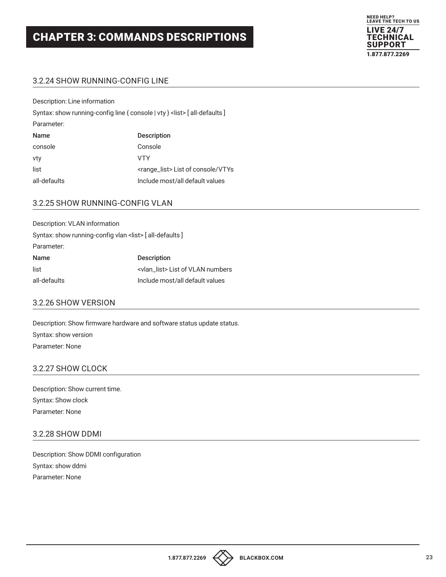

#### 3.2.24 SHOW RUNNING-CONFIG LINE

Description: Line information

|              | Syntax: show running-config line { console   vty } <list> [all-defaults ]</list> |
|--------------|----------------------------------------------------------------------------------|
| Parameter:   |                                                                                  |
| Name         | <b>Description</b>                                                               |
| console      | Console                                                                          |
| vty          | VTY                                                                              |
| list         | <range_list> List of console/VTYs</range_list>                                   |
| all-defaults | Include most/all default values                                                  |

#### 3.2.25 SHOW RUNNING-CONFIG VLAN

| Description: VLAN information |                                                               |
|-------------------------------|---------------------------------------------------------------|
|                               | Syntax: show running-config vlan <list> [all-defaults]</list> |
| Parameter:                    |                                                               |
| Name                          | <b>Description</b>                                            |
| list                          | <vlan_list> List of VLAN numbers</vlan_list>                  |
| all-defaults                  | Include most/all default values                               |

#### 3.2.26 SHOW VERSION

Description: Show firmware hardware and software status update status. Syntax: show version Parameter: None

#### 3.2.27 SHOW CLOCK

Description: Show current time. Syntax: Show clock Parameter: None

#### 3.2.28 SHOW DDMI

Description: Show DDMI configuration Syntax: show ddmi Parameter: None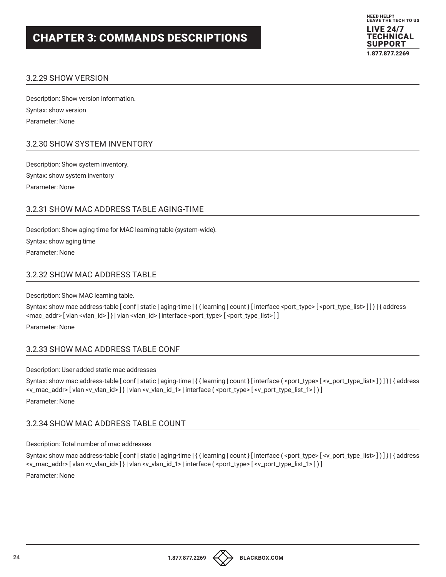

#### 3.2.29 SHOW VERSION

Description: Show version information. Syntax: show version Parameter: None

#### 3.2.30 SHOW SYSTEM INVENTORY

Description: Show system inventory. Syntax: show system inventory Parameter: None

#### 3.2.31 SHOW MAC ADDRESS TABLE AGING-TIME

Description: Show aging time for MAC learning table (system-wide). Syntax: show aging time Parameter: None

#### 3.2.32 SHOW MAC ADDRESS TABLE

Description: Show MAC learning table.

Syntax: show mac address-table [conf | static | aging-time | { { learning | count } [ interface <port\_type> [ <port\_type\_list>]] } | { address <mac\_addr> [vlan <vlan\_id>] } | vlan <vlan\_id> | interface <port\_type> [<port\_type\_list>] ] Parameter: None

#### 3.2.33 SHOW MAC ADDRESS TABLE CONF

Description: User added static mac addresses

Syntax: show mac address-table [conf | static | aging-time | { { learning | count } [ interface ( <port\_type> [ <v\_port\_type\_list> ] ) ] } | { address <v\_mac\_addr> [ vlan <v\_vlan\_id> ] } | vlan <v\_vlan\_id\_1> | interface ( <port\_type> [ <v\_port\_type\_list\_1> ] ) ] Parameter: None

## Description: Total number of mac addresses

3.2.34 SHOW MAC ADDRESS TABLE COUNT

Syntax: show mac address-table [conf | static | aging-time | { { learning | count } [ interface ( <port\_type> [ <v\_port\_type\_list> ] ) ] } | { address <v\_mac\_addr> [ vlan <v\_vlan\_id> ] } | vlan <v\_vlan\_id\_1> | interface ( <port\_type> [ <v\_port\_type\_list\_1> ] ) ] Parameter: None

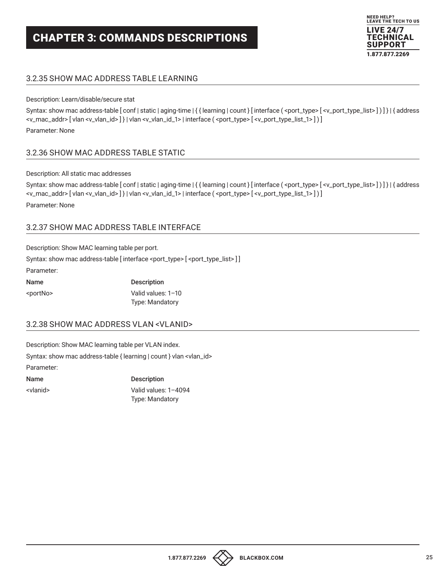

#### 3.2.35 SHOW MAC ADDRESS TABLE LEARNING

#### Description: Learn/disable/secure stat

Syntax: show mac address-table [conf | static | aging-time | { { learning | count } [ interface ( <port\_type> [ <v\_port\_type\_list> ] ) ] } | { address <v\_mac\_addr> [ vlan <v\_vlan\_id> ] } | vlan <v\_vlan\_id\_1> | interface ( <port\_type> [ <v\_port\_type\_list\_1> ] ) ] Parameter: None

#### 3.2.36 SHOW MAC ADDRESS TABLE STATIC

Description: All static mac addresses

```
Syntax: show mac address-table [conf | static | aging-time | { { learning | count } [ interface ( <port_type> [ <v_port_type_list> ] ) ] } | { address
<v_mac_addr> [ vlan <v_vlan_id> ] } | vlan <v_vlan_id_1> | interface ( <port_type> [ <v_port_type_list_1> ] ) ]
Parameter: None
```
#### 3.2.37 SHOW MAC ADDRESS TABLE INTERFACE

Description: Show MAC learning table per port.

Syntax: show mac address-table [interface <port\_type> [<port\_type\_list>]] Parameter:

| <b>Name</b>       | <b>Description</b>     |
|-------------------|------------------------|
| <portno></portno> | Valid values: 1-10     |
|                   | <b>Type: Mandatory</b> |

#### 3.2.38 SHOW MAC ADDRESS VLAN <VLANID>

Description: Show MAC learning table per VLAN index. Syntax: show mac address-table { learning | count } vlan <vlan\_id> Parameter:

Name Description

<vlanid> Valid values: 1–4094 Type: Mandatory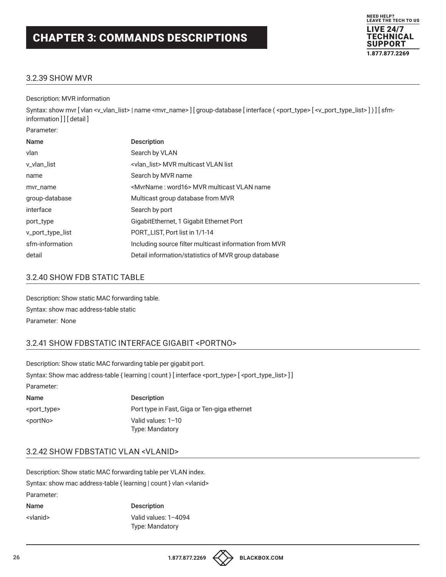

#### 3.2.39 SHOW MVR

Description: MVR information

Syntax: show mvr [vlan <v\_vlan\_list> | name <mvr\_name> ] [group-database [interface ( <port\_type> [<v\_port\_type\_list> ]) ] [sfminformation ] ] [ detail ]

| Parameter:       |                                                         |
|------------------|---------------------------------------------------------|
| Name             | <b>Description</b>                                      |
| vlan             | Search by VLAN                                          |
| v_vlan_list      | <vlan list=""> MVR multicast VLAN list</vlan>           |
| name             | Search by MVR name                                      |
| mvr_name         | <mvrname: word16=""> MVR multicast VLAN name</mvrname:> |
| group-database   | Multicast group database from MVR                       |
| interface        | Search by port                                          |
| port_type        | GigabitEthernet, 1 Gigabit Ethernet Port                |
| v_port_type_list | PORT_LIST, Port list in 1/1-14                          |
| sfm-information  | Including source filter multicast information from MVR  |
| detail           | Detail information/statistics of MVR group database     |

#### 3.2.40 SHOW FDB STATIC TABLE

Description: Show static MAC forwarding table. Syntax: show mac address-table static Parameter: None

#### 3.2.41 SHOW FDBSTATIC INTERFACE GIGABIT <PORTNO>

Description: Show static MAC forwarding table per gigabit port. Syntax: Show mac address-table { learning | count } [ interface <port\_type> [ <port\_type\_list> ] ] Parameter:

| Name                    | <b>Description</b>                           |
|-------------------------|----------------------------------------------|
| <port_type></port_type> | Port type in Fast, Giga or Ten-giga ethernet |
| <portno></portno>       | Valid values: 1-10                           |
|                         | <b>Type: Mandatory</b>                       |

#### 3.2.42 SHOW FDBSTATIC VLAN <VLANID>

Description: Show static MAC forwarding table per VLAN index. Syntax: show mac address-table { learning | count } vlan <vlanid> Parameter: Name Description <vlanid> Valid values: 1–4094 Type: Mandatory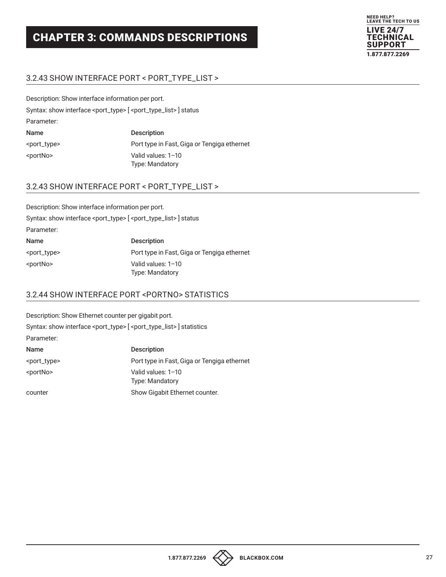

#### 3.2.43 SHOW INTERFACE PORT < PORT\_TYPE\_LIST >

Description: Show interface information per port.

Syntax: show interface <port\_type> [ <port\_type\_list> ] status

Parameter:

| Name                    | <b>Description</b>                          |
|-------------------------|---------------------------------------------|
| <port_type></port_type> | Port type in Fast, Giga or Tengiga ethernet |
| <portno></portno>       | Valid values: 1-10                          |
|                         | <b>Type: Mandatory</b>                      |

#### 3.2.43 SHOW INTERFACE PORT < PORT\_TYPE\_LIST >

| Description: Show interface information per port. |                                                                                           |
|---------------------------------------------------|-------------------------------------------------------------------------------------------|
|                                                   | Syntax: show interface <port_type> [<port_type_list>] status</port_type_list></port_type> |
| Parameter:                                        |                                                                                           |
| Name                                              | <b>Description</b>                                                                        |
| <port_type></port_type>                           | Port type in Fast, Giga or Tengiga ethernet                                               |
| <portno></portno>                                 | Valid values: 1-10<br>Type: Mandatory                                                     |

#### 3.2.44 SHOW INTERFACE PORT <PORTNO> STATISTICS

Description: Show Ethernet counter per gigabit port. Syntax: show interface <port\_type> [<port\_type\_list>] statistics Parameter: Name Description <port\_type> Port type in Fast, Giga or Tengiga ethernet <portNo> Valid values: 1–10 Type: Mandatory counter Show Gigabit Ethernet counter.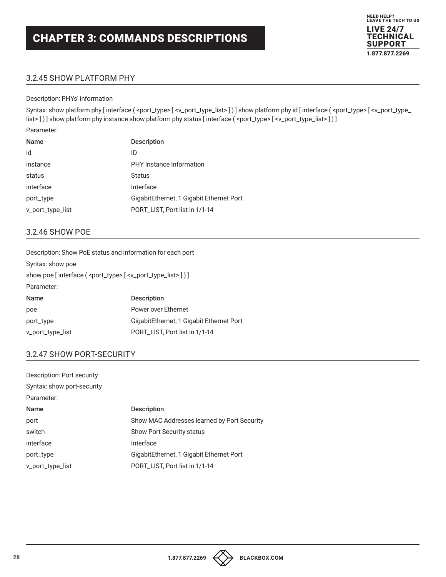#### NEED HELP? LEAVE THE TECH TO US LIVE 24/7 TECHNICAL SUPPORT 1.877.877.2269

#### 3.2.45 SHOW PLATFORM PHY

#### Description: PHYs' information

Syntax: show platform phy [interface (<port\_type>[<v\_port\_type\_list>])] show platform phy id [interface (<port\_type>[<v\_port\_type\_ list>])] show platform phy instance show platform phy status [interface (<port\_type> [<v\_port\_type\_list>])]

Parameter:

| Name             | <b>Description</b>                       |
|------------------|------------------------------------------|
| id               | ID                                       |
| instance         | PHY Instance Information                 |
| status           | <b>Status</b>                            |
| interface        | Interface                                |
| port_type        | GigabitEthernet, 1 Gigabit Ethernet Port |
| v_port_type_list | PORT_LIST, Port list in 1/1-14           |

#### 3.2.46 SHOW POE

| Description: Show PoE status and information for each port                              |                                          |
|-----------------------------------------------------------------------------------------|------------------------------------------|
| Syntax: show poe                                                                        |                                          |
| show poe [interface ( <port_type> [<v_port_type_list>])]</v_port_type_list></port_type> |                                          |
| Parameter:                                                                              |                                          |
| Name                                                                                    | <b>Description</b>                       |
| poe                                                                                     | Power over Ethernet                      |
| port_type                                                                               | GigabitEthernet, 1 Gigabit Ethernet Port |
| v_port_type_list                                                                        | PORT_LIST, Port list in 1/1-14           |
|                                                                                         |                                          |

#### 3.2.47 SHOW PORT-SECURITY

| Description: Port security |                                             |
|----------------------------|---------------------------------------------|
| Syntax: show port-security |                                             |
| Parameter:                 |                                             |
| <b>Name</b>                | <b>Description</b>                          |
| port                       | Show MAC Addresses learned by Port Security |
| switch                     | <b>Show Port Security status</b>            |
| interface                  | Interface                                   |
| port_type                  | GigabitEthernet, 1 Gigabit Ethernet Port    |
| v_port_type_list           | PORT_LIST, Port list in 1/1-14              |

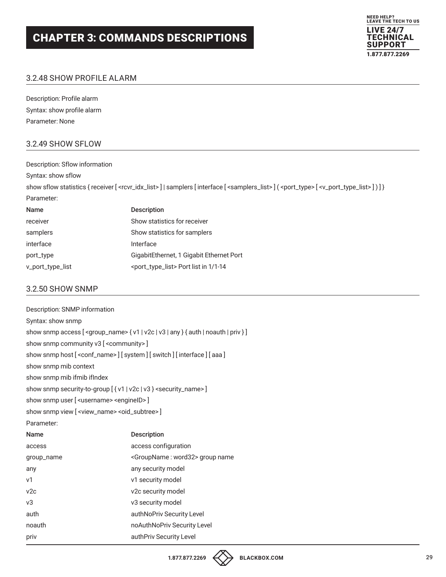

#### 3.2.48 SHOW PROFILE ALARM

Description: Profile alarm Syntax: show profile alarm Parameter: None

#### 3.2.49 SHOW SFLOW

| Description: Sflow information |                                                                                                                                                                                                         |
|--------------------------------|---------------------------------------------------------------------------------------------------------------------------------------------------------------------------------------------------------|
| Syntax: show sflow             |                                                                                                                                                                                                         |
|                                | show sflow statistics { receiver [ <rcvr_idx_list> ]   samplers [ interface [ <samplers_list> ] ( <port_type> [ <v_port_type_list> ] ] }</v_port_type_list></port_type></samplers_list></rcvr_idx_list> |
| Parameter:                     |                                                                                                                                                                                                         |
| Name                           | <b>Description</b>                                                                                                                                                                                      |

| receiver         | Show statistics for receiver                          |
|------------------|-------------------------------------------------------|
| samplers         | Show statistics for samplers                          |
| interface        | Interface                                             |
| port_type        | GigabitEthernet, 1 Gigabit Ethernet Port              |
| v_port_type_list | <port_type_list> Port list in 1/1-14</port_type_list> |

#### 3.2.50 SHOW SNMP

| Syntax: show snmp                                                              |  |
|--------------------------------------------------------------------------------|--|
| show snmp access [ <group_name>{v1 v2c v3 any}{auth noauth priv}]</group_name> |  |
| show snmp community v3 [ < community > ]                                       |  |
| show snmp host [ <conf_name>] [system] [switch] [interface] [aaa]</conf_name>  |  |
|                                                                                |  |
|                                                                                |  |
| show snmp security-to-group [ { v1   v2c   v3 } < security_name > ]            |  |
| show snmp user [ <username> <engineid>]</engineid></username>                  |  |
| show snmp view [ <view_name> <oid_subtree>]</oid_subtree></view_name>          |  |
|                                                                                |  |
| Description                                                                    |  |
| access configuration                                                           |  |
| <groupname: word32=""> group name</groupname:>                                 |  |
| any security model                                                             |  |
| v1 security model                                                              |  |
| v2c security model                                                             |  |
| v3 security model                                                              |  |
| authNoPriv Security Level                                                      |  |
| noAuthNoPriv Security Level                                                    |  |
| authPriv Security Level                                                        |  |
|                                                                                |  |

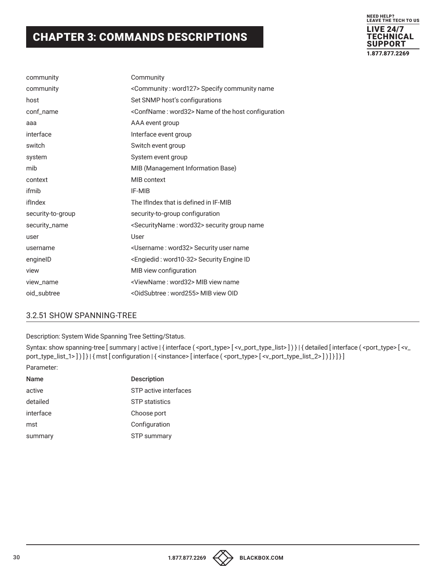

| community         | Community                                                        |
|-------------------|------------------------------------------------------------------|
| community         | <community: word127=""> Specify community name</community:>      |
| host              | Set SNMP host's configurations                                   |
| conf_name         | <confname: word32=""> Name of the host configuration</confname:> |
| aaa               | AAA event group                                                  |
| interface         | Interface event group                                            |
| switch            | Switch event group                                               |
| system            | System event group                                               |
| mib               | MIB (Management Information Base)                                |
| context           | MIB context                                                      |
| ifmib             | IF-MIB                                                           |
| ifIndex           | The IfIndex that is defined in IF-MIB                            |
| security-to-group | security-to-group configuration                                  |
| security_name     | <securityname: word32=""> security group name</securityname:>    |
| user              | User                                                             |
| username          | <username: word32=""> Security user name</username:>             |
| enginelD          | <engiedid: word10-32=""> Security Engine ID</engiedid:>          |
| view              | MIB view configuration                                           |
| view_name         | <viewname: word32=""> MIB view name</viewname:>                  |
| oid subtree       | <oidsubtree: word255=""> MIB view OID</oidsubtree:>              |

#### 3.2.51 SHOW SPANNING-TREE

Description: System Wide Spanning Tree Setting/Status.

Syntax: show spanning-tree [ summary | active | { interface ( <port\_type> [ <v\_port\_type\_list> ] ) } | { detailed [ interface ( <port\_type> [ <v\_ port\_type\_list\_1>])]} | { mst [ configuration | { <instance> [ interface ( <port\_type> [ <v\_port\_type\_list\_2>])]} ] } Parameter:

### Name Description active active active interfaces detailed STP statistics interface Choose port mst Configuration summary STP summary

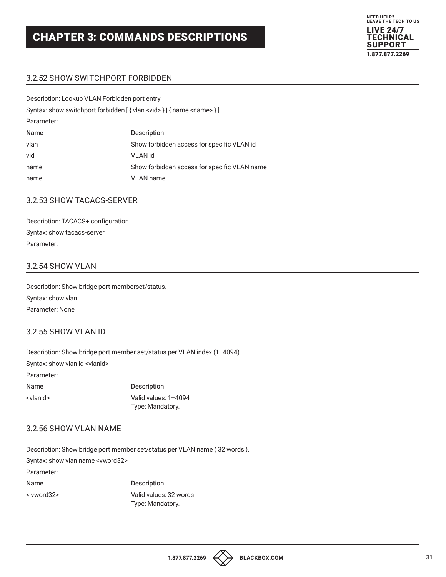

#### 3.2.52 SHOW SWITCHPORT FORBIDDEN

| Description: Lookup VLAN Forbidden port entry                                       |                                              |
|-------------------------------------------------------------------------------------|----------------------------------------------|
| Syntax: show switchport forbidden [ { vlan <vid> }   { name <name> } ]</name></vid> |                                              |
| Parameter:                                                                          |                                              |
| Name                                                                                | <b>Description</b>                           |
| vlan                                                                                | Show forbidden access for specific VLAN id   |
| vid                                                                                 | <b>VLAN</b> id                               |
| name                                                                                | Show forbidden access for specific VLAN name |
| name                                                                                | <b>VLAN</b> name                             |
|                                                                                     |                                              |

#### 3.2.53 SHOW TACACS-SERVER

Description: TACACS+ configuration Syntax: show tacacs-server Parameter:

#### 3.2.54 SHOW VLAN

Description: Show bridge port memberset/status. Syntax: show vlan Parameter: None

#### 3.2.55 SHOW VLAN ID

Description: Show bridge port member set/status per VLAN index (1–4094).

Syntax: show vlan id <vlanid>

Parameter:

Name Description <vlanid> Valid values: 1–4094 Type: Mandatory.

#### 3.2.56 SHOW VLAN NAME

Description: Show bridge port member set/status per VLAN name ( 32 words ). Syntax: show vlan name <vword32> Parameter: Name Description < vword32> Valid values: 32 words Type: Mandatory.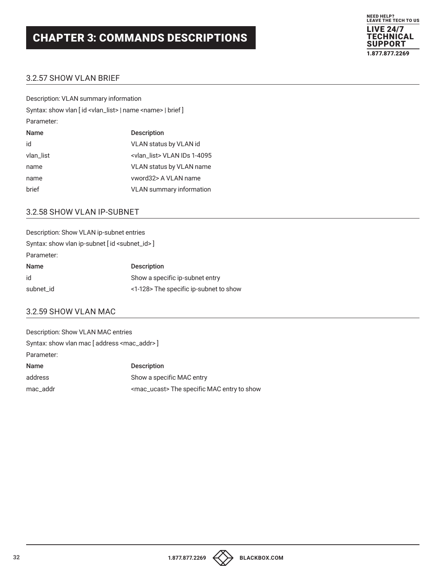

#### 3.2.57 SHOW VLAN BRIEF

| Description: VLAN summary information                                        |                                       |
|------------------------------------------------------------------------------|---------------------------------------|
| Syntax: show vlan [id <vlan_list>   name <name>   brief ]</name></vlan_list> |                                       |
| Parameter:                                                                   |                                       |
| Name                                                                         | <b>Description</b>                    |
| id                                                                           | <b>VLAN status by VLAN id</b>         |
| vlan_list                                                                    | <vlan list=""> VLAN IDs 1-4095</vlan> |
| name                                                                         | VLAN status by VLAN name              |
| name                                                                         | vword32> A VLAN name                  |
| brief                                                                        | <b>VLAN</b> summary information       |
|                                                                              |                                       |

#### 3.2.58 SHOW VLAN IP-SUBNET

| Description: Show VLAN ip-subnet entries        |
|-------------------------------------------------|
| Syntax: show vlan ip-subnet [id < subnet_id > ] |
|                                                 |
| <b>Description</b>                              |
| Show a specific ip-subnet entry                 |
| <1-128> The specific ip-subnet to show          |
|                                                 |

#### 3.2.59 SHOW VLAN MAC

| Description: Show VLAN MAC entries                    |                                                       |
|-------------------------------------------------------|-------------------------------------------------------|
| Syntax: show vlan mac [address <mac_addr>]</mac_addr> |                                                       |
| Parameter:                                            |                                                       |
| Name                                                  | <b>Description</b>                                    |
| address                                               | Show a specific MAC entry                             |
| mac addr                                              | <mac_ucast>The specific MAC entry to show</mac_ucast> |

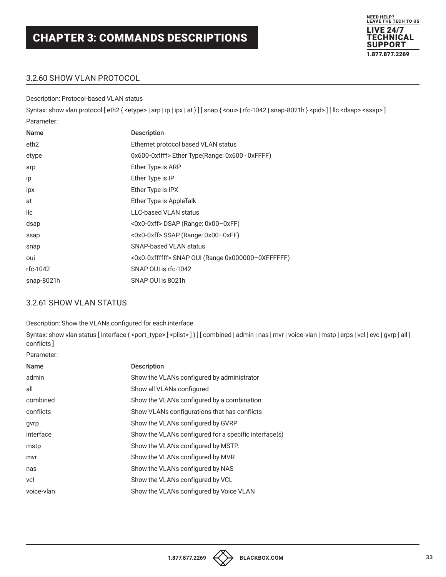

#### 3.2.60 SHOW VLAN PROTOCOL

Description: Protocol-based VLAN status

Syntax: show vlan protocol [eth2 { <etype> | arp | ip | ipx | at } ] [snap { <oui> | rfc-1042 | snap-8021h } <pid> ] [llc <dsap> <ssap>] Parameter:

| Name             | <b>Description</b>                                |
|------------------|---------------------------------------------------|
| eth <sub>2</sub> | Ethernet protocol based VLAN status               |
| etype            | 0x600-0xffff> Ether Type(Range: 0x600 - 0xFFFF)   |
| arp              | Ether Type is ARP                                 |
| ip               | Ether Type is IP                                  |
| ipx              | Ether Type is IPX                                 |
| at               | Ether Type is AppleTalk                           |
| llc              | <b>LLC-based VLAN status</b>                      |
| dsap             | <0x0-0xff>DSAP (Range: 0x00-0xFF)                 |
| ssap             | <0x0-0xff> SSAP (Range: 0x00-0xFF)                |
| snap             | SNAP-based VLAN status                            |
| oui              | <0x0-0xffffff> SNAP OUI (Range 0x000000-0XFFFFFF) |
| rfc-1042         | SNAP OUI is rfc-1042                              |
| snap-8021h       | SNAP OUI is 8021h                                 |

#### 3.2.61 SHOW VLAN STATUS

Description: Show the VLANs configured for each interface

Syntax: show vlan status [interface (<port\_type> [<plist>])] [combined | admin | nas | mvr | voice-vlan | mstp | erps | vcl | evc | gvrp | all | conflicts ]

Parameter:

| Name       | <b>Description</b>                                    |
|------------|-------------------------------------------------------|
| admin      | Show the VLANs configured by administrator            |
| all        | Show all VLANs configured                             |
| combined   | Show the VLANs configured by a combination            |
| conflicts  | Show VLANs configurations that has conflicts          |
| gvrp       | Show the VLANs configured by GVRP                     |
| interface  | Show the VLANs configured for a specific interface(s) |
| mstp       | Show the VLANs configured by MSTP.                    |
| mvr        | Show the VLANs configured by MVR                      |
| nas        | Show the VLANs configured by NAS                      |
| vcl        | Show the VLANs configured by VCL                      |
| voice-vlan | Show the VLANs configured by Voice VLAN               |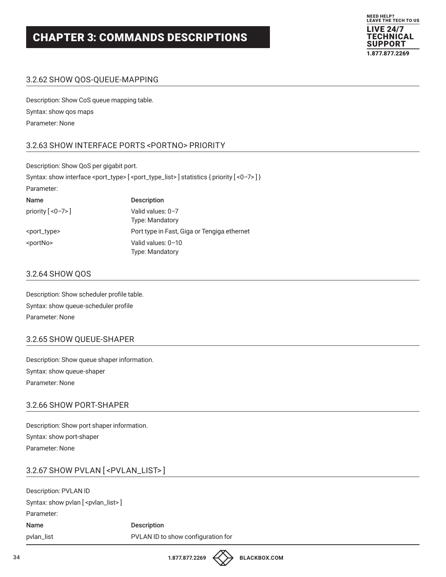

#### 3.2.62 SHOW QOS-QUEUE-MAPPING

Description: Show CoS queue mapping table. Syntax: show qos maps Parameter: None

#### 3.2.63 SHOW INTERFACE PORTS <PORTNO> PRIORITY

Description: Show QoS per gigabit port.

Syntax: show interface <port\_type> [<port\_type\_list>] statistics { priority [<0-7>] }

| <b>Description</b>                           |
|----------------------------------------------|
| Valid values: 0-7<br><b>Type: Mandatory</b>  |
| Port type in Fast, Giga or Tengiga ethernet  |
| Valid values: 0-10<br><b>Type: Mandatory</b> |
|                                              |

#### 3.2.64 SHOW QOS

Description: Show scheduler profile table. Syntax: show queue-scheduler profile Parameter: None

#### 3.2.65 SHOW QUEUE-SHAPER

Description: Show queue shaper information. Syntax: show queue-shaper Parameter: None

#### 3.2.66 SHOW PORT-SHAPER

Description: Show port shaper information. Syntax: show port-shaper Parameter: None

#### 3.2.67 SHOW PVLAN [ <PVLAN\_LIST> ]

Description: PVLAN ID Syntax: show pvlan [ <pvlan\_list> ] Parameter: Name Description pvlan\_list PVLAN ID to show configuration for

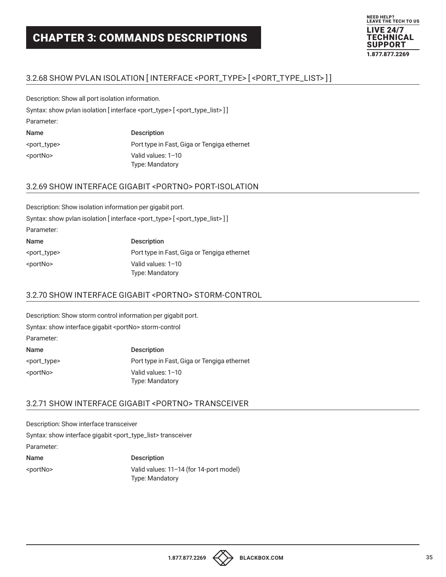

#### 3.2.68 SHOW PVLAN ISOLATION [ INTERFACE <PORT\_TYPE> [ <PORT\_TYPE\_LIST> ] ]

Description: Show all port isolation information.

Syntax: show pvlan isolation [interface <port\_type> [<port\_type\_list>]]

Parameter:

| Name                    | <b>Description</b>                          |
|-------------------------|---------------------------------------------|
| <port_type></port_type> | Port type in Fast, Giga or Tengiga ethernet |
| <portno></portno>       | Valid values: 1-10                          |
|                         | <b>Type: Mandatory</b>                      |

#### 3.2.69 SHOW INTERFACE GIGABIT <PORTNO> PORT-ISOLATION

|                         | Description: Show isolation information per gigabit port.                                            |
|-------------------------|------------------------------------------------------------------------------------------------------|
|                         | Syntax: show pvlan isolation [interface <port_type> [<port_type_list>]]</port_type_list></port_type> |
| Parameter:              |                                                                                                      |
| Name                    | <b>Description</b>                                                                                   |
| <port_type></port_type> | Port type in Fast, Giga or Tengiga ethernet                                                          |
| <portno></portno>       | Valid values: 1-10<br>Type: Mandatory                                                                |

#### 3.2.70 SHOW INTERFACE GIGABIT <PORTNO> STORM-CONTROL

Description: Show storm control information per gigabit port. Syntax: show interface gigabit <portNo> storm-control Parameter: Name Description <port\_type> Port type in Fast, Giga or Tengiga ethernet <portNo> Valid values: 1–10 Type: Mandatory

#### 3.2.71 SHOW INTERFACE GIGABIT <PORTNO> TRANSCEIVER

Description: Show interface transceiver Syntax: show interface gigabit <port\_type\_list> transceiver Parameter: Name Description <portNo> Valid values: 11–14 (for 14-port model) Type: Mandatory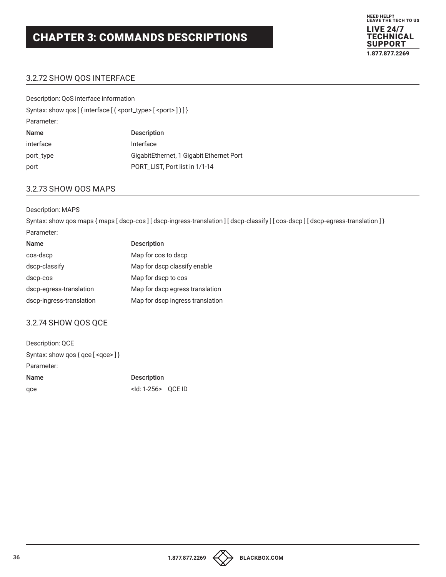

#### 3.2.72 SHOW QOS INTERFACE

| Description: QoS interface information                                     |                                          |  |  |
|----------------------------------------------------------------------------|------------------------------------------|--|--|
| Syntax: show qos [{interface [( <port_type> [<port>])]}</port></port_type> |                                          |  |  |
| Parameter:                                                                 |                                          |  |  |
| Name                                                                       | <b>Description</b>                       |  |  |
| interface                                                                  | Interface                                |  |  |
| port_type                                                                  | GigabitEthernet, 1 Gigabit Ethernet Port |  |  |
| port                                                                       | PORT_LIST, Port list in 1/1-14           |  |  |
|                                                                            |                                          |  |  |

#### 3.2.73 SHOW QOS MAPS

#### Description: MAPS

Syntax: show qos maps { maps [ dscp-cos ] [ dscp-ingress-translation ] [ dscp-classify ] [ cos-dscp ] [ dscp-egress-translation ] }

| Name                     | <b>Description</b>               |
|--------------------------|----------------------------------|
| cos-dscp                 | Map for cos to dscp              |
| dscp-classify            | Map for dscp classify enable     |
| dscp-cos                 | Map for dscp to cos              |
| dscp-egress-translation  | Map for dscp egress translation  |
| dscp-ingress-translation | Map for dscp ingress translation |

#### 3.2.74 SHOW QOS QCE

| Description: QCE                                                      |                             |  |
|-----------------------------------------------------------------------|-----------------------------|--|
| Syntax: show gos $\{$ qce $\{$ <gce <math="">\} <math>\}</math></gce> |                             |  |
| Parameter:                                                            |                             |  |
| <b>Name</b>                                                           | <b>Description</b>          |  |
| qce                                                                   | <ld: 1-256=""> QCE ID</ld:> |  |

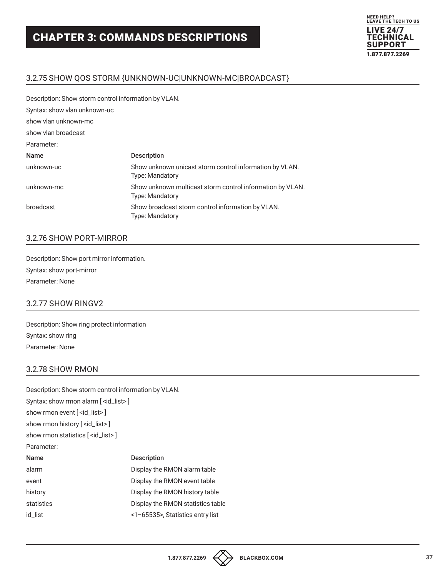

## 3.2.75 SHOW QOS STORM {UNKNOWN-UC|UNKNOWN-MC|BROADCAST}

Description: Show storm control information by VLAN.

| Syntax: show vlan unknown-uc |                                                                                     |
|------------------------------|-------------------------------------------------------------------------------------|
| show vlan unknown-mc         |                                                                                     |
| show ylan broadcast          |                                                                                     |
| Parameter:                   |                                                                                     |
| Name                         | <b>Description</b>                                                                  |
| unknown-uc                   | Show unknown unicast storm control information by VLAN.<br><b>Type: Mandatory</b>   |
| unknown-mc                   | Show unknown multicast storm control information by VLAN.<br><b>Type: Mandatory</b> |
| broadcast                    | Show broadcast storm control information by VLAN.<br><b>Type: Mandatory</b>         |
|                              |                                                                                     |

## 3.2.76 SHOW PORT-MIRROR

Description: Show port mirror information. Syntax: show port-mirror Parameter: None

#### 3.2.77 SHOW RINGV2

Description: Show ring protect information Syntax: show ring Parameter: None

#### 3.2.78 SHOW RMON

| Description: Show storm control information by VLAN. |                                   |  |
|------------------------------------------------------|-----------------------------------|--|
| Syntax: show rmon alarm [ <id_list>]</id_list>       |                                   |  |
| show rmon event [ <id_list>]</id_list>               |                                   |  |
| show rmon history [ <id_list>]</id_list>             |                                   |  |
| show rmon statistics [ <id_list>]</id_list>          |                                   |  |
| Parameter:                                           |                                   |  |
| Name                                                 | <b>Description</b>                |  |
| alarm                                                | Display the RMON alarm table      |  |
| event                                                | Display the RMON event table      |  |
| history                                              | Display the RMON history table    |  |
| statistics                                           | Display the RMON statistics table |  |
| id list                                              | <1-65535>, Statistics entry list  |  |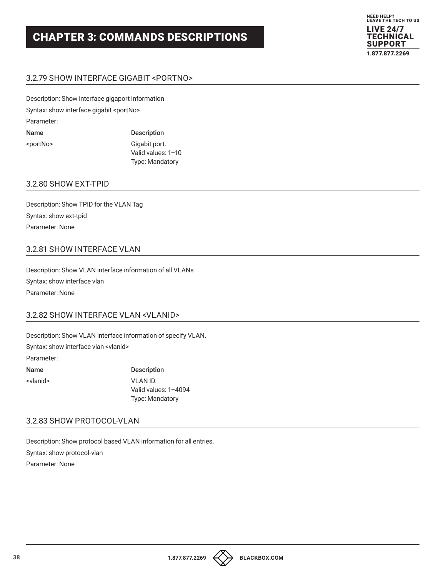

## 3.2.79 SHOW INTERFACE GIGABIT <PORTNO>

Description: Show interface gigaport information Syntax: show interface gigabit <portNo> Parameter: Name Description <portNo> Gigabit port.

 Valid values: 1–10 Type: Mandatory

### 3.2.80 SHOW EXT-TPID

Description: Show TPID for the VLAN Tag Syntax: show ext-tpid Parameter: None

## 3.2.81 SHOW INTERFACE VLAN

Description: Show VLAN interface information of all VLANs Syntax: show interface vlan Parameter: None

#### 3.2.82 SHOW INTERFACE VLAN <VLANID>

Description: Show VLAN interface information of specify VLAN.

Syntax: show interface vlan <vlanid>

Parameter:

Name Description <vlanid> VLAN ID. Valid values: 1–4094 Type: Mandatory

## 3.2.83 SHOW PROTOCOL-VLAN

Description: Show protocol based VLAN information for all entries. Syntax: show protocol-vlan Parameter: None

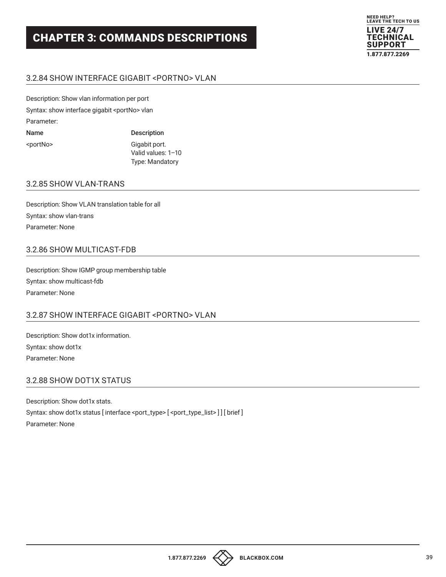Type: Mandatory



## 3.2.84 SHOW INTERFACE GIGABIT <PORTNO> VLAN

Description: Show vlan information per port Syntax: show interface gigabit <portNo> vlan Parameter: Name Description <portNo> Gigabit port. Valid values: 1–10

# 3.2.85 SHOW VLAN-TRANS

Description: Show VLAN translation table for all Syntax: show vlan-trans Parameter: None

## 3.2.86 SHOW MULTICAST-FDB

Description: Show IGMP group membership table Syntax: show multicast-fdb Parameter: None

## 3.2.87 SHOW INTERFACE GIGABIT <PORTNO> VLAN

Description: Show dot1x information. Syntax: show dot1x Parameter: None

## 3.2.88 SHOW DOT1X STATUS

Description: Show dot1x stats. Syntax: show dot1x status [interface <port\_type> [<port\_type\_list>]] [brief] Parameter: None

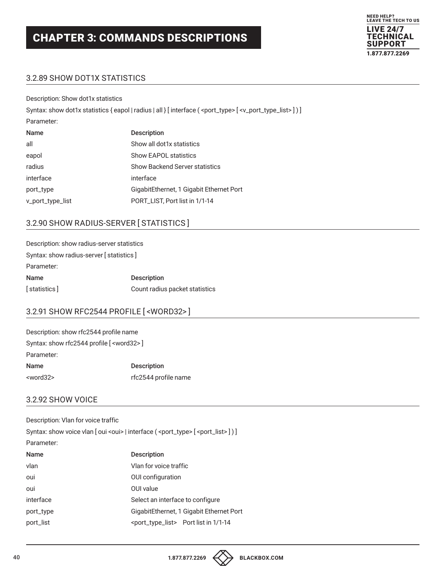

## 3.2.89 SHOW DOT1X STATISTICS

Description: Show dot1x statistics

|                  | Syntax: show dot1x statistics {eapol   radius   all } [interface ( <port_type> <math>[</math> <v_port_type_list> ] ) ]</v_port_type_list></port_type> |
|------------------|-------------------------------------------------------------------------------------------------------------------------------------------------------|
| Parameter:       |                                                                                                                                                       |
| Name             | <b>Description</b>                                                                                                                                    |
| all              | Show all dot1x statistics                                                                                                                             |
| eapol            | <b>Show EAPOL statistics</b>                                                                                                                          |
| radius           | <b>Show Backend Server statistics</b>                                                                                                                 |
| interface        | interface                                                                                                                                             |
| port_type        | GigabitEthernet, 1 Gigabit Ethernet Port                                                                                                              |
| v_port_type_list | PORT_LIST, Port list in 1/1-14                                                                                                                        |

## 3.2.90 SHOW RADIUS-SERVER [ STATISTICS ]

| Description: show radius-server statistics |                                |  |
|--------------------------------------------|--------------------------------|--|
| Syntax: show radius-server [statistics]    |                                |  |
| Parameter:                                 |                                |  |
| Name                                       | <b>Description</b>             |  |
| [statistics]                               | Count radius packet statistics |  |

## 3.2.91 SHOW RFC2544 PROFILE [ <WORD32> ]

| Description: show rfc2544 profile name            |                      |
|---------------------------------------------------|----------------------|
| Syntax: show rfc2544 profile [ <word32>]</word32> |                      |
| Parameter:                                        |                      |
| Name                                              | <b>Description</b>   |
| <word32></word32>                                 | rfc2544 profile name |

## 3.2.92 SHOW VOICE

| Description: Vlan for voice traffic                                                     |  |  |
|-----------------------------------------------------------------------------------------|--|--|
| Syntax: show voice vlan [ oui < oui >   interface ( < port_type > [ < port_list > ] ) ] |  |  |
|                                                                                         |  |  |
| <b>Description</b>                                                                      |  |  |
| Vlan for voice traffic                                                                  |  |  |
| OUI configuration                                                                       |  |  |
| OUI value                                                                               |  |  |
| Select an interface to configure                                                        |  |  |
| GigabitEthernet, 1 Gigabit Ethernet Port                                                |  |  |
| <port_type_list> Port list in 1/1-14</port_type_list>                                   |  |  |
|                                                                                         |  |  |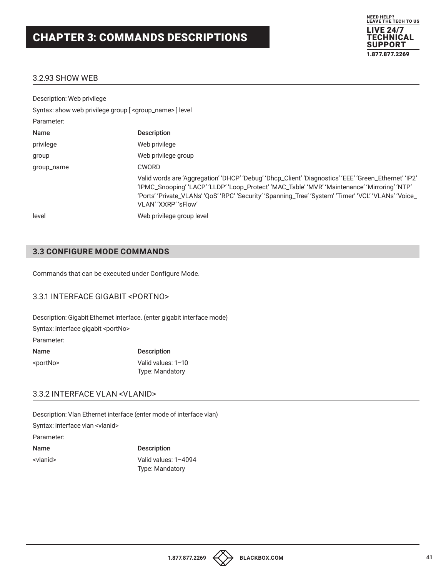

## 3.2.93 SHOW WEB

| Description: Web privilege                                           |                                                                                                                                                                                                                                                                                                                                          |
|----------------------------------------------------------------------|------------------------------------------------------------------------------------------------------------------------------------------------------------------------------------------------------------------------------------------------------------------------------------------------------------------------------------------|
| Syntax: show web privilege group [ <group_name> ] level</group_name> |                                                                                                                                                                                                                                                                                                                                          |
| Parameter:                                                           |                                                                                                                                                                                                                                                                                                                                          |
| Name                                                                 | <b>Description</b>                                                                                                                                                                                                                                                                                                                       |
| privilege                                                            | Web privilege                                                                                                                                                                                                                                                                                                                            |
| group                                                                | Web privilege group                                                                                                                                                                                                                                                                                                                      |
| group_name                                                           | <b>CWORD</b>                                                                                                                                                                                                                                                                                                                             |
|                                                                      | Valid words are 'Aggregation' 'DHCP' 'Debug' 'Dhcp_Client' 'Diagnostics' 'EEE' 'Green_Ethernet' 'IP2'<br>'IPMC_Snooping' 'LACP' 'LLDP' 'Loop_Protect' 'MAC_Table' 'MVR' 'Maintenance' 'Mirroring' 'NTP'<br>'Ports' 'Private_VLANs' 'QoS' 'RPC' 'Security' 'Spanning_Tree' 'System' 'Timer' 'VCL' 'VLANs' 'Voice_<br>VLAN' 'XXRP' 'sFlow' |
| level                                                                | Web privilege group level                                                                                                                                                                                                                                                                                                                |

## **3.3 CONFIGURE MODE COMMANDS**

Commands that can be executed under Configure Mode.

## 3.3.1 INTERFACE GIGABIT <PORTNO>

Description: Gigabit Ethernet interface. (enter gigabit interface mode) Syntax: interface gigabit <portNo> Parameter: Name Description <portNo> Valid values: 1–10

Type: Mandatory

#### 3.3.2 INTERFACE VLAN <VLANID>

Description: Vlan Ethernet interface (enter mode of interface vlan) Syntax: interface vlan <vlanid> Parameter: Name Description <vlanid> Valid values: 1–4094 Type: Mandatory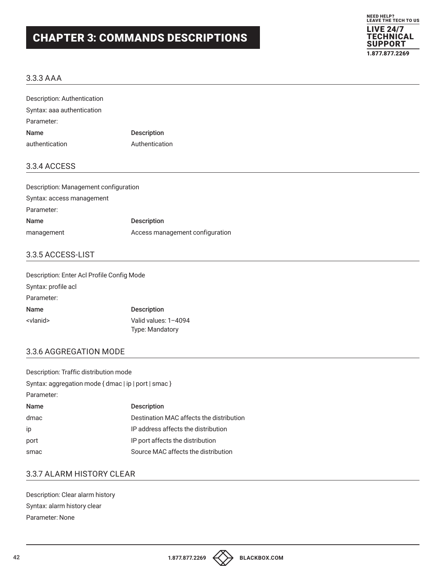

#### 3.3.3 AAA

| Description: Authentication           |                |  |  |
|---------------------------------------|----------------|--|--|
| Syntax: aaa authentication            |                |  |  |
| Parameter:                            |                |  |  |
| Name                                  | Description    |  |  |
| authentication                        | Authentication |  |  |
| 3.3.4 ACCESS                          |                |  |  |
| Description: Management configuration |                |  |  |
| Syntax: access management             |                |  |  |
| Parameter:                            |                |  |  |

Name Description management **Access** management configuration

### 3.3.5 ACCESS-LIST

| Description: Enter Acl Profile Config Mode |                        |
|--------------------------------------------|------------------------|
| Syntax: profile acl                        |                        |
| Parameter:                                 |                        |
| <b>Name</b>                                | <b>Description</b>     |
| <vlanid></vlanid>                          | Valid values: 1-4094   |
|                                            | <b>Type: Mandatory</b> |

## 3.3.6 AGGREGATION MODE

| Description: Traffic distribution mode               |                                          |  |
|------------------------------------------------------|------------------------------------------|--|
| Syntax: aggregation mode { dmac   ip   port   smac } |                                          |  |
| Parameter:                                           |                                          |  |
| <b>Name</b>                                          | <b>Description</b>                       |  |
| dmac                                                 | Destination MAC affects the distribution |  |
| ip                                                   | IP address affects the distribution      |  |
| port                                                 | IP port affects the distribution         |  |
| smac                                                 | Source MAC affects the distribution      |  |

### 3.3.7 ALARM HISTORY CLEAR

Description: Clear alarm history Syntax: alarm history clear Parameter: None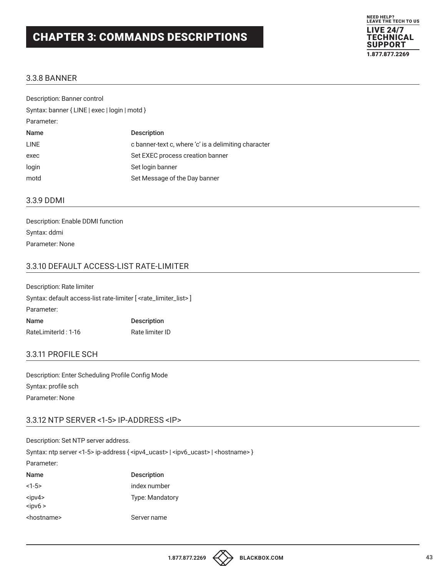

#### 3.3.8 BANNER

| Description: Banner control                   |                                                      |  |
|-----------------------------------------------|------------------------------------------------------|--|
| Syntax: banner { LINE   exec   login   motd } |                                                      |  |
| Parameter:                                    |                                                      |  |
| <b>Name</b>                                   | <b>Description</b>                                   |  |
| <b>LINE</b>                                   | c banner-text c, where 'c' is a delimiting character |  |
| exec                                          | Set EXEC process creation banner                     |  |
| login                                         | Set login banner                                     |  |
| motd                                          | Set Message of the Day banner                        |  |
|                                               |                                                      |  |

#### 3.3.9 DDMI

Description: Enable DDMI function Syntax: ddmi Parameter: None

## 3.3.10 DEFAULT ACCESS-LIST RATE-LIMITER

Description: Rate limiter Syntax: default access-list rate-limiter [ <rate\_limiter\_list> ] Parameter: Name Description RateLimiterId: 1-16 Rate limiter ID

#### 3.3.11 PROFILE SCH

Description: Enter Scheduling Profile Config Mode Syntax: profile sch Parameter: None

## 3.3.12 NTP SERVER <1-5> IP-ADDRESS <IP>

| Description: Set NTP server address.                                                                                  |                        |  |
|-----------------------------------------------------------------------------------------------------------------------|------------------------|--|
| Syntax: ntp server <1-5> ip-address { <ipv4_ucast>   <ipv6_ucast>   <hostname> }</hostname></ipv6_ucast></ipv4_ucast> |                        |  |
| Parameter:                                                                                                            |                        |  |
| Name                                                                                                                  | <b>Description</b>     |  |
| $<1-5>$                                                                                                               | index number           |  |
| $<$ ipv4><br>$<$ ipv $6>$                                                                                             | <b>Type: Mandatory</b> |  |
| <hostname></hostname>                                                                                                 | Server name            |  |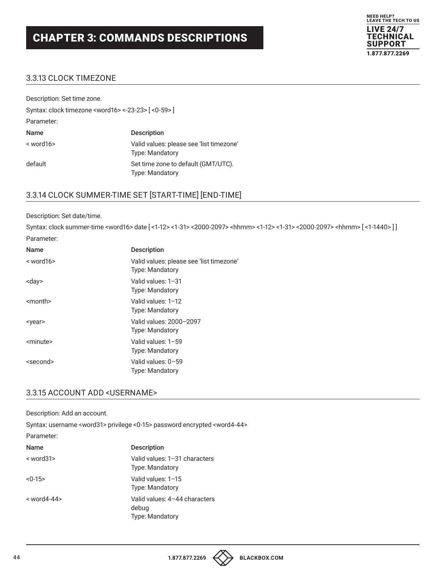

### 3.3.13 CLOCK TIMEZONE

| Description: Set time zone.                                            |                                                                    |
|------------------------------------------------------------------------|--------------------------------------------------------------------|
| Syntax: clock timezone <word16> &lt;-23-23&gt; [&lt;0-59&gt;]</word16> |                                                                    |
| Parameter:                                                             |                                                                    |
| <b>Name</b>                                                            | <b>Description</b>                                                 |
| $<$ word 16 $>$                                                        | Valid values: please see 'list timezone'<br><b>Type: Mandatory</b> |
| default                                                                | Set time zone to default (GMT/UTC).<br><b>Type: Mandatory</b>      |

## 3.3.14 CLOCK SUMMER-TIME SET [START-TIME] [END-TIME]

#### Description: Set date/time.

Syntax: clock summer-time <word16> date [ <1-12> <1-31> <2000-2097> <hhmm> <1-12> <1-31> <2000-2097> <hhmm> [ <1-1440> ] ] Parameter:

| <b>Name</b>       | <b>Description</b>                                                 |
|-------------------|--------------------------------------------------------------------|
| $<$ word $16$     | Valid values: please see 'list timezone'<br><b>Type: Mandatory</b> |
| <day></day>       | Valid values: 1–31<br>Type: Mandatory                              |
| <month></month>   | Valid values: 1-12<br><b>Type: Mandatory</b>                       |
| <vear></vear>     | Valid values: 2000-2097<br><b>Type: Mandatory</b>                  |
| <minute></minute> | Valid values: 1-59<br><b>Type: Mandatory</b>                       |
| <second></second> | Valid values: 0-59<br><b>Type: Mandatory</b>                       |

### 3.3.15 ACCOUNT ADD <USERNAME>

Description: Add an account.

Syntax: username <word31> privilege <0-15> password encrypted <word4-44>

#### Parameter:

| <b>Name</b>      | <b>Description</b>                                               |
|------------------|------------------------------------------------------------------|
| $<$ word 31 $>$  | Valid values: 1-31 characters<br><b>Type: Mandatory</b>          |
| $< 0 - 15$       | Valid values: 1-15<br><b>Type: Mandatory</b>                     |
| $<$ word4-44 $>$ | Valid values: 4-44 characters<br>debug<br><b>Type: Mandatory</b> |



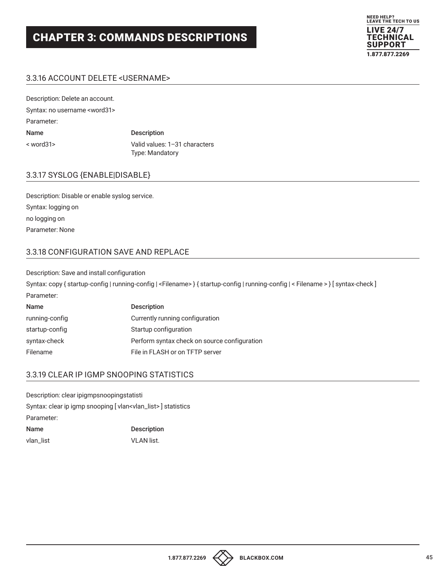

## 3.3.16 ACCOUNT DELETE <USERNAME>

| Description: Delete an account.       |                                                         |
|---------------------------------------|---------------------------------------------------------|
| Syntax: no username <word31></word31> |                                                         |
| Parameter:                            |                                                         |
| Name                                  | <b>Description</b>                                      |
| $<$ word $31$                         | Valid values: 1-31 characters<br><b>Type: Mandatory</b> |

#### 3.3.17 SYSLOG {ENABLE|DISABLE}

Description: Disable or enable syslog service. Syntax: logging on no logging on Parameter: None

#### 3.3.18 CONFIGURATION SAVE AND REPLACE

Description: Save and install configuration

Syntax: copy { startup-config | running-config | <Filename> } { startup-config | running-config | < Filename > } [ syntax-check ] Parameter:

| <b>Name</b>    | <b>Description</b>                           |
|----------------|----------------------------------------------|
| running-config | Currently running configuration              |
| startup-config | Startup configuration                        |
| syntax-check   | Perform syntax check on source configuration |
| Filename       | File in FLASH or on TFTP server              |

#### 3.3.19 CLEAR IP IGMP SNOOPING STATISTICS

Description: clear ipigmpsnoopingstatisti Syntax: clear ip igmp snooping [ vlan<vlan\_list> ] statistics Parameter: Name Description vlan\_list VLAN list.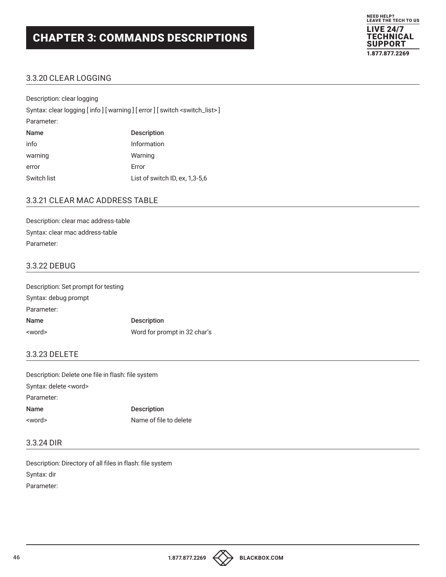

## 3.3.20 CLEAR LOGGING

| Description: clear logging |                                                                        |
|----------------------------|------------------------------------------------------------------------|
|                            | Syntax: clear logging [info] [warning] [error] [switch < switch_list>] |
| Parameter:                 |                                                                        |
| Name                       | <b>Description</b>                                                     |
| info                       | Information                                                            |
| warning                    | Warning                                                                |
| error                      | Error                                                                  |
| Switch list                | List of switch ID, ex, 1,3-5,6                                         |

### 3.3.21 CLEAR MAC ADDRESS TABLE

Description: clear mac address-table Syntax: clear mac address-table Parameter:

## 3.3.22 DEBUG

| Description: Set prompt for testing |                              |
|-------------------------------------|------------------------------|
| Syntax: debug prompt                |                              |
| Parameter:                          |                              |
| <b>Name</b>                         | <b>Description</b>           |
| <word></word>                       | Word for prompt in 32 char's |

#### 3.3.23 DELETE

| Description: Delete one file in flash: file system |                        |
|----------------------------------------------------|------------------------|
| Syntax: delete <word></word>                       |                        |
| Parameter:                                         |                        |
| Name                                               | <b>Description</b>     |
| <word></word>                                      | Name of file to delete |

### 3.3.24 DIR

Description: Directory of all files in flash: file system Syntax: dir Parameter:

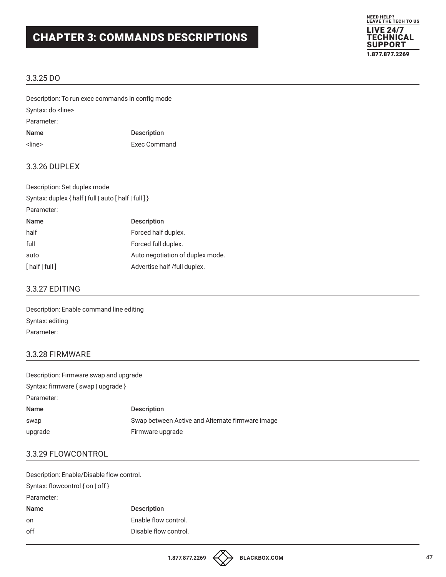

### 3.3.25 DO

Description: To run exec commands in config mode Syntax: do <line> Parameter: Name Description <line> Exec Command

#### 3.3.26 DUPLEX

| Description: Set duplex mode                          |                                  |  |
|-------------------------------------------------------|----------------------------------|--|
| Syntax: duplex { half   full   auto [ half   full ] } |                                  |  |
| Parameter:                                            |                                  |  |
| Name                                                  | <b>Description</b>               |  |
| half                                                  | Forced half duplex.              |  |
| full                                                  | Forced full duplex.              |  |
| auto                                                  | Auto negotiation of duplex mode. |  |
| [half   full]                                         | Advertise half /full duplex.     |  |

#### 3.3.27 EDITING

Description: Enable command line editing Syntax: editing Parameter:

#### 3.3.28 FIRMWARE

| Description: Firmware swap and upgrade |                                                  |
|----------------------------------------|--------------------------------------------------|
| Syntax: firmware { swap   upgrade }    |                                                  |
| Parameter:                             |                                                  |
| Name                                   | <b>Description</b>                               |
| swap                                   | Swap between Active and Alternate firmware image |
| upgrade                                | Firmware upgrade                                 |

## 3.3.29 FLOWCONTROL

| Description: Enable/Disable flow control. |                       |  |
|-------------------------------------------|-----------------------|--|
| Syntax: flowcontrol { on   off }          |                       |  |
| Parameter:                                |                       |  |
| <b>Name</b>                               | <b>Description</b>    |  |
| on                                        | Enable flow control.  |  |
| off                                       | Disable flow control. |  |
|                                           |                       |  |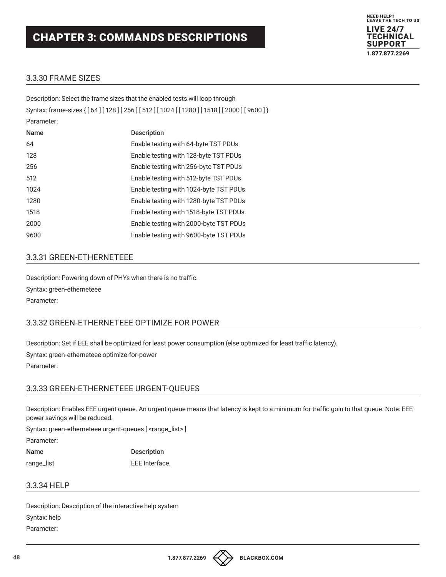

## 3.3.30 FRAME SIZES

|            | Description: Select the frame sizes that the enabled tests will loop through      |
|------------|-----------------------------------------------------------------------------------|
|            | Syntax: frame-sizes { [64] [128] [256] [512] [1024] [1280] [1518] [2000] [9600] } |
| Parameter: |                                                                                   |
| Name       | <b>Description</b>                                                                |
| 64         | Enable testing with 64-byte TST PDUs                                              |
| 128        | Enable testing with 128-byte TST PDUs                                             |
| 256        | Enable testing with 256-byte TST PDUs                                             |
| 512        | Enable testing with 512-byte TST PDUs                                             |
| 1024       | Enable testing with 1024-byte TST PDUs                                            |
| 1280       | Enable testing with 1280-byte TST PDUs                                            |
| 1518       | Enable testing with 1518-byte TST PDUs                                            |
| 2000       | Enable testing with 2000-byte TST PDUs                                            |
| 9600       | Enable testing with 9600-byte TST PDUs                                            |
|            |                                                                                   |

#### 3.3.31 GREEN-ETHERNETEEE

Description: Powering down of PHYs when there is no traffic. Syntax: green-etherneteee Parameter:

## 3.3.32 GREEN-ETHERNETEEE OPTIMIZE FOR POWER

Description: Set if EEE shall be optimized for least power consumption (else optimized for least traffic latency).

Syntax: green-etherneteee optimize-for-power Parameter:

#### 3.3.33 GREEN-ETHERNETEEE URGENT-QUEUES

Description: Enables EEE urgent queue. An urgent queue means that latency is kept to a minimum for traffic goin to that queue. Note: EEE power savings will be reduced.

Syntax: green-etherneteee urgent-queues [ <range\_list>]

Parameter:

Name Description range\_list EEE Interface.

#### 3.3.34 HELP

Description: Description of the interactive help system Syntax: help Parameter:

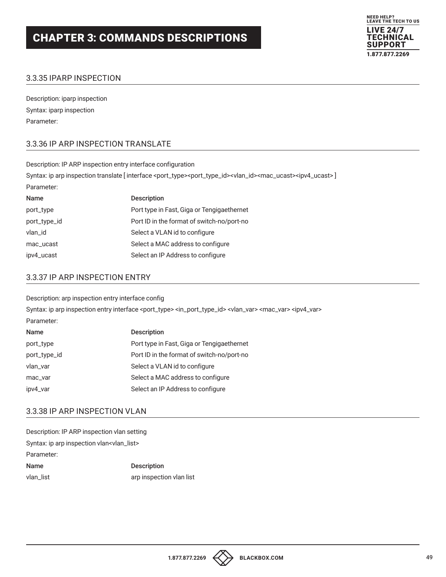

## 3.3.35 IPARP INSPECTION

Description: iparp inspection Syntax: iparp inspection Parameter:

## 3.3.36 IP ARP INSPECTION TRANSLATE

| Description: IP ARP inspection entry interface configuration                                                                                                            |                                            |
|-------------------------------------------------------------------------------------------------------------------------------------------------------------------------|--------------------------------------------|
| Syntax: ip arp inspection translate [interface <port_type><port_type_id><vlan_id><mac_ucast><ipv4_ucast>]</ipv4_ucast></mac_ucast></vlan_id></port_type_id></port_type> |                                            |
| Parameter:                                                                                                                                                              |                                            |
| Name                                                                                                                                                                    | <b>Description</b>                         |
| port_type                                                                                                                                                               | Port type in Fast, Giga or Tengigaethernet |
| port_type_id                                                                                                                                                            | Port ID in the format of switch-no/port-no |
| vlan_id                                                                                                                                                                 | Select a VLAN id to configure              |
| Select a MAC address to configure<br>mac_ucast                                                                                                                          |                                            |

## 3.3.37 IP ARP INSPECTION ENTRY

Description: arp inspection entry interface config

Syntax: ip arp inspection entry interface <port\_type> <in\_port\_type\_id> <vlan\_var> <mac\_var> <ipv4\_var> Parameter:

| Name         | <b>Description</b>                         |
|--------------|--------------------------------------------|
| port_type    | Port type in Fast, Giga or Tengigaethernet |
| port_type_id | Port ID in the format of switch-no/port-no |
| vlan_var     | Select a VLAN id to configure              |
| mac_var      | Select a MAC address to configure          |
| ipv4_var     | Select an IP Address to configure          |

ipv4\_ucast Select an IP Address to configure

## 3.3.38 IP ARP INSPECTION VLAN

Description: IP ARP inspection vlan setting Syntax: ip arp inspection vlan<vlan\_list> Parameter: Name Description vlan\_list arp inspection vlan list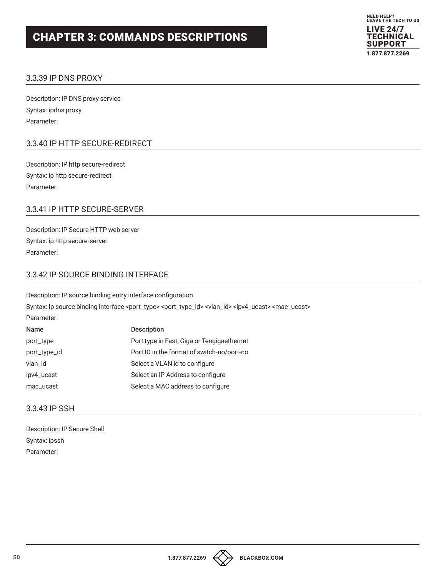

#### 3.3.39 IP DNS PROXY

Description: IP DNS proxy service Syntax: ipdns proxy Parameter:

## 3.3.40 IP HTTP SECURE-REDIRECT

Description: IP http secure-redirect Syntax: ip http secure-redirect Parameter:

## 3.3.41 IP HTTP SECURE-SERVER

Description: IP Secure HTTP web server Syntax: ip http secure-server Parameter:

## 3.3.42 IP SOURCE BINDING INTERFACE

Description: IP source binding entry interface configuration Syntax: Ip source binding interface <port\_type> <port\_type\_id> <vlan\_id> <ipv4\_ucast> <mac\_ucast> Parameter: Name Description port\_type **Port type in Fast, Giga or Tengigaethernet** port\_type\_id **Port ID** in the format of switch-no/port-no vlan\_id configure Select a VLAN id to configure ipv4\_ucast Select an IP Address to configure

mac\_ucast Select a MAC address to configure

#### 3.3.43 IP SSH

Description: IP Secure Shell Syntax: ipssh Parameter:

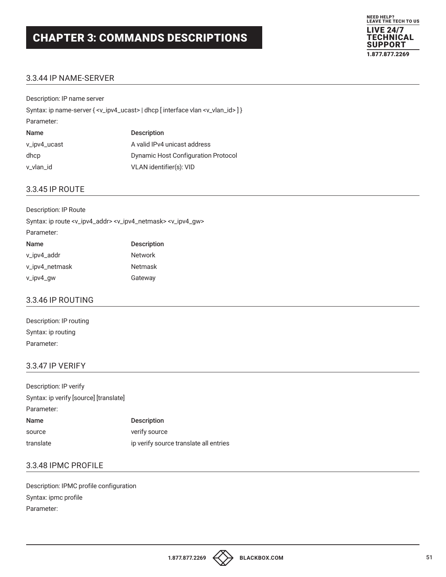

## 3.3.44 IP NAME-SERVER

| Description: IP name server                                                                               |                                            |
|-----------------------------------------------------------------------------------------------------------|--------------------------------------------|
| Syntax: ip name-server { <v_ipv4_ucast>   dhcp [interface vlan <v_vlan_id> ] }</v_vlan_id></v_ipv4_ucast> |                                            |
| Parameter:                                                                                                |                                            |
| Name                                                                                                      | <b>Description</b>                         |
| v_ipv4_ucast                                                                                              | A valid IPv4 unicast address               |
| dhcp                                                                                                      | <b>Dynamic Host Configuration Protocol</b> |
| v_vlan_id                                                                                                 | VLAN identifier(s): VID                    |

### 3.3.45 IP ROUTE

| Description: IP Route                                                                                  |                    |
|--------------------------------------------------------------------------------------------------------|--------------------|
| Syntax: ip route <v_ipv4_addr> <v_ipv4_netmask> <v_ipv4_gw></v_ipv4_gw></v_ipv4_netmask></v_ipv4_addr> |                    |
| Parameter:                                                                                             |                    |
| Name                                                                                                   | <b>Description</b> |
| v_ipv4_addr                                                                                            | <b>Network</b>     |
| v_ipv4_netmask                                                                                         | <b>Netmask</b>     |
| v_ipv4_gw                                                                                              | Gateway            |

#### 3.3.46 IP ROUTING

| Description: IP routing |
|-------------------------|
| Syntax: ip routing      |
| Parameter:              |

#### 3.3.47 IP VERIFY

| Description: IP verify                 |                                        |
|----------------------------------------|----------------------------------------|
| Syntax: ip verify [source] [translate] |                                        |
| Parameter:                             |                                        |
| Name                                   | <b>Description</b>                     |
| source                                 | verify source                          |
| translate                              | ip verify source translate all entries |

## 3.3.48 IPMC PROFILE

Description: IPMC profile configuration Syntax: ipmc profile Parameter: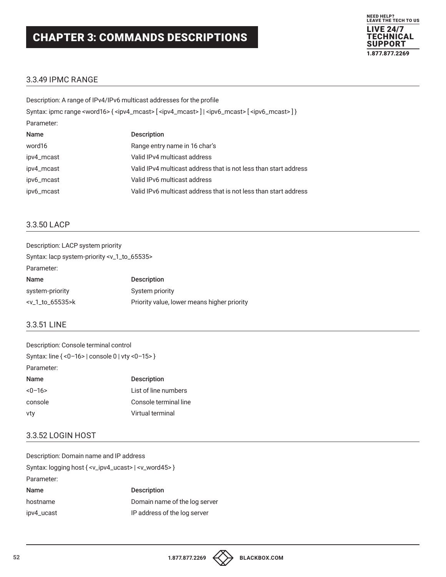

#### 3.3.49 IPMC RANGE

| Description: A range of IPv4/IPv6 multicast addresses for the profile                                                                           |                                                                  |
|-------------------------------------------------------------------------------------------------------------------------------------------------|------------------------------------------------------------------|
| Syntax: ipmc range <word16>{<ipv4_mcast>[<ipv4_mcast>] <ipv6_mcast>[<ipv6_mcast>]}</ipv6_mcast></ipv6_mcast></ipv4_mcast></ipv4_mcast></word16> |                                                                  |
| Parameter:                                                                                                                                      |                                                                  |
| Name                                                                                                                                            | <b>Description</b>                                               |
| word16                                                                                                                                          | Range entry name in 16 char's                                    |
| ipv4_mcast                                                                                                                                      | Valid IPv4 multicast address                                     |
| ipv4_mcast                                                                                                                                      | Valid IPv4 multicast address that is not less than start address |
| ipv6_mcast                                                                                                                                      | Valid IPv6 multicast address                                     |
| ipv6_mcast                                                                                                                                      | Valid IPv6 multicast address that is not less than start address |
|                                                                                                                                                 |                                                                  |

### 3.3.50 LACP

| Description: LACP system priority                          |                                             |
|------------------------------------------------------------|---------------------------------------------|
| Syntax: lacp system-priority <v_1_to_65535></v_1_to_65535> |                                             |
| Parameter:                                                 |                                             |
| Name                                                       | <b>Description</b>                          |
| system-priority                                            | System priority                             |
| $-v_1to_65535$ $\times$                                    | Priority value, lower means higher priority |

## 3.3.51 LINE

| Description: Console terminal control            |                       |
|--------------------------------------------------|-----------------------|
| Syntax: line { <0-16>   console 0   vty <0-15> } |                       |
| Parameter:                                       |                       |
| Name                                             | <b>Description</b>    |
| $<-16>$                                          | List of line numbers  |
| console                                          | Console terminal line |
| vty                                              | Virtual terminal      |

#### 3.3.52 LOGIN HOST

| Description: Domain name and IP address                                        |  |
|--------------------------------------------------------------------------------|--|
| Syntax: logging host { <v_ipv4_ucast>   <v_word45> }</v_word45></v_ipv4_ucast> |  |
|                                                                                |  |
| <b>Description</b>                                                             |  |
| Domain name of the log server                                                  |  |
| IP address of the log server                                                   |  |
|                                                                                |  |

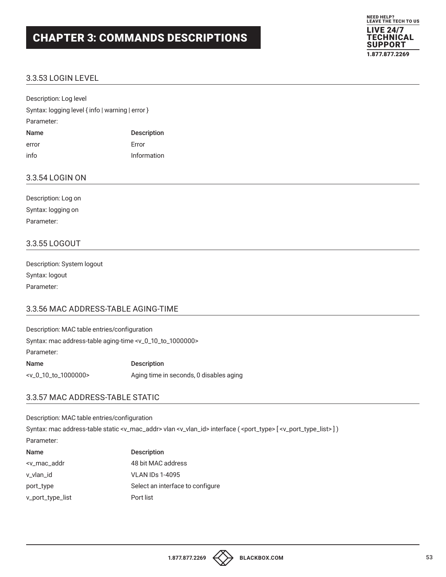

## 3.3.53 LOGIN LEVEL

| Description: Log level                           |                    |
|--------------------------------------------------|--------------------|
| Syntax: logging level { info   warning   error } |                    |
| Parameter:                                       |                    |
| <b>Name</b>                                      | <b>Description</b> |
| error                                            | Frror              |
| info                                             | Information        |

#### 3.3.54 LOGIN ON

| Description: Log on |
|---------------------|
| Syntax: logging on  |
| Parameter:          |

#### 3.3.55 LOGOUT

| Description: System logout |
|----------------------------|
| Syntax: logout             |
| Parameter:                 |

#### 3.3.56 MAC ADDRESS-TABLE AGING-TIME

| Description: MAC table entries/configuration                                 |                                         |
|------------------------------------------------------------------------------|-----------------------------------------|
| Syntax: mac address-table aging-time <v_0_10_to_1000000></v_0_10_to_1000000> |                                         |
| Parameter:                                                                   |                                         |
| <b>Name</b>                                                                  | <b>Description</b>                      |
| $-v_0_10_10_10_00000$                                                        | Aging time in seconds, 0 disables aging |

#### 3.3.57 MAC ADDRESS-TABLE STATIC

Description: MAC table entries/configuration

Syntax: mac address-table static <v\_mac\_addr> vlan <v\_vlan\_id> interface ( <port\_type> [ <v\_port\_type\_list>])

#### Parameter:

| <b>Name</b>                                                  | <b>Description</b>               |
|--------------------------------------------------------------|----------------------------------|
| <v_mac_addr< td=""><td>48 bit MAC address</td></v_mac_addr<> | 48 bit MAC address               |
| v vlan id                                                    | <b>VLAN IDs 1-4095</b>           |
| port_type                                                    | Select an interface to configure |
| v_port_type_list                                             | Port list                        |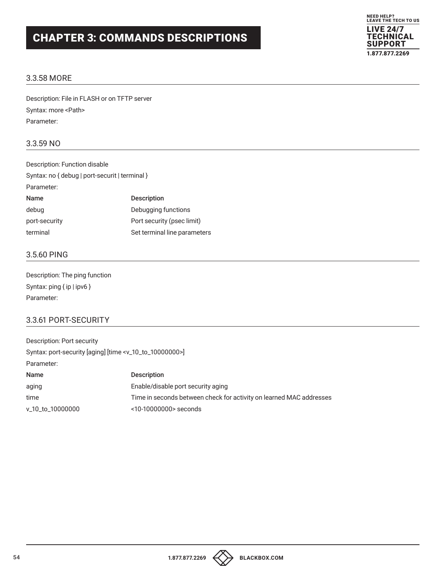

### 3.3.58 MORE

Description: File in FLASH or on TFTP server Syntax: more <Path> Parameter:

### 3.3.59 NO

| Description: Function disable                  |                              |
|------------------------------------------------|------------------------------|
| Syntax: no { debug   port-securit   terminal } |                              |
| Parameter:                                     |                              |
| <b>Name</b>                                    | <b>Description</b>           |
| debug                                          | Debugging functions          |
| port-security                                  | Port security (psec limit)   |
| terminal                                       | Set terminal line parameters |

## 3.5.60 PING

Description: The ping function Syntax: ping { ip | ipv6 } Parameter:

## 3.3.61 PORT-SECURITY

| Description: Port security                                                 |                                                                     |
|----------------------------------------------------------------------------|---------------------------------------------------------------------|
| Syntax: port-security [aging] [time <v_10_to_10000000>]</v_10_to_10000000> |                                                                     |
| Parameter:                                                                 |                                                                     |
| Name                                                                       | <b>Description</b>                                                  |
| aging                                                                      | Enable/disable port security aging                                  |
| time                                                                       | Time in seconds between check for activity on learned MAC addresses |
| v_10_to_10000000                                                           | <10-10000000> seconds                                               |
|                                                                            |                                                                     |

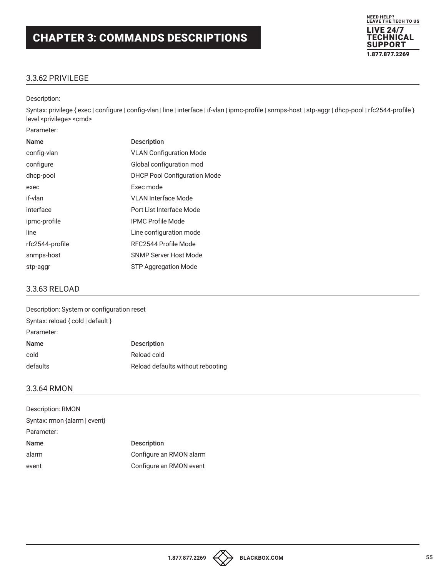

## 3.3.62 PRIVILEGE

#### Description:

Syntax: privilege { exec | configure | config-vlan | line | interface | if-vlan | ipmc-profile | snmps-host | stp-aggr | dhcp-pool | rfc2544-profile } level <privilege> <cmd>

| Parameter:      |                                     |
|-----------------|-------------------------------------|
| Name            | <b>Description</b>                  |
| config-vlan     | <b>VLAN Configuration Mode</b>      |
| configure       | Global configuration mod            |
| dhcp-pool       | <b>DHCP Pool Configuration Mode</b> |
| exec            | Exec mode                           |
| if-vlan         | VI AN Interface Mode                |
| interface       | Port List Interface Mode            |
| ipmc-profile    | <b>IPMC Profile Mode</b>            |
| line            | Line configuration mode             |
| rfc2544-profile | RFC2544 Profile Mode                |
| snmps-host      | SNMP Server Host Mode               |
| stp-aggr        | STP Aggregation Mode                |

#### 3.3.63 RELOAD

| Description: System or configuration reset |                                   |
|--------------------------------------------|-----------------------------------|
| Syntax: reload { cold   default }          |                                   |
| Parameter:                                 |                                   |
| Name                                       | <b>Description</b>                |
| cold                                       | Reload cold                       |
| defaults                                   | Reload defaults without rebooting |

#### 3.3.64 RMON

| Description: RMON            |                         |
|------------------------------|-------------------------|
| Syntax: rmon {alarm   event} |                         |
| Parameter:                   |                         |
| <b>Name</b>                  | <b>Description</b>      |
| alarm                        | Configure an RMON alarm |
| event                        | Configure an RMON event |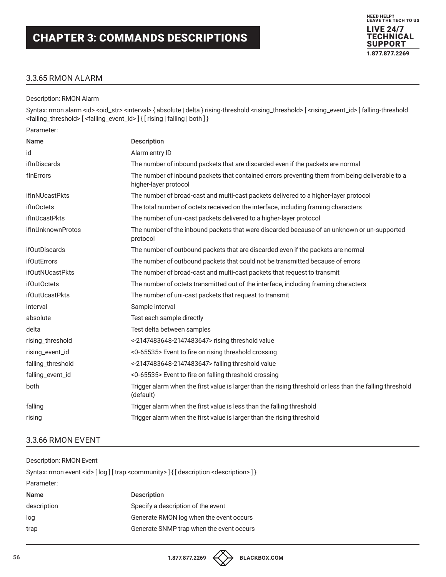#### 3.3.65 RMON ALARM

#### Description: RMON Alarm

Syntax: rmon alarm <id> <oid\_str> <interval> { absolute | delta } rising-threshold <rising\_threshold> [ <rising\_event\_id> ] falling-threshold <falling\_threshold> [ <falling\_event\_id> ] { [ rising | falling | both ] }

NEED HELP? LEAVE THE TECH TO US LIVE 24/7 **TECHNICAL** SUPPORT 1.877.877.2269

Parameter:

| <b>Name</b>            | Description                                                                                                              |
|------------------------|--------------------------------------------------------------------------------------------------------------------------|
| id                     | Alarm entry ID                                                                                                           |
| ifInDiscards           | The number of inbound packets that are discarded even if the packets are normal                                          |
| finErrors              | The number of inbound packets that contained errors preventing them from being deliverable to a<br>higher-layer protocol |
| ifInNUcastPkts         | The number of broad-cast and multi-cast packets delivered to a higher-layer protocol                                     |
| <i>if</i> InOctets     | The total number of octets received on the interface, including framing characters                                       |
| <i>ifInUcastPkts</i>   | The number of uni-cast packets delivered to a higher-layer protocol                                                      |
| ifInUnknownProtos      | The number of the inbound packets that were discarded because of an unknown or un-supported<br>protocol                  |
| <b>ifOutDiscards</b>   | The number of outbound packets that are discarded even if the packets are normal                                         |
| <b>ifOutErrors</b>     | The number of outbound packets that could not be transmitted because of errors                                           |
| <b>ifOutNUcastPkts</b> | The number of broad-cast and multi-cast packets that request to transmit                                                 |
| ifOutOctets            | The number of octets transmitted out of the interface, including framing characters                                      |
| <b>ifOutUcastPkts</b>  | The number of uni-cast packets that request to transmit                                                                  |
| interval               | Sample interval                                                                                                          |
| absolute               | Test each sample directly                                                                                                |
| delta                  | Test delta between samples                                                                                               |
| rising_threshold       | <-2147483648-2147483647> rising threshold value                                                                          |
| rising_event_id        | <0-65535> Event to fire on rising threshold crossing                                                                     |
| falling_threshold      | <-2147483648-2147483647> falling threshold value                                                                         |
| falling_event_id       | <0-65535> Event to fire on falling threshold crossing                                                                    |
| both                   | Trigger alarm when the first value is larger than the rising threshold or less than the falling threshold<br>(default)   |
| falling                | Trigger alarm when the first value is less than the falling threshold                                                    |
| rising                 | Trigger alarm when the first value is larger than the rising threshold                                                   |
|                        |                                                                                                                          |

#### 3.3.66 RMON EVENT

| Description: RMON Event                                                                                         |                                          |  |
|-----------------------------------------------------------------------------------------------------------------|------------------------------------------|--|
| Syntax: rmon event <id> [log] [trap <community>] { [description <description>] }</description></community></id> |                                          |  |
| Parameter:                                                                                                      |                                          |  |
| Name                                                                                                            | <b>Description</b>                       |  |
| description                                                                                                     | Specify a description of the event       |  |
| log                                                                                                             | Generate RMON log when the event occurs  |  |
| trap                                                                                                            | Generate SNMP trap when the event occurs |  |
|                                                                                                                 |                                          |  |



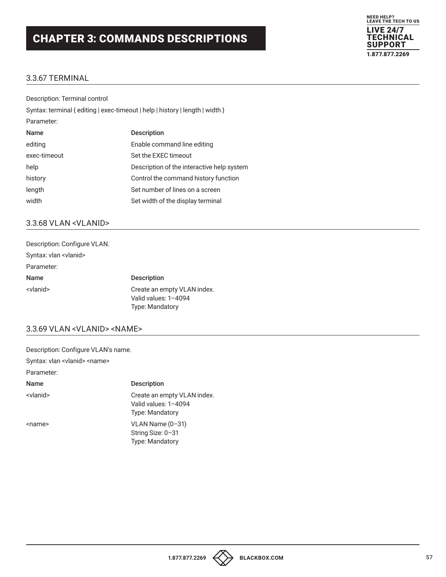

## 3.3.67 TERMINAL

| Description: Terminal control                                                 |                                            |
|-------------------------------------------------------------------------------|--------------------------------------------|
| Syntax: terminal { editing   exec-timeout   help   history   length   width } |                                            |
| Parameter:                                                                    |                                            |
| Name                                                                          | <b>Description</b>                         |
| editing                                                                       | Enable command line editing                |
| exec-timeout                                                                  | Set the EXEC timeout                       |
| help                                                                          | Description of the interactive help system |
| history                                                                       | Control the command history function       |
| length                                                                        | Set number of lines on a screen            |
| width                                                                         | Set width of the display terminal          |

#### 3.3.68 VLAN <VLANID>

| Description: Configure VLAN.   |                                                                               |
|--------------------------------|-------------------------------------------------------------------------------|
| Syntax: vlan <vlanid></vlanid> |                                                                               |
| Parameter:                     |                                                                               |
| Name                           | <b>Description</b>                                                            |
| <vlanid></vlanid>              | Create an empty VLAN index.<br>Valid values: 1-4094<br><b>Type: Mandatory</b> |

### 3.3.69 VLAN <VLANID> <NAME>

| Description: Configure VLAN's name.          |                                                                               |
|----------------------------------------------|-------------------------------------------------------------------------------|
| Syntax: vlan <vlanid> <name></name></vlanid> |                                                                               |
| Parameter:                                   |                                                                               |
| <b>Name</b>                                  | <b>Description</b>                                                            |
| <vlanid></vlanid>                            | Create an empty VLAN index.<br>Valid values: 1-4094<br><b>Type: Mandatory</b> |
| <name></name>                                | $VLAN Name (0-31)$<br>String Size: 0-31<br><b>Type: Mandatory</b>             |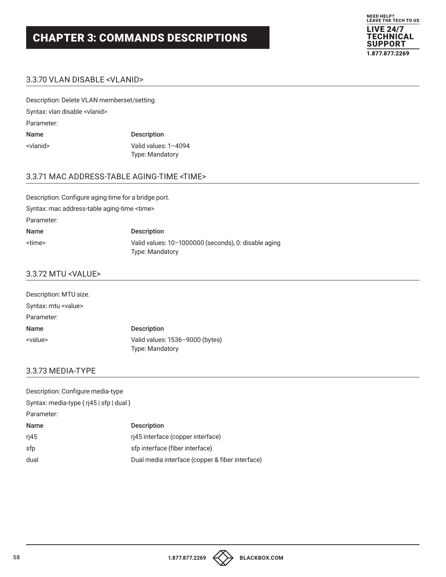

#### 3.3.70 VLAN DISABLE <VLANID>

Description: Delete VLAN memberset/setting. Syntax: vlan disable <vlanid> Parameter: Name Description <vlanid> Valid values: 1–4094

Type: Mandatory

## 3.3.71 MAC ADDRESS-TABLE AGING-TIME <TIME>

Description: Configure aging time for a bridge port. Syntax: mac address-table aging-time <time> Parameter: Name Description <time> Valid values: 10–1000000 (seconds), 0: disable aging Type: Mandatory

#### 3.3.72 MTU <VALUE>

| Description: MTU size.      |                                                           |
|-----------------------------|-----------------------------------------------------------|
| Syntax: mtu <value></value> |                                                           |
| Parameter:                  |                                                           |
| <b>Name</b>                 | <b>Description</b>                                        |
| <value></value>             | Valid values: 1536-9000 (bytes)<br><b>Type: Mandatory</b> |

#### 3.3.73 MEDIA-TYPE

| Description: Configure media-type        |                                                 |
|------------------------------------------|-------------------------------------------------|
| Syntax: media-type { rj45   sfp   dual } |                                                 |
| Parameter:                               |                                                 |
| Name                                     | <b>Description</b>                              |
| rj45                                     | ri45 interface (copper interface)               |
| sfp                                      | sfp interface (fiber interface)                 |
| dual                                     | Dual media interface (copper & fiber interface) |

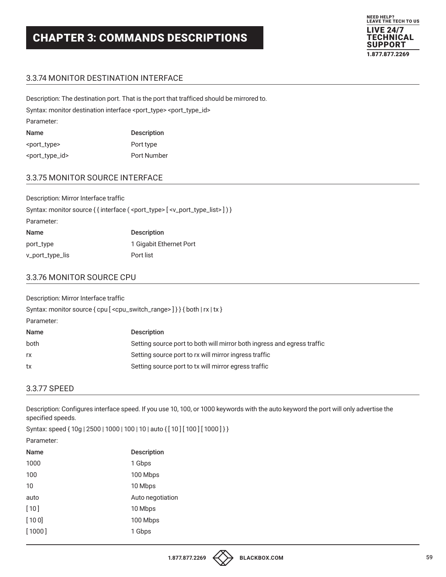## 3.3.74 MONITOR DESTINATION INTERFACE

Description: The destination port. That is the port that trafficed should be mirrored to. Syntax: monitor destination interface <port\_type> <port\_type\_id> Parameter: Name Description <port\_type> Port type <port\_type\_id> Port Number

## 3.3.75 MONITOR SOURCE INTERFACE

| Description: Mirror Interface traffic |                                                                                                            |
|---------------------------------------|------------------------------------------------------------------------------------------------------------|
|                                       | Syntax: monitor source { { interface ( <port_type> [ <v_port_type_list>]) }</v_port_type_list></port_type> |
| Parameter:                            |                                                                                                            |
| Name                                  | <b>Description</b>                                                                                         |
| port_type                             | 1 Gigabit Ethernet Port                                                                                    |
| v_port_type_lis                       | Port list                                                                                                  |

### 3.3.76 MONITOR SOURCE CPU

Description: Mirror Interface traffic

Syntax: monitor source { cpu [ < cpu\_switch\_range > ] } } { both | rx | tx }

Parameter:

| Name | <b>Description</b>                                                      |
|------|-------------------------------------------------------------------------|
| both | Setting source port to both will mirror both ingress and egress traffic |
| rx   | Setting source port to rx will mirror ingress traffic                   |
| tx   | Setting source port to tx will mirror egress traffic                    |

#### 3.3.77 SPEED

Description: Configures interface speed. If you use 10, 100, or 1000 keywords with the auto keyword the port will only advertise the specified speeds.

Syntax: speed { 10g | 2500 | 1000 | 100 | 10 | auto { [ 10 ] [ 100 ] [ 1000 ] } }

| Parameter: |
|------------|
|------------|

| Name   | <b>Description</b> |
|--------|--------------------|
| 1000   | 1 Gbps             |
| 100    | 100 Mbps           |
| 10     | 10 Mbps            |
| auto   | Auto negotiation   |
| $[10]$ | 10 Mbps            |
| [100]  | 100 Mbps           |
| [1000] | 1 Gbps             |

NEED HELP? LEAVE THE TECH TO US LIVE 24/7 **ECHNICAL** SUPPORT 1.877.877.2269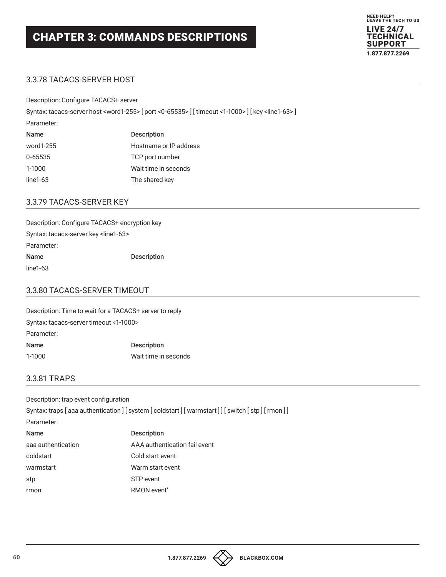

## 3.3.78 TACACS-SERVER HOST

Description: Configure TACACS+ server

Syntax: tacacs-server host <word1-255> [ port <0-65535> ] [ timeout <1-1000> ] [ key <line1-63> ]

Parameter:

| Name       | <b>Description</b>     |
|------------|------------------------|
| word1-255  | Hostname or IP address |
| 0-65535    | TCP port number        |
| 1-1000     | Wait time in seconds   |
| $line1-63$ | The shared key         |

### 3.3.79 TACACS-SERVER KEY

Description: Configure TACACS+ encryption key Syntax: tacacs-server key <line1-63> Parameter: Name Description line1-63

## 3.3.80 TACACS-SERVER TIMEOUT

Description: Time to wait for a TACACS+ server to reply Syntax: tacacs-server timeout <1-1000> Parameter: Name Description 1-1000 Wait time in seconds

## 3.3.81 TRAPS

Description: trap event configuration Syntax: traps [aaa authentication] [system [coldstart] [warmstart]] [switch [stp] [rmon]] Parameter: Name Description aaa authentication AAA authentication fail event coldstart Cold start event warmstart Warm start event stp STP event rmon RMON event'

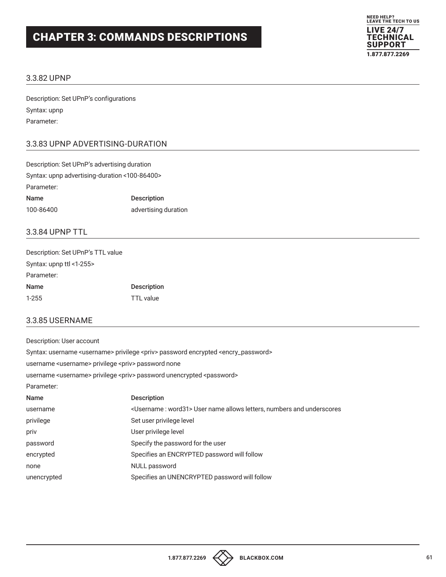

#### 3.3.82 UPNP

Description: Set UPnP's configurations Syntax: upnp Parameter:

#### 3.3.83 UPNP ADVERTISING-DURATION

| Description: Set UPnP's advertising duration  |                      |
|-----------------------------------------------|----------------------|
| Syntax: upnp advertising-duration <100-86400> |                      |
| Parameter:                                    |                      |
| Name                                          | <b>Description</b>   |
| 100-86400                                     | advertising duration |

### 3.3.84 UPNP TTL

| Description: Set UPnP's TTL value |                    |
|-----------------------------------|--------------------|
| Syntax: upnp ttl <1-255>          |                    |
| Parameter:                        |                    |
| Name                              | <b>Description</b> |
| $1 - 255$                         | TTL value          |

#### 3.3.85 USERNAME

Description: User account

Syntax: username <username> privilege <priv> password encrypted <encry\_password>

username <username> privilege <priv> password none

username <username> privilege <priv> password unencrypted <password>

Parameter:

| <b>Name</b> | <b>Description</b>                                                                                                                                                   |
|-------------|----------------------------------------------------------------------------------------------------------------------------------------------------------------------|
| username    | <br>Istigator of the stars numbers and underscores starstpare in all own letters, numbers and underscores starstpare in anne allows letters, numbers and underscores |
| privilege   | Set user privilege level                                                                                                                                             |
| priv        | User privilege level                                                                                                                                                 |
| password    | Specify the password for the user                                                                                                                                    |
| encrypted   | Specifies an ENCRYPTED password will follow                                                                                                                          |
| none        | NULL password                                                                                                                                                        |
| unencrypted | Specifies an UNENCRYPTED password will follow                                                                                                                        |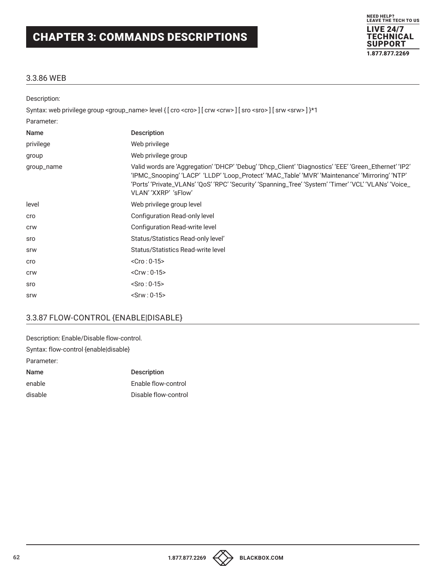

### 3.3.86 WEB

| Description: |                                                                                                                                                                                                                                                                                                                                          |
|--------------|------------------------------------------------------------------------------------------------------------------------------------------------------------------------------------------------------------------------------------------------------------------------------------------------------------------------------------------|
|              | Syntax: web privilege group <group_name> level { [ cro <cro> ] [ crw <crw> ] [ sro <sro> ] [ srw <srw> ] }*1</srw></sro></crw></cro></group_name>                                                                                                                                                                                        |
| Parameter:   |                                                                                                                                                                                                                                                                                                                                          |
| Name         | <b>Description</b>                                                                                                                                                                                                                                                                                                                       |
| privilege    | Web privilege                                                                                                                                                                                                                                                                                                                            |
| group        | Web privilege group                                                                                                                                                                                                                                                                                                                      |
| group_name   | Valid words are 'Aggregation' 'DHCP' 'Debug' 'Dhcp_Client' 'Diagnostics' 'EEE' 'Green_Ethernet' 'IP2'<br>'IPMC_Snooping' 'LACP' 'LLDP' 'Loop_Protect' 'MAC_Table' 'MVR' 'Maintenance' 'Mirroring' 'NTP'<br>'Ports' 'Private_VLANs' 'QoS' 'RPC' 'Security' 'Spanning_Tree' 'System' 'Timer' 'VCL' 'VLANs' 'Voice_<br>VLAN' 'XXRP' 'sFlow' |
| level        | Web privilege group level                                                                                                                                                                                                                                                                                                                |
| cro          | Configuration Read-only level                                                                                                                                                                                                                                                                                                            |
| <b>CrW</b>   | Configuration Read-write level                                                                                                                                                                                                                                                                                                           |
| sro          | Status/Statistics Read-only level'                                                                                                                                                                                                                                                                                                       |
| <b>SrW</b>   | Status/Statistics Read-write level                                                                                                                                                                                                                                                                                                       |
| cro          | $<$ Cro : 0-15>                                                                                                                                                                                                                                                                                                                          |
| <b>CrW</b>   | $<$ Crw : 0-15>                                                                                                                                                                                                                                                                                                                          |
| sro          | $-Sro: 0-15$                                                                                                                                                                                                                                                                                                                             |
| <b>SrW</b>   | $-Srw: 0-15$                                                                                                                                                                                                                                                                                                                             |

## 3.3.87 FLOW-CONTROL {ENABLE|DISABLE}

| Description: Enable/Disable flow-control. |
|-------------------------------------------|
| Syntax: flow-control {enable disable}     |
|                                           |
| <b>Description</b>                        |
| Enable flow-control                       |
| Disable flow-control                      |
|                                           |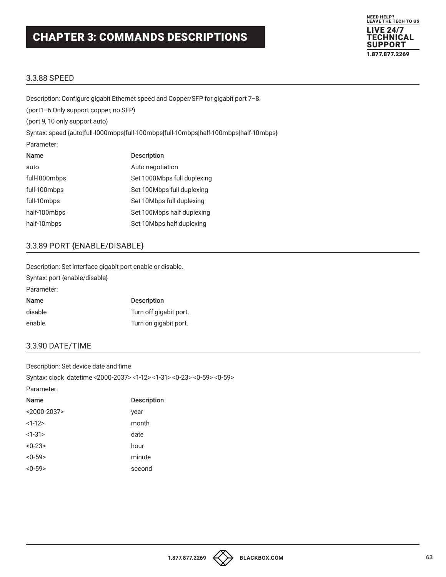

#### 3.3.88 SPEED

Description: Configure gigabit Ethernet speed and Copper/SFP for gigabit port 7–8. (port1–6 Only support copper, no SFP) (port 9, 10 only support auto) Syntax: speed {auto|full-l000mbps|full-100mbps|full-10mbps|half-100mbps|half-10mbps} Parameter: Name Description auto auto auto auto negotiation full-l000mbps Set 1000Mbps full duplexing full-100mbps Set 100Mbps full duplexing full-10mbps Set 10Mbps full duplexing half-100mbps Set 100Mbps half duplexing half-10mbps Set 10Mbps half duplexing

### 3.3.89 PORT {ENABLE/DISABLE}

Description: Set interface gigabit port enable or disable. Syntax: port {enable/disable} Parameter: Name Description disable Turn off gigabit port. enable Turn on gigabit port.

## 3.3.90 DATE/TIME

Description: Set device date and time Syntax: clock datetime <2000-2037> <1-12> <1-31> <0-23> <0-59> <0-59> Parameter:

| Name            | <b>Description</b> |
|-----------------|--------------------|
| $< 2000 - 2037$ | year               |
| $<1-12>$        | month              |
| $<1-31$         | date               |
| $<0-23>$        | hour               |
| $<0-59>$        | minute             |
| $<0-59>$        | second             |
|                 |                    |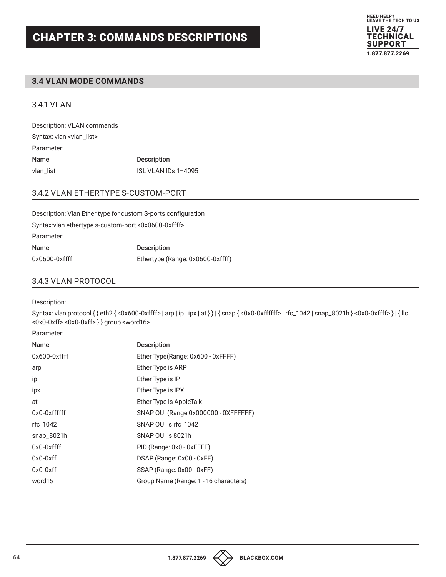

#### **3.4 VLAN MODE COMMANDS**

#### 3.4.1 VLAN

Description: VLAN commands Syntax: vlan <vlan\_list> Parameter: Name Description vlan\_list VLAN IDs 1-4095

### 3.4.2 VLAN ETHERTYPE S-CUSTOM-PORT

Description: Vlan Ether type for custom S-ports configuration Syntax:vlan ethertype s-custom-port <0x0600-0xffff> Parameter: Name Description 0x0600-0xffff Ethertype (Range: 0x0600-0xffff)

#### 3.4.3 VLAN PROTOCOL

Description:

Syntax: vlan protocol { { eth2 { <0x600-0xffff> | arp | ip | ipx | at } } | { snap { <0x0-0xffffff> | rfc\_1042 | snap\_8021h } <0x0-0xffff> } | { llc <0x0-0xff> <0x0-0xff> } } group <word16>

Parameter:

| Name            | <b>Description</b>                    |
|-----------------|---------------------------------------|
| $0x600-0x$ ffff | Ether Type(Range: 0x600 - 0xFFFF)     |
| arp             | Ether Type is ARP                     |
| ip              | Ether Type is IP                      |
| ipx             | Ether Type is IPX                     |
| at              | Ether Type is AppleTalk               |
| 0x0-0xffffff    | SNAP OUI (Range 0x000000 - 0XFFFFFF)  |
| rfc 1042        | SNAP OUI is rfc 1042                  |
| snap_8021h      | SNAP OUI is 8021h                     |
| $0x0-0x$ ffff   | PID (Range: 0x0 - 0xFFFF)             |
| $0x0-0xff$      | DSAP (Range: 0x00 - 0xFF)             |
| $0x0-0xff$      | SSAP (Range: 0x00 - 0xFF)             |
| word16          | Group Name (Range: 1 - 16 characters) |

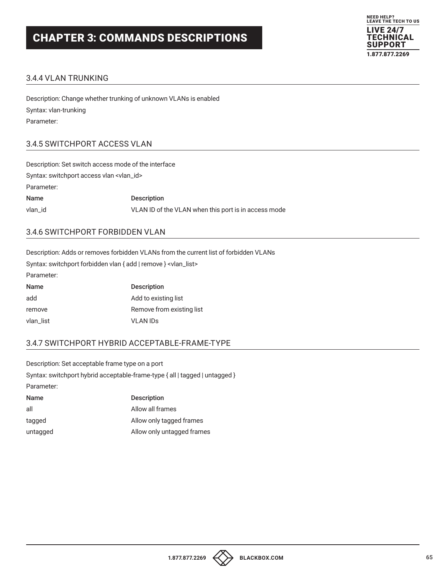

## 3.4.4 VLAN TRUNKING

Description: Change whether trunking of unknown VLANs is enabled Syntax: vlan-trunking Parameter:

### 3.4.5 SWITCHPORT ACCESS VLAN

| Description: Set switch access mode of the interface |                                                      |
|------------------------------------------------------|------------------------------------------------------|
| Syntax: switchport access vlan <vlan_id></vlan_id>   |                                                      |
| Parameter:                                           |                                                      |
| Name                                                 | <b>Description</b>                                   |
| vlan id                                              | VLAN ID of the VLAN when this port is in access mode |
|                                                      |                                                      |

## 3.4.6 SWITCHPORT FORBIDDEN VLAN

Description: Adds or removes forbidden VLANs from the current list of forbidden VLANs Syntax: switchport forbidden vlan { add | remove } <vlan\_list> Parameter:

| , urunivus. |                           |
|-------------|---------------------------|
| Name        | <b>Description</b>        |
| add         | Add to existing list      |
| remove      | Remove from existing list |
| vlan list   | <b>VLAN IDS</b>           |

## 3.4.7 SWITCHPORT HYBRID ACCEPTABLE-FRAME-TYPE

Description: Set acceptable frame type on a port Syntax: switchport hybrid acceptable-frame-type { all | tagged | untagged } Parameter:

| <b>Description</b>         |
|----------------------------|
| Allow all frames           |
| Allow only tagged frames   |
| Allow only untagged frames |
|                            |

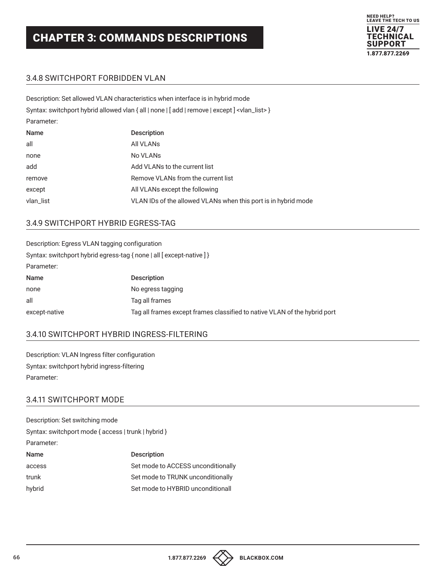Description: Set allowed VLAN characteristics when interface is in hybrid mode



### 3.4.8 SWITCHPORT FORBIDDEN VLAN

| Description. Set allowed VEAN Characteristics writer interface is in hybrid mode |                                                                                                           |
|----------------------------------------------------------------------------------|-----------------------------------------------------------------------------------------------------------|
|                                                                                  | Syntax: switchport hybrid allowed vlan { all   none   [ add   remove   except ] <vlan_list> }</vlan_list> |
| Parameter:                                                                       |                                                                                                           |
| Name                                                                             | <b>Description</b>                                                                                        |
| all                                                                              | All VLANs                                                                                                 |
| none                                                                             | No VLANs                                                                                                  |
| add                                                                              | Add VLANs to the current list                                                                             |
| remove                                                                           | Remove VLANs from the current list                                                                        |
| except                                                                           | All VLANs except the following                                                                            |
| vlan_list                                                                        | VLAN IDs of the allowed VLANs when this port is in hybrid mode                                            |
|                                                                                  |                                                                                                           |

#### 3.4.9 SWITCHPORT HYBRID EGRESS-TAG

| Description: Egress VLAN tagging configuration                        |                                                                           |
|-----------------------------------------------------------------------|---------------------------------------------------------------------------|
| Syntax: switchport hybrid egress-tag { none   all [ except-native ] } |                                                                           |
| Parameter:                                                            |                                                                           |
| Name                                                                  | <b>Description</b>                                                        |
| none                                                                  | No egress tagging                                                         |
| all                                                                   | Tag all frames                                                            |
| except-native                                                         | Tag all frames except frames classified to native VLAN of the hybrid port |

## 3.4.10 SWITCHPORT HYBRID INGRESS-FILTERING

Description: VLAN Ingress filter configuration Syntax: switchport hybrid ingress-filtering Parameter:

## 3.4.11 SWITCHPORT MODE

| Description: Set switching mode                     |                                    |
|-----------------------------------------------------|------------------------------------|
| Syntax: switchport mode { access   trunk   hybrid } |                                    |
| Parameter:                                          |                                    |
| <b>Name</b>                                         | <b>Description</b>                 |
| access                                              | Set mode to ACCESS unconditionally |
| trunk                                               | Set mode to TRUNK unconditionally  |
| hybrid                                              | Set mode to HYBRID unconditionall  |

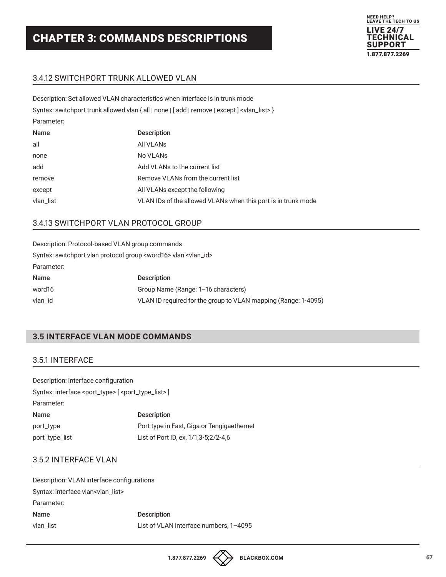

## 3.4.12 SWITCHPORT TRUNK ALLOWED VLAN

|             | Description: Set allowed VLAN characteristics when interface is in trunk mode                            |
|-------------|----------------------------------------------------------------------------------------------------------|
|             | Syntax: switchport trunk allowed vlan { all   none   [ add   remove   except ] <vlan_list> }</vlan_list> |
| Parameter:  |                                                                                                          |
| <b>Name</b> | <b>Description</b>                                                                                       |
| all         | All VLANs                                                                                                |
| none        | No VLAN <sub>s</sub>                                                                                     |
| add         | Add VLANs to the current list                                                                            |
| remove      | Remove VLANs from the current list                                                                       |
| except      | All VLANs except the following                                                                           |
| vlan_list   | VLAN IDs of the allowed VLANs when this port is in trunk mode                                            |

### 3.4.13 SWITCHPORT VLAN PROTOCOL GROUP

| Description: Protocol-based VLAN group commands                                   |                                                                |
|-----------------------------------------------------------------------------------|----------------------------------------------------------------|
| Syntax: switchport vlan protocol group <word16> vlan <vlan_id></vlan_id></word16> |                                                                |
| Parameter:                                                                        |                                                                |
| <b>Name</b>                                                                       | <b>Description</b>                                             |
| word16                                                                            | Group Name (Range: 1-16 characters)                            |
| vlan_id                                                                           | VLAN ID required for the group to VLAN mapping (Range: 1-4095) |

## **3.5 INTERFACE VLAN MODE COMMANDS**

#### 3.5.1 INTERFACE

| Description: Interface configuration                                           |                                            |
|--------------------------------------------------------------------------------|--------------------------------------------|
| Syntax: interface <port_type> [ <port_type_list>]</port_type_list></port_type> |                                            |
| Parameter:                                                                     |                                            |
| Name                                                                           | <b>Description</b>                         |
| port_type                                                                      | Port type in Fast, Giga or Tengigaethernet |
| port_type_list                                                                 | List of Port ID, ex, 1/1,3-5;2/2-4,6       |

#### 3.5.2 INTERFACE VLAN

| Description: VLAN interface configurations     |                                        |
|------------------------------------------------|----------------------------------------|
| Syntax: interface vlan <vlan_list></vlan_list> |                                        |
| Parameter:                                     |                                        |
| Name                                           | <b>Description</b>                     |
| vlan list                                      | List of VLAN interface numbers, 1-4095 |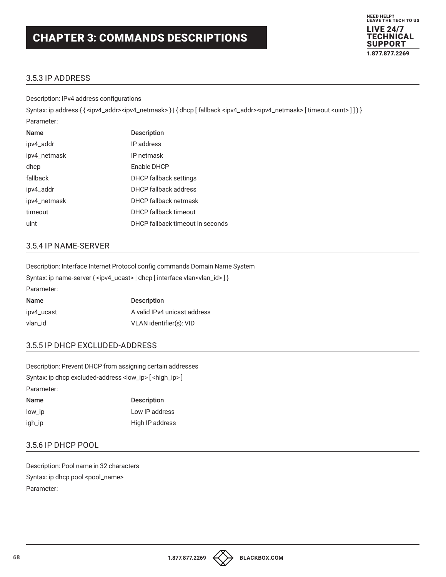

## 3.5.3 IP ADDRESS

Description: IPv4 address configurations

Syntax: ip address { { <ipv4\_addr><ipv4\_netmask> } | { dhcp [ fallback <ipv4\_addr><ipv4\_netmask> [ timeout <uint> ] ] } } Parameter:

| <b>Name</b>  | <b>Description</b>               |
|--------------|----------------------------------|
| ipv4_addr    | IP address                       |
| ipv4_netmask | IP netmask                       |
| dhcp         | Enable DHCP                      |
| fallback     | DHCP fallback settings           |
| ipv4_addr    | DHCP fallback address            |
| ipv4_netmask | DHCP fallback netmask            |
| timeout      | DHCP fallback timeout            |
| uint         | DHCP fallback timeout in seconds |

## 3.5.4 IP NAME-SERVER

Description: Interface Internet Protocol config commands Domain Name System Syntax: ip name-server { <ipv4\_ucast> | dhcp [ interface vlan<vlan\_id> ] } Parameter:

| Name       | <b>Description</b>           |
|------------|------------------------------|
| ipv4_ucast | A valid IPv4 unicast address |
| vlan_id    | VLAN identifier(s): VID      |

## 3.5.5 IP DHCP EXCLUDED-ADDRESS

Description: Prevent DHCP from assigning certain addresses Syntax: ip dhcp excluded-address <low\_ip> [ <high\_ip> ] Parameter: Name Description

| low_ip | Low IP address  |
|--------|-----------------|
| igh_ip | High IP address |

## 3.5.6 IP DHCP POOL

Description: Pool name in 32 characters Syntax: ip dhcp pool <pool\_name> Parameter:

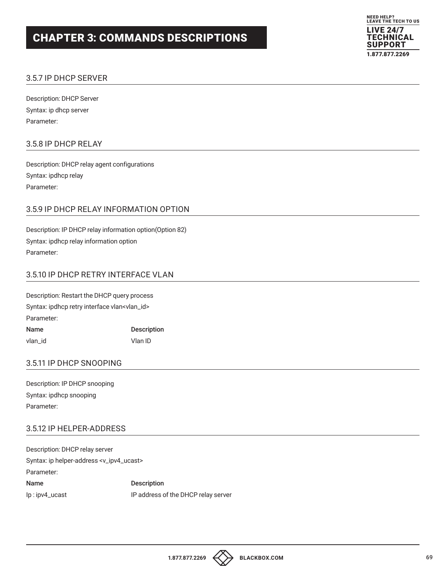

## 3.5.7 IP DHCP SERVER

Description: DHCP Server Syntax: ip dhcp server Parameter:

#### 3.5.8 IP DHCP RELAY

Description: DHCP relay agent configurations Syntax: ipdhcp relay Parameter:

### 3.5.9 IP DHCP RELAY INFORMATION OPTION

Description: IP DHCP relay information option(Option 82) Syntax: ipdhcp relay information option Parameter:

### 3.5.10 IP DHCP RETRY INTERFACE VLAN

Description: Restart the DHCP query process Syntax: ipdhcp retry interface vlan<vlan\_id> Parameter: Name Description vlan\_id Vlan ID

#### 3.5.11 IP DHCP SNOOPING

Description: IP DHCP snooping Syntax: ipdhcp snooping Parameter:

### 3.5.12 IP HELPER-ADDRESS

Description: DHCP relay server Syntax: ip helper-address <v\_ipv4\_ucast> Parameter: Name Description Ip : ipv4\_ucast IP address of the DHCP relay server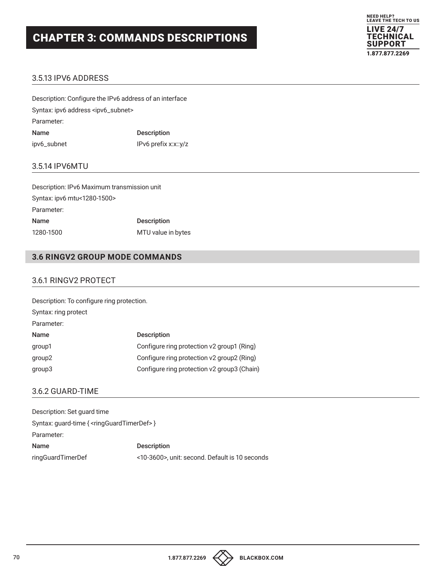

## 3.5.13 IPV6 ADDRESS

Description: Configure the IPv6 address of an interface Syntax: ipv6 address <ipv6\_subnet> Parameter: Name Description ipv6\_subnet IPv6 prefix x:x::y/z

#### 3.5.14 IPV6MTU

Description: IPv6 Maximum transmission unit Syntax: ipv6 mtu<1280-1500> Parameter: Name Description 1280-1500 MTU value in bytes

### **3.6 RINGV2 GROUP MODE COMMANDS**

#### 3.6.1 RINGV2 PROTECT

| Description: To configure ring protection. |                                             |
|--------------------------------------------|---------------------------------------------|
| Syntax: ring protect                       |                                             |
| Parameter:                                 |                                             |
| Name                                       | <b>Description</b>                          |
| group1                                     | Configure ring protection v2 group1 (Ring)  |
| group <sub>2</sub>                         | Configure ring protection v2 group2 (Ring)  |
| group3                                     | Configure ring protection v2 group3 (Chain) |
|                                            |                                             |

## 3.6.2 GUARD-TIME

| Description: Set guard time                                    |                                                |
|----------------------------------------------------------------|------------------------------------------------|
| Syntax: guard-time { <ringguardtimerdef> }</ringguardtimerdef> |                                                |
| Parameter:                                                     |                                                |
| Name                                                           | <b>Description</b>                             |
| ringGuardTimerDef                                              | <10-3600>, unit: second. Default is 10 seconds |

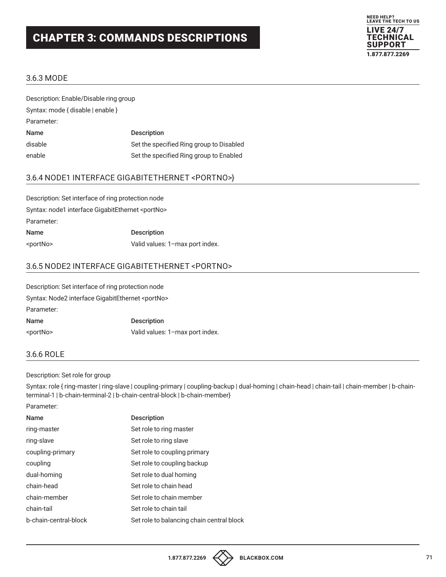

#### 3.6.3 MODE

| Description: Enable/Disable ring group |                                          |
|----------------------------------------|------------------------------------------|
| Syntax: mode { disable   enable }      |                                          |
| Parameter:                             |                                          |
| Name                                   | <b>Description</b>                       |
| disable                                | Set the specified Ring group to Disabled |
| enable                                 | Set the specified Ring group to Enabled  |

## 3.6.4 NODE1 INTERFACE GIGABITETHERNET <PORTNO>}

| Description: Set interface of ring protection node        |                                 |
|-----------------------------------------------------------|---------------------------------|
| Syntax: node1 interface GigabitEthernet <portno></portno> |                                 |
| Parameter:                                                |                                 |
| Name                                                      | <b>Description</b>              |
| <portno></portno>                                         | Valid values: 1-max port index. |

## 3.6.5 NODE2 INTERFACE GIGABITETHERNET <PORTNO>

| Description: Set interface of ring protection node        |                                 |
|-----------------------------------------------------------|---------------------------------|
| Syntax: Node2 interface GigabitEthernet <portno></portno> |                                 |
| Parameter:                                                |                                 |
| Name                                                      | <b>Description</b>              |
| <portno></portno>                                         | Valid values: 1-max port index. |

#### 3.6.6 ROLE

#### Description: Set role for group

Syntax: role { ring-master | ring-slave | coupling-primary | coupling-backup | dual-homing | chain-head | chain-tail | chain-member | b-chainterminal-1 | b-chain-terminal-2 | b-chain-central-block | b-chain-member}

| Parameter:            |                                           |
|-----------------------|-------------------------------------------|
| <b>Name</b>           | Description                               |
| ring-master           | Set role to ring master                   |
| ring-slave            | Set role to ring slave                    |
| coupling-primary      | Set role to coupling primary              |
| coupling              | Set role to coupling backup               |
| dual-homing           | Set role to dual homing                   |
| chain-head            | Set role to chain head                    |
| chain-member          | Set role to chain member                  |
| chain-tail            | Set role to chain tail                    |
| b-chain-central-block | Set role to balancing chain central block |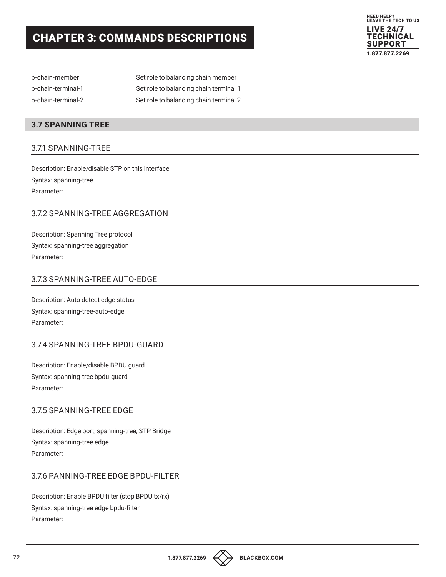

| b-chain-member     | Set role to balancing chain member     |
|--------------------|----------------------------------------|
| b-chain-terminal-1 | Set role to balancing chain terminal 1 |
| b-chain-terminal-2 | Set role to balancing chain terminal 2 |

### **3.7 SPANNING TREE**

#### 3.7.1 SPANNING-TREE

Description: Enable/disable STP on this interface Syntax: spanning-tree Parameter:

## 3.7.2 SPANNING-TREE AGGREGATION

Description: Spanning Tree protocol Syntax: spanning-tree aggregation Parameter:

### 3.7.3 SPANNING-TREE AUTO-EDGE

Description: Auto detect edge status Syntax: spanning-tree-auto-edge Parameter:

#### 3.7.4 SPANNING-TREE BPDU-GUARD

Description: Enable/disable BPDU guard Syntax: spanning-tree bpdu-guard Parameter:

#### 3.7.5 SPANNING-TREE EDGE

Description: Edge port, spanning-tree, STP Bridge Syntax: spanning-tree edge Parameter:

#### 3.7.6 PANNING-TREE EDGE BPDU-FILTER

Description: Enable BPDU filter (stop BPDU tx/rx) Syntax: spanning-tree edge bpdu-filter Parameter:

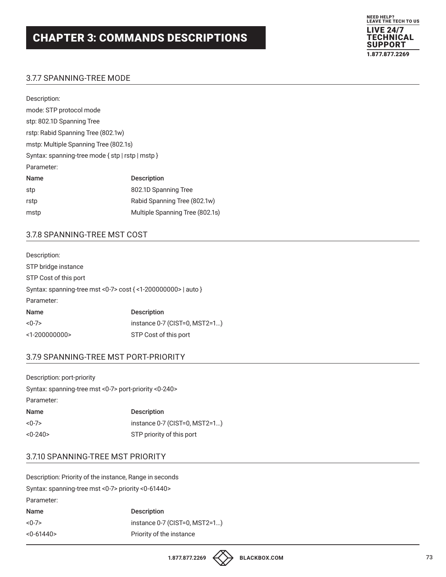

## 3.7.7 SPANNING-TREE MODE

| Description:                                     |                                 |  |
|--------------------------------------------------|---------------------------------|--|
| mode: STP protocol mode                          |                                 |  |
| stp: 802.1D Spanning Tree                        |                                 |  |
| rstp: Rabid Spanning Tree (802.1w)               |                                 |  |
| mstp: Multiple Spanning Tree (802.1s)            |                                 |  |
| Syntax: spanning-tree mode { stp   rstp   mstp } |                                 |  |
| Parameter:                                       |                                 |  |
| <b>Name</b>                                      | Description                     |  |
| stp                                              | 802.1D Spanning Tree            |  |
| rstp                                             | Rabid Spanning Tree (802.1w)    |  |
| mstp                                             | Multiple Spanning Tree (802.1s) |  |

## 3.7.8 SPANNING-TREE MST COST

| Description:                                                  |                               |
|---------------------------------------------------------------|-------------------------------|
| STP bridge instance                                           |                               |
| STP Cost of this port                                         |                               |
| Syntax: spanning-tree mst <0-7> cost { <1-200000000>   auto } |                               |
| Parameter:                                                    |                               |
| <b>Name</b>                                                   | <b>Description</b>            |
| $<0-7>$                                                       | instance 0-7 (CIST=0, MST2=1) |
| $<$ 1-200000000>                                              | STP Cost of this port         |

## 3.7.9 SPANNING-TREE MST PORT-PRIORITY

| Description: port-priority                            |                               |  |
|-------------------------------------------------------|-------------------------------|--|
| Syntax: spanning-tree mst <0-7> port-priority <0-240> |                               |  |
| Parameter:                                            |                               |  |
| Name                                                  | <b>Description</b>            |  |
| $<0-7>$                                               | instance 0-7 (CIST=0, MST2=1) |  |
| $< 0 - 240$                                           | STP priority of this port     |  |

## 3.7.10 SPANNING-TREE MST PRIORITY

Description: Priority of the instance, Range in seconds Syntax: spanning-tree mst <0-7> priority <0-61440> Parameter: Name Description <0-7> instance 0-7 (CIST=0, MST2=1...)

| < 0.61440 | Priority of the instance |
|-----------|--------------------------|
|           |                          |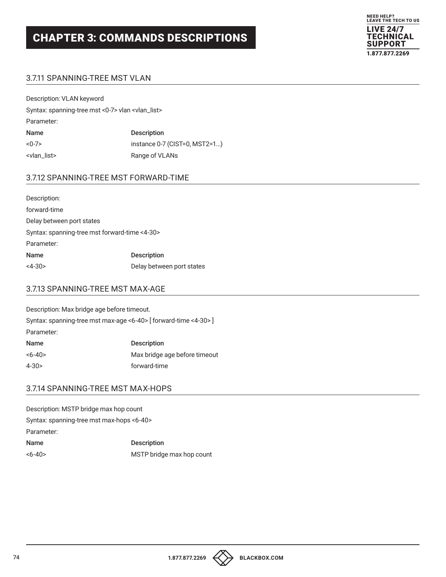

## 3.7.11 SPANNING-TREE MST VLAN

| Description: VLAN keyword                                    |                               |  |
|--------------------------------------------------------------|-------------------------------|--|
| Syntax: spanning-tree mst <0-7> vlan <vlan_list></vlan_list> |                               |  |
| Parameter:                                                   |                               |  |
| Name                                                         | <b>Description</b>            |  |
| $< 0 - 7$                                                    | instance 0-7 (CIST=0, MST2=1) |  |
| <vlan_list></vlan_list>                                      | Range of VLANs                |  |
|                                                              |                               |  |

## 3.7.12 SPANNING-TREE MST FORWARD-TIME

| Description:                                  |                           |  |
|-----------------------------------------------|---------------------------|--|
| forward-time                                  |                           |  |
| Delay between port states                     |                           |  |
| Syntax: spanning-tree mst forward-time <4-30> |                           |  |
| Parameter:                                    |                           |  |
| <b>Name</b>                                   | <b>Description</b>        |  |
| $<4-30>$                                      | Delay between port states |  |

#### 3.7.13 SPANNING-TREE MST MAX-AGE

Description: Max bridge age before timeout. Syntax: spanning-tree mst max-age <6-40> [ forward-time <4-30> ] Parameter: Name Description <6-40> Max bridge age before timeout 4-30> forward-time

## 3.7.14 SPANNING-TREE MST MAX-HOPS

Description: MSTP bridge max hop count Syntax: spanning-tree mst max-hops <6-40> Parameter: Name Description <6-40> MSTP bridge max hop count



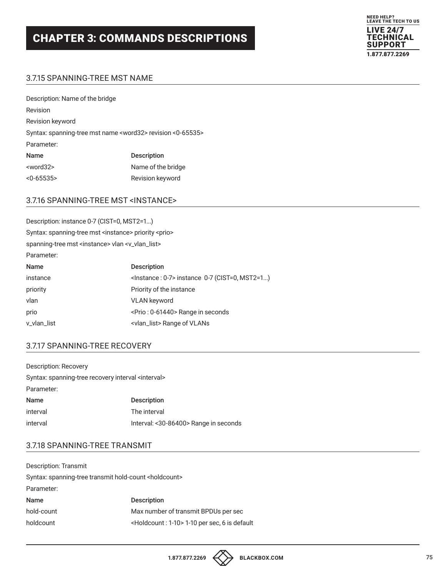

## 3.7.15 SPANNING-TREE MST NAME

| Description: Name of the bridge                                           |                    |  |
|---------------------------------------------------------------------------|--------------------|--|
| Revision                                                                  |                    |  |
| Revision keyword                                                          |                    |  |
| Syntax: spanning-tree mst name <word32> revision &lt;0-65535&gt;</word32> |                    |  |
| Parameter:                                                                |                    |  |
| <b>Name</b>                                                               | <b>Description</b> |  |
| $<$ word $32>$                                                            | Name of the bridge |  |
| < 0.65535                                                                 | Revision keyword   |  |

#### 3.7.16 SPANNING-TREE MST <INSTANCE>

| Description: instance 0-7 (CIST=0, MST2=1)                               |                                                              |  |
|--------------------------------------------------------------------------|--------------------------------------------------------------|--|
| Syntax: spanning-tree mst <instance> priority <prio></prio></instance>   |                                                              |  |
| spanning-tree mst <instance> vlan <v_vlan_list></v_vlan_list></instance> |                                                              |  |
| Parameter:                                                               |                                                              |  |
| Name                                                                     | <b>Description</b>                                           |  |
| instance                                                                 | <lnstance: 0-7=""> instance 0-7 (CIST=0, MST2=1)</lnstance:> |  |
| priority                                                                 | Priority of the instance                                     |  |
| vlan                                                                     | <b>VLAN</b> keyword                                          |  |
| prio                                                                     | <prio: 0-61440=""> Range in seconds</prio:>                  |  |
| v_vlan_list                                                              | <vlan_list> Range of VLANs</vlan_list>                       |  |

## 3.7.17 SPANNING-TREE RECOVERY

| Description: Recovery                                         |                                       |  |
|---------------------------------------------------------------|---------------------------------------|--|
| Syntax: spanning-tree recovery interval <interval></interval> |                                       |  |
| Parameter:                                                    |                                       |  |
| Name                                                          | <b>Description</b>                    |  |
| interval                                                      | The interval                          |  |
| interval                                                      | Interval: <30-86400> Range in seconds |  |

## 3.7.18 SPANNING-TREE TRANSMIT

| Description: Transmit                                             |                                                              |  |
|-------------------------------------------------------------------|--------------------------------------------------------------|--|
| Syntax: spanning-tree transmit hold-count <holdcount></holdcount> |                                                              |  |
| Parameter:                                                        |                                                              |  |
| Name                                                              | <b>Description</b>                                           |  |
| hold-count                                                        | Max number of transmit BPDUs per sec                         |  |
| holdcount                                                         | <holdcount: 1-10=""> 1-10 per sec, 6 is default</holdcount:> |  |
|                                                                   |                                                              |  |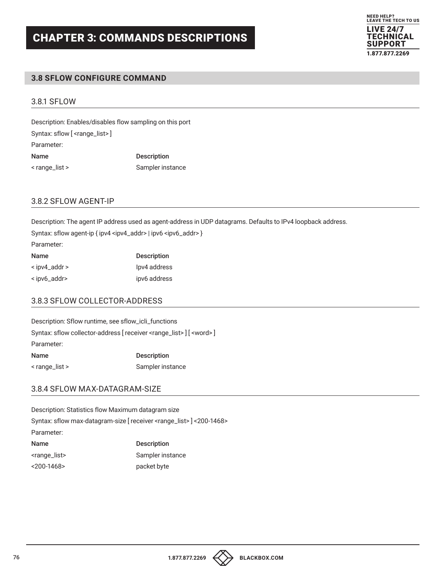## **3.8 SFLOW CONFIGURE COMMAND**

#### 3.8.1 SFLOW

Description: Enables/disables flow sampling on this port Syntax: sflow [ <range\_list>] Parameter: Name Description < range\_list > Sampler instance

## 3.8.2 SFLOW AGENT-IP

Description: The agent IP address used as agent-address in UDP datagrams. Defaults to IPv4 loopback address. Syntax: sflow agent-ip { ipv4 <ipv4\_addr> | ipv6 <ipv6\_addr> } Parameter: Name Description < ipv4\_addr > Ipv4 address < ipv6\_addr> ipv6 address

## 3.8.3 SFLOW COLLECTOR-ADDRESS

Description: Sflow runtime, see sflow\_icli\_functions Syntax: sflow collector-address [ receiver <range\_list> ] [ <word> ] Parameter: Name Description

#### 3.8.4 SFLOW MAX-DATAGRAM-SIZE

< range\_list > Sampler instance

Description: Statistics flow Maximum datagram size Syntax: sflow max-datagram-size [ receiver <range\_list> ] <200-1468> Parameter: Name Description <range\_list> Sampler instance <200-1468> packet byte

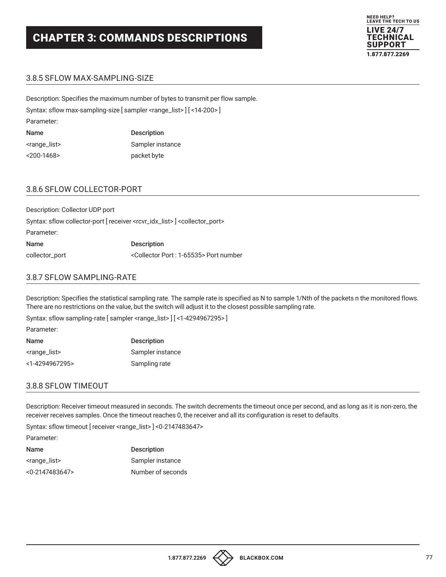

## 3.8.5 SFLOW MAX-SAMPLING-SIZE

Description: Specifies the maximum number of bytes to transmit per flow sample. Syntax: sflow max-sampling-size [ sampler <range\_list> ] [ <14-200> ] Parameter: Name Description <range\_list> Sampler instance <200-1468> packet byte

#### 3.8.6 SFLOW COLLECTOR-PORT

Description: Collector UDP port Syntax: sflow collector-port [ receiver <rcvr\_idx\_list> ] <collector\_port> Parameter: Name Description collector\_port <Collector Port : 1-65535> Port number

#### 3.8.7 SFLOW SAMPLING-RATE

Description: Specifies the statistical sampling rate. The sample rate is specified as N to sample 1/Nth of the packets n the monitored flows. There are no restrictions on the value, but the switch will adjust it to the closest possible sampling rate.

Syntax: sflow sampling-rate [ sampler <range\_list> ] [ <1-4294967295> ]

Parameter:

| Name                      | <b>Description</b> |
|---------------------------|--------------------|
| <range_list></range_list> | Sampler instance   |
| <1-4294967295>            | Sampling rate      |

#### 3.8.8 SFLOW TIMEOUT

Description: Receiver timeout measured in seconds. The switch decrements the timeout once per second, and as long as it is non-zero, the receiver receives samples. Once the timeout reaches 0, the receiver and all its configuration is reset to defaults.

Syntax: sflow timeout [ receiver <range\_list> ] <0-2147483647>

Parameter:

| Name                      | <b>Description</b> |
|---------------------------|--------------------|
| <range_list></range_list> | Sampler instance   |
| <0-2147483647>            | Number of seconds  |

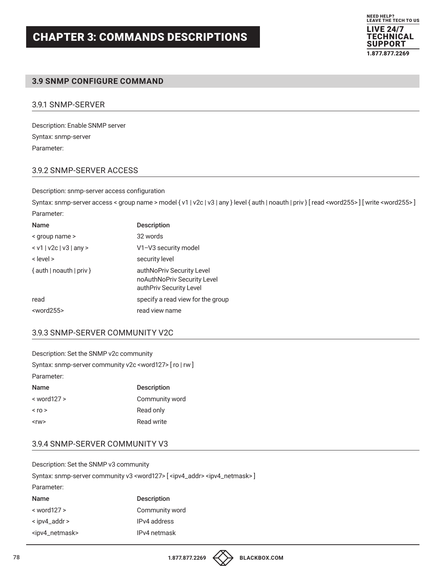

### **3.9 SNMP CONFIGURE COMMAND**

#### 3.9.1 SNMP-SERVER

Description: Enable SNMP server Syntax: snmp-server Parameter:

#### 3.9.2 SNMP-SERVER ACCESS

Description: snmp-server access configuration

Syntax: snmp-server access < group name > model { v1 | v2c | v3 | any } level { auth | noauth | priv } [read <word255>] [write <word255>] Parameter:

| <b>Description</b>                                                                  |
|-------------------------------------------------------------------------------------|
| 32 words                                                                            |
| V1-V3 security model                                                                |
| security level                                                                      |
| authNoPriv Security Level<br>noAuthNoPriv Security Level<br>authPriv Security Level |
| specify a read view for the group                                                   |
| read view name                                                                      |
|                                                                                     |

## 3.9.3 SNMP-SERVER COMMUNITY V2C

| Description: Set the SNMP v2c community |                                                                 |
|-----------------------------------------|-----------------------------------------------------------------|
|                                         | Syntax: snmp-server community v2c <word127> [ro   rw]</word127> |
| Parameter:                              |                                                                 |
| <b>Name</b>                             | <b>Description</b>                                              |
| $<$ word $127$ >                        | Community word                                                  |
| $<$ ro $>$                              | Read only                                                       |
| $<$ rw $>$                              | Read write                                                      |

#### 3.9.4 SNMP-SERVER COMMUNITY V3

Description: Set the SNMP v3 community Syntax: snmp-server community v3 <word127> [ <ipv4\_addr> <ipv4\_netmask>] Parameter: Name Description

| $\leq$ word 127 $>$           | Community word |
|-------------------------------|----------------|
| $\le$ ipv4_addr $\ge$         | IPv4 address   |
| <ipv4_netmask></ipv4_netmask> | IPv4 netmask   |



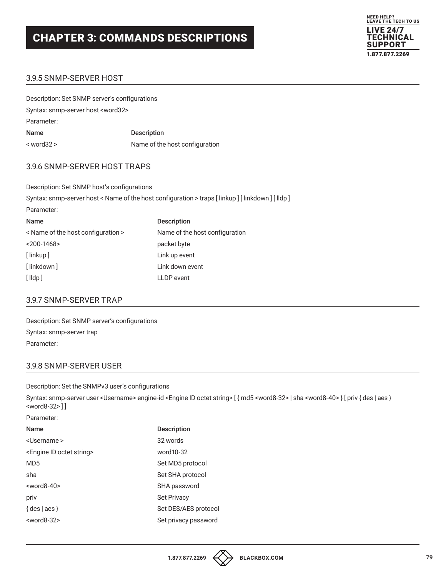

## 3.9.5 SNMP-SERVER HOST

| Description: Set SNMP server's configurations |                                |
|-----------------------------------------------|--------------------------------|
| Syntax: snmp-server host <word32></word32>    |                                |
| Parameter:                                    |                                |
| Name                                          | <b>Description</b>             |
| < word32 >                                    | Name of the host configuration |

#### 3.9.6 SNMP-SERVER HOST TRAPS

Description: Set SNMP host's configurations Syntax: snmp-server host < Name of the host configuration > traps [ linkup ] [ linkdown ] [ lldp ] Parameter: Name Description < Name of the host configuration > Name of the host configuration <200-1468> packet byte [ linkup ] Link up event [ linkdown ] Link down event [ lldp ] LLDP event

#### 3.9.7 SNMP-SERVER TRAP

Description: Set SNMP server's configurations Syntax: snmp-server trap Parameter:

#### 3.9.8 SNMP-SERVER USER

Description: Set the SNMPv3 user's configurations

Syntax: snmp-server user <Username> engine-id <Engine ID octet string> [ { md5 <word8-32> | sha <word8-40> } [ priv { des | aes } <word8-32> ] ]

Parameter:

| <b>Name</b>                                | <b>Description</b>   |
|--------------------------------------------|----------------------|
| <username></username>                      | 32 words             |
| <engine id="" octet="" string=""></engine> | word10-32            |
| MD <sub>5</sub>                            | Set MD5 protocol     |
| sha                                        | Set SHA protocol     |
| $<$ word8-40 $>$                           | SHA password         |
| priv                                       | <b>Set Privacy</b>   |
| $\{ des   aes \}$                          | Set DES/AES protocol |
| $<$ word8-32 $>$                           | Set privacy password |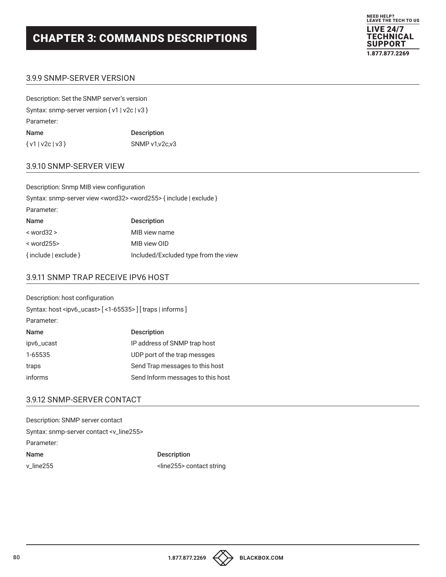

## 3.9.9 SNMP-SERVER VERSION

| Description: Set the SNMP server's version      |                    |
|-------------------------------------------------|--------------------|
| Syntax: snmp-server version $\{v1   v2c   v3\}$ |                    |
| Parameter:                                      |                    |
| Name                                            | <b>Description</b> |
| $\{v1   v2c   v3\}$                             | SNMP v1.v2c.v3     |

## 3.9.10 SNMP-SERVER VIEW

| Description: Snmp MIB view configuration                                             |                                      |
|--------------------------------------------------------------------------------------|--------------------------------------|
| Syntax: snmp-server view <word32> <word255> { include   exclude }</word255></word32> |                                      |
| Parameter:                                                                           |                                      |
| <b>Name</b>                                                                          | <b>Description</b>                   |
| $<$ word $32$ >                                                                      | MIB view name                        |
| $<$ word 255 $>$                                                                     | MIB view OID                         |
| { include   exclude }                                                                | Included/Excluded type from the view |

#### 3.9.11 SNMP TRAP RECEIVE IPV6 HOST

| Description: host configuration                                             |                                   |
|-----------------------------------------------------------------------------|-----------------------------------|
| Syntax: host <ipv6_ucast> [&lt;1-65535&gt;] [traps   informs ]</ipv6_ucast> |                                   |
| Parameter:                                                                  |                                   |
| Name                                                                        | <b>Description</b>                |
| ipv6_ucast                                                                  | IP address of SNMP trap host      |
| 1-65535                                                                     | UDP port of the trap messges      |
| traps                                                                       | Send Trap messages to this host   |
| informs                                                                     | Send Inform messages to this host |

#### 3.9.12 SNMP-SERVER CONTACT

| Description: SNMP server contact                    |                                    |
|-----------------------------------------------------|------------------------------------|
| Syntax: snmp-server contact <v_line255></v_line255> |                                    |
| Parameter:                                          |                                    |
| <b>Name</b>                                         | <b>Description</b>                 |
| $\vee$ line 255                                     | <line255> contact string</line255> |



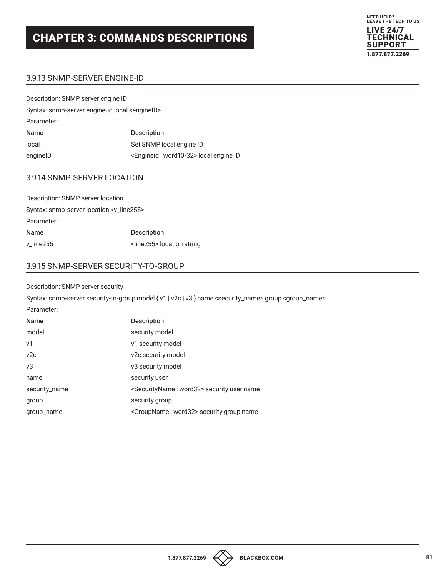

## 3.9.13 SNMP-SERVER ENGINE-ID

| Description: SNMP server engine ID                        |                                                      |  |
|-----------------------------------------------------------|------------------------------------------------------|--|
| Syntax: snmp-server engine-id local <engineid></engineid> |                                                      |  |
| Parameter:                                                |                                                      |  |
| Name                                                      | <b>Description</b>                                   |  |
| local                                                     | Set SNMP local engine ID                             |  |
| enginelD                                                  | <engineid: word10-32=""> local engine ID</engineid:> |  |

### 3.9.14 SNMP-SERVER LOCATION

| Description: SNMP server location                    |                                     |
|------------------------------------------------------|-------------------------------------|
| Syntax: snmp-server location <v_line255></v_line255> |                                     |
| Parameter:                                           |                                     |
| <b>Name</b>                                          | <b>Description</b>                  |
| v_line255                                            | <line255> location string</line255> |

## 3.9.15 SNMP-SERVER SECURITY-TO-GROUP

#### Description: SNMP server security

Syntax: snmp-server security-to-group model { v1 | v2c | v3 } name <security\_name> group <group\_name>

| Parameter:     |                                                              |
|----------------|--------------------------------------------------------------|
| <b>Name</b>    | <b>Description</b>                                           |
| model          | security model                                               |
| v <sub>1</sub> | v1 security model                                            |
| v2c            | v2c security model                                           |
| v3             | v3 security model                                            |
| name           | security user                                                |
| security_name  | <securityname: word32=""> security user name</securityname:> |
| group          | security group                                               |
| group_name     | <groupname: word32=""> security group name</groupname:>      |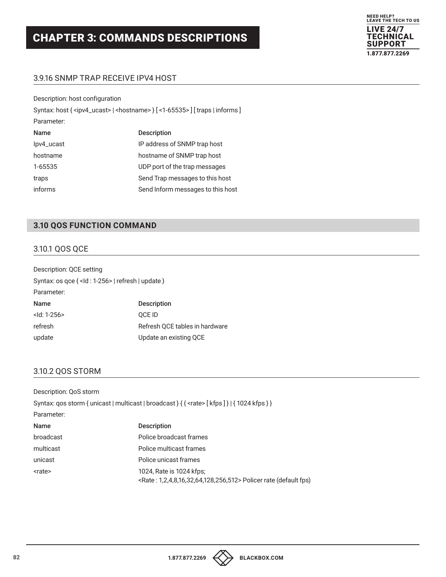

## 3.9.16 SNMP TRAP RECEIVE IPV4 HOST

| Description: host configuration                                                                            |                                   |  |
|------------------------------------------------------------------------------------------------------------|-----------------------------------|--|
| Syntax: host { <ipv4_ucast>   <hostname> } [ &lt;1-65535&gt; ] [ traps   informs ]</hostname></ipv4_ucast> |                                   |  |
| Parameter:                                                                                                 |                                   |  |
| <b>Name</b>                                                                                                | <b>Description</b>                |  |
| lpv4_ucast                                                                                                 | IP address of SNMP trap host      |  |
| hostname                                                                                                   | hostname of SNMP trap host        |  |
| 1-65535                                                                                                    | UDP port of the trap messages     |  |
| traps                                                                                                      | Send Trap messages to this host   |  |
| informs                                                                                                    | Send Inform messages to this host |  |

## **3.10 QOS FUNCTION COMMAND**

## 3.10.1 QOS QCE

| Description: QCE setting                                |                                |
|---------------------------------------------------------|--------------------------------|
| Syntax: os $qce \{ <  d : 1-256 >  $ refresh   update } |                                |
| Parameter:                                              |                                |
| <b>Name</b>                                             | <b>Description</b>             |
| $<$ ld: 1-256 $>$                                       | <b>OCE ID</b>                  |
| refresh                                                 | Refresh QCE tables in hardware |
| update                                                  | Update an existing QCE         |

#### 3.10.2 QOS STORM

Description: QoS storm

|               | Syntax: qos storm { unicast   multicast   broadcast } { { <rate> [kfps ] }   { 1024 kfps } }</rate>    |
|---------------|--------------------------------------------------------------------------------------------------------|
| Parameter:    |                                                                                                        |
| Name          | <b>Description</b>                                                                                     |
| broadcast     | Police broadcast frames                                                                                |
| multicast     | Police multicast frames                                                                                |
| unicast       | Police unicast frames                                                                                  |
| <rate></rate> | 1024, Rate is 1024 kfps;<br><rate: 1,2,4,8,16,32,64,128,256,512=""> Policer rate (default fps)</rate:> |
|               |                                                                                                        |

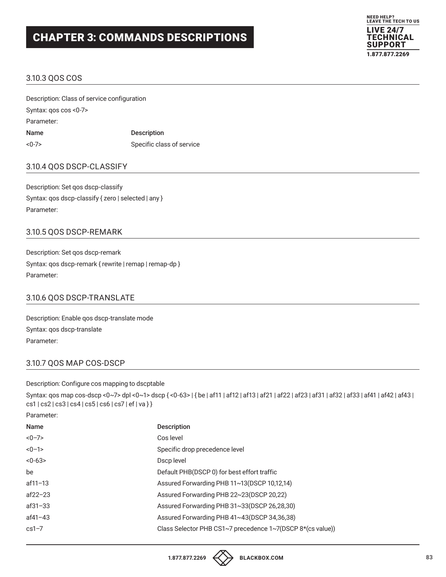

#### 3.10.3 QOS COS

Description: Class of service configuration Syntax: qos cos <0-7> Parameter: Name Description <0-7> Specific class of service

#### 3.10.4 QOS DSCP-CLASSIFY

Description: Set qos dscp-classify Syntax: qos dscp-classify { zero | selected | any } Parameter:

#### 3.10.5 QOS DSCP-REMARK

Description: Set qos dscp-remark Syntax: qos dscp-remark { rewrite | remap | remap-dp } Parameter:

### 3.10.6 QOS DSCP-TRANSLATE

Description: Enable qos dscp-translate mode Syntax: qos dscp-translate Parameter:

#### 3.10.7 QOS MAP COS-DSCP

#### Description: Configure cos mapping to dscptable

Syntax: qos map cos-dscp <0~7> dpl <0~1> dscp { <0-63> | { be | af11 | af12 | af12 | af21 | af22 | af23 | af31 | af32 | af33 | af41 | af42 | af43 | cs1 | cs2 | cs3 | cs4 | cs5 | cs6 | cs7 | ef | va } }

Parameter:

| Name        | <b>Description</b>                                         |
|-------------|------------------------------------------------------------|
| $<0-7>$     | Cos level                                                  |
| $<0-1>$     | Specific drop precedence level                             |
| $<0-63>$    | Dscp level                                                 |
| be          | Default PHB(DSCP 0) for best effort traffic                |
| $af11 - 13$ | Assured Forwarding PHB 11~13(DSCP 10,12,14)                |
| $af22 - 23$ | Assured Forwarding PHB 22~23(DSCP 20,22)                   |
| $af31 - 33$ | Assured Forwarding PHB 31~33(DSCP 26,28,30)                |
| $af41 - 43$ | Assured Forwarding PHB 41~43(DSCP 34,36,38)                |
| $cs1-7$     | Class Selector PHB CS1~7 precedence 1~7(DSCP 8*(cs value)) |
|             |                                                            |

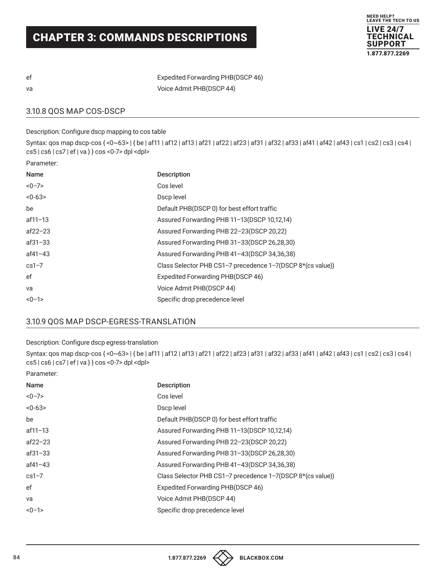

| ef | <b>Expedited Forwarding PHB(DSCP 46)</b> |
|----|------------------------------------------|
| va | Voice Admit PHB(DSCP 44)                 |

3.10.8 QOS MAP COS-DSCP

Description: Configure dscp mapping to cos table

Syntax: qos map dscp-cos { <0~63> | { be | af11 | af12 | af13 | af21 | af22 | af23 | af31 | af32 | af33 | af41 | af42 | af43 | cs1 | cs2 | cs3 | cs4 | cs5 | cs6 | cs7 | ef | va } } cos <0-7> dpl <dpl>

Parameter:

| Name        | <b>Description</b>                                         |
|-------------|------------------------------------------------------------|
| $<0-7>$     | Cos level                                                  |
| $<0-63>$    | Dscp level                                                 |
| be          | Default PHB(DSCP 0) for best effort traffic                |
| $af11 - 13$ | Assured Forwarding PHB 11-13(DSCP 10,12,14)                |
| $af22 - 23$ | Assured Forwarding PHB 22-23(DSCP 20,22)                   |
| $af31 - 33$ | Assured Forwarding PHB 31-33(DSCP 26,28,30)                |
| af41-43     | Assured Forwarding PHB 41-43(DSCP 34,36,38)                |
| $cs1-7$     | Class Selector PHB CS1-7 precedence 1-7(DSCP 8*(cs value)) |
| ef          | Expedited Forwarding PHB(DSCP 46)                          |
| va          | Voice Admit PHB(DSCP 44)                                   |
| $<0-1>$     | Specific drop precedence level                             |

## 3.10.9 QOS MAP DSCP-EGRESS-TRANSLATION

#### Description: Configure dscp egress-translation

Syntax: qos map dscp-cos { <0~63> | { be | af11 | af12 | af13 | af21 | af22 | af23 | af31 | af32 | af33 | af41 | af42 | af43 | cs1 | cs2 | cs3 | cs4 | cs5 | cs6 | cs7 | ef | va } } cos <0-7> dpl <dpl>

Parameter:

| Name    | <b>Description</b>                                         |
|---------|------------------------------------------------------------|
| <0-7>   | Cos level                                                  |
| <0-63>  | Dscp level                                                 |
| be      | Default PHB(DSCP 0) for best effort traffic                |
| af11-13 | Assured Forwarding PHB 11-13(DSCP 10,12,14)                |
| af22–23 | Assured Forwarding PHB 22-23(DSCP 20,22)                   |
| af31–33 | Assured Forwarding PHB 31-33(DSCP 26,28,30)                |
| af41–43 | Assured Forwarding PHB 41-43(DSCP 34,36,38)                |
| cs1–7   | Class Selector PHB CS1-7 precedence 1-7(DSCP 8*(cs value)) |
| ef      | Expedited Forwarding PHB(DSCP 46)                          |
| va      | Voice Admit PHB(DSCP 44)                                   |
| <0-1>   | Specific drop precedence level                             |
|         |                                                            |

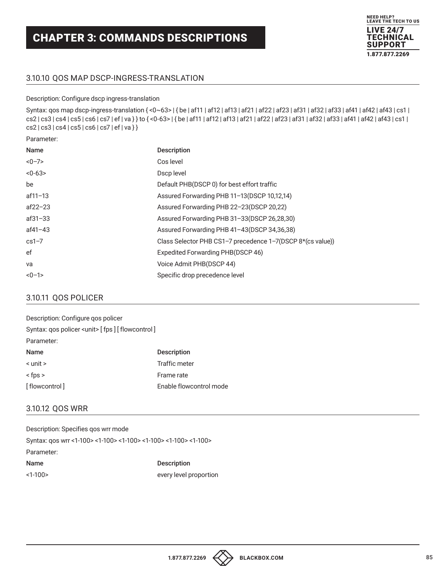

## 3.10.10 QOS MAP DSCP-INGRESS-TRANSLATION

#### Description: Configure dscp ingress-translation

Syntax: qos map dscp-ingress-translation {<0~63> | { be | af11 | af12 | af13 | af21 | af22 | af31 | af31 | af32 | af33 | af41 | af42 | af43 | cs1 | cs2 | cs3 | cs4 | cs5 | cs6 | cs7 | ef | va } } to { <0-63> | { be | af11 | af12 | af13 | af21 | af22 | af23 | af31 | af32 | af33 | af41 | af42 | af43 | cs1 | cs2 | cs3 | cs4 | cs5 | cs6 | cs7 | ef | va } }

Parameter:

| Name        | <b>Description</b>                                         |
|-------------|------------------------------------------------------------|
| $<0-7>$     | Cos level                                                  |
| $<0-63>$    | Dscp level                                                 |
| be          | Default PHB(DSCP 0) for best effort traffic                |
| $af11 - 13$ | Assured Forwarding PHB 11-13(DSCP 10,12,14)                |
| $af22 - 23$ | Assured Forwarding PHB 22-23(DSCP 20,22)                   |
| $af31 - 33$ | Assured Forwarding PHB 31-33(DSCP 26,28,30)                |
| $af41 - 43$ | Assured Forwarding PHB 41-43(DSCP 34,36,38)                |
| $cs1-7$     | Class Selector PHB CS1-7 precedence 1-7(DSCP 8*(cs value)) |
| ef          | Expedited Forwarding PHB(DSCP 46)                          |
| va          | Voice Admit PHB(DSCP 44)                                   |
| $<0-1>$     | Specific drop precedence level                             |

## 3.10.11 QOS POLICER

| Description: Configure qos policer                    |                         |
|-------------------------------------------------------|-------------------------|
| Syntax: gos policer <unit> [fps] [flowcontrol]</unit> |                         |
| Parameter:                                            |                         |
| <b>Name</b>                                           | <b>Description</b>      |
| $\le$ unit $\ge$                                      | Traffic meter           |
| $<$ fps $>$                                           | Frame rate              |
| [flowcontrol]                                         | Enable flowcontrol mode |

## 3.10.12 QOS WRR

| Description: Specifies gos wrr mode                             |                        |
|-----------------------------------------------------------------|------------------------|
| Syntax: gos wrr <1-100> <1-100> <1-100> <1-100> <1-100> <1-100> |                        |
| Parameter:                                                      |                        |
| Name                                                            | <b>Description</b>     |
| <1-100>                                                         | every level proportion |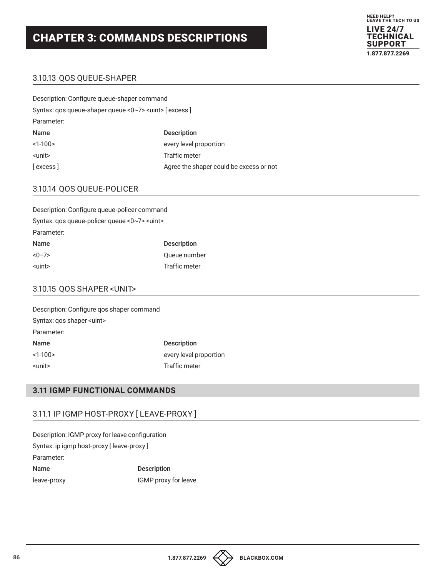

## 3.10.13 QOS QUEUE-SHAPER

| Description: Configure gueue-shaper command                 |                                         |
|-------------------------------------------------------------|-----------------------------------------|
| Syntax: gos queue-shaper queue <0~7> <uint> [excess]</uint> |                                         |
| Parameter:                                                  |                                         |
| Name                                                        | <b>Description</b>                      |
| $<1-100>$                                                   | every level proportion                  |
| <unit></unit>                                               | Traffic meter                           |
| [excess]                                                    | Agree the shaper could be excess or not |

## 3.10.14 QOS QUEUE-POLICER

| Description: Configure queue-policer command        |                    |
|-----------------------------------------------------|--------------------|
| Syntax: qos queue-policer queue <0~7> <uint></uint> |                    |
| Parameter:                                          |                    |
| Name                                                | <b>Description</b> |
| $<0-7>$                                             | Queue number       |
| <uint></uint>                                       | Traffic meter      |

## 3.10.15 QOS SHAPER <UNIT>

| Description: Configure gos shaper command |                        |
|-------------------------------------------|------------------------|
| Syntax: gos shaper <uint></uint>          |                        |
| Parameter:                                |                        |
| Name                                      | <b>Description</b>     |
| $<1-100>$                                 | every level proportion |
| <unit></unit>                             | <b>Traffic meter</b>   |

## **3.11 IGMP FUNCTIONAL COMMANDS**

#### 3.11.1 IP IGMP HOST-PROXY [ LEAVE-PROXY ]

Description: IGMP proxy for leave configuration Syntax: ip igmp host-proxy [ leave-proxy ] Parameter: Name Description leave-proxy **IGMP** proxy for leave

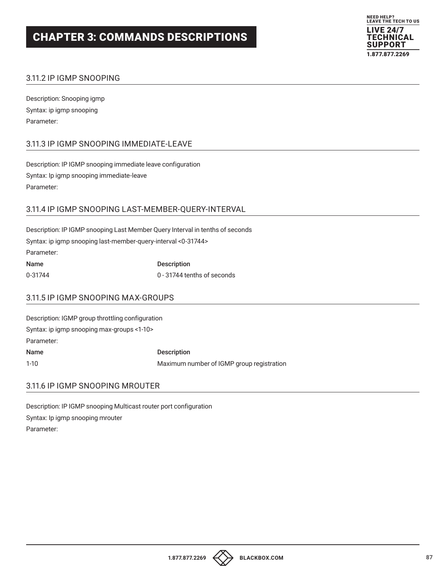

## 3.11.2 IP IGMP SNOOPING

Description: Snooping igmp Syntax: ip igmp snooping Parameter:

## 3.11.3 IP IGMP SNOOPING IMMEDIATE-LEAVE

Description: IP IGMP snooping immediate leave configuration Syntax: Ip igmp snooping immediate-leave Parameter:

#### 3.11.4 IP IGMP SNOOPING LAST-MEMBER-QUERY-INTERVAL

| Description: IP IGMP snooping Last Member Query Interval in tenths of seconds |                             |
|-------------------------------------------------------------------------------|-----------------------------|
| Syntax: ip igmp snooping last-member-guery-interval <0-31744>                 |                             |
| Parameter:                                                                    |                             |
| <b>Name</b>                                                                   | <b>Description</b>          |
| 0-31744                                                                       | 0 - 31744 tenths of seconds |

### 3.11.5 IP IGMP SNOOPING MAX-GROUPS

| Description: IGMP group throttling configuration |                                           |
|--------------------------------------------------|-------------------------------------------|
| Syntax: ip igmp snooping max-groups <1-10>       |                                           |
| Parameter:                                       |                                           |
| Name                                             | <b>Description</b>                        |
| $1-10$                                           | Maximum number of IGMP group registration |

#### 3.11.6 IP IGMP SNOOPING MROUTER

Description: IP IGMP snooping Multicast router port configuration Syntax: Ip igmp snooping mrouter Parameter: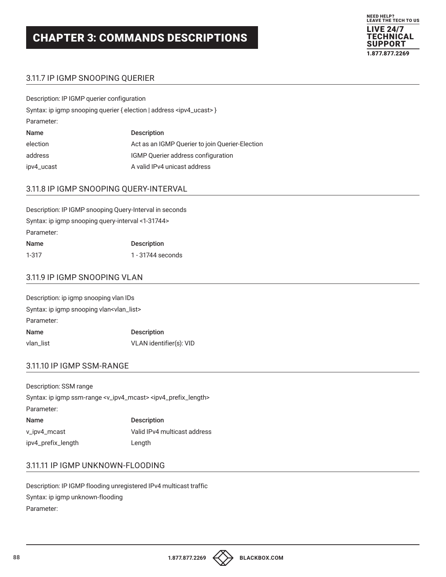

## 3.11.7 IP IGMP SNOOPING QUERIER

Description: IP IGMP querier configuration Syntax: ip igmp snooping querier { election | address <ipv4\_ucast> } Parameter: Name Description election **Act as an IGMP Querier to join Querier-Election** address IGMP Querier address configuration ipv4\_ucast A valid IPv4 unicast address

## 3.11.8 IP IGMP SNOOPING QUERY-INTERVAL

| Description: IP IGMP snooping Query-Interval in seconds |                    |
|---------------------------------------------------------|--------------------|
| Syntax: ip igmp snooping query-interval <1-31744>       |                    |
| Parameter:                                              |                    |
| Name                                                    | <b>Description</b> |
| $1 - 317$                                               | 1 - 31744 seconds  |

#### 3.11.9 IP IGMP SNOOPING VLAN

| Description: ip igmp snooping vlan IDs                |                         |
|-------------------------------------------------------|-------------------------|
| Syntax: ip igmp snooping vlan <vlan_list></vlan_list> |                         |
| Parameter:                                            |                         |
| Name                                                  | <b>Description</b>      |
| vlan_list                                             | VLAN identifier(s): VID |

#### 3.11.10 IP IGMP SSM-RANGE

Description: SSM range Syntax: ip igmp ssm-range <v\_ipv4\_mcast> <ipv4\_prefix\_length> Parameter: Name Description v\_ipv4\_mcast Valid IPv4 multicast address ipv4\_prefix\_length Length

## 3.11.11 IP IGMP UNKNOWN-FLOODING

Description: IP IGMP flooding unregistered IPv4 multicast traffic Syntax: ip igmp unknown-flooding Parameter:

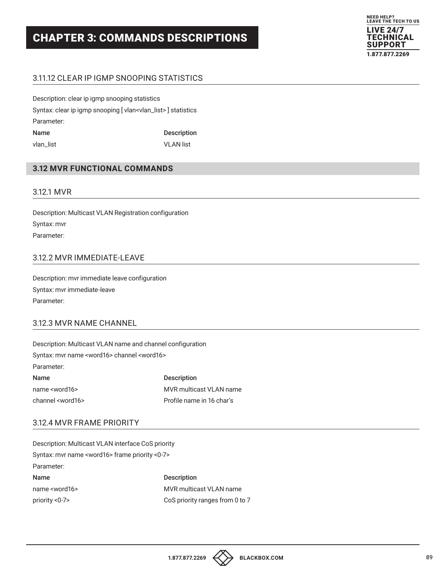

## 3.11.12 CLEAR IP IGMP SNOOPING STATISTICS

Description: clear ip igmp snooping statistics Syntax: clear ip igmp snooping [ vlan<vlan\_list> ] statistics Parameter: Name Description vlan\_list VLAN list

## **3.12 MVR FUNCTIONAL COMMANDS**

#### 3.12.1 MVR

Description: Multicast VLAN Registration configuration Syntax: mvr Parameter:

## 3.12.2 MVR IMMEDIATE-LEAVE

Description: mvr immediate leave configuration Syntax: mvr immediate-leave Parameter:

#### 3.12.3 MVR NAME CHANNEL

Description: Multicast VLAN name and channel configuration Syntax: mvr name <word16> channel <word16> Parameter: Name Description name <word16> MVR multicast VLAN name

channel <word16> Profile name in 16 char's

## 3.12.4 MVR FRAME PRIORITY

Description: Multicast VLAN interface CoS priority Syntax: mvr name <word16> frame priority <0-7> Parameter: Name Description name <word16> MVR multicast VLAN name priority <0-7> CoS priority ranges from 0 to 7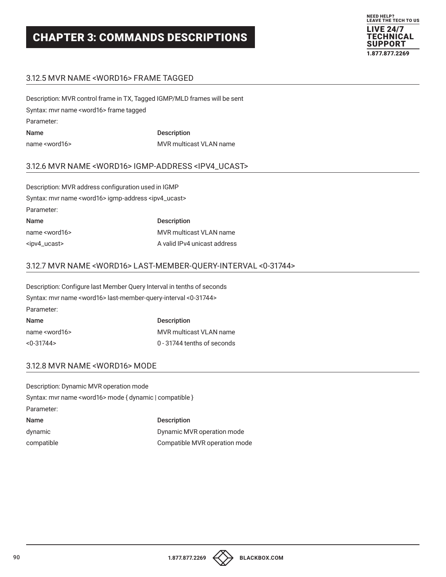

## 3.12.5 MVR NAME <WORD16> FRAME TAGGED

Description: MVR control frame in TX, Tagged IGMP/MLD frames will be sent Syntax: mvr name <word16> frame tagged Parameter: Name Description name <word16> MVR multicast VLAN name

#### 3.12.6 MVR NAME <WORD16> IGMP-ADDRESS <IPV4\_UCAST>

| Description: MVR address configuration used in IGMP                       |                                |
|---------------------------------------------------------------------------|--------------------------------|
| Syntax: myr name <word16> igmp-address <ipv4_ucast></ipv4_ucast></word16> |                                |
| Parameter:                                                                |                                |
| Name                                                                      | <b>Description</b>             |
| name <word16></word16>                                                    | <b>MVR</b> multicast VLAN name |
| <ipv4_ucast></ipv4_ucast>                                                 | A valid IPv4 unicast address   |

#### 3.12.7 MVR NAME <WORD16> LAST-MEMBER-QUERY-INTERVAL <0-31744>

Description: Configure last Member Query Interval in tenths of seconds Syntax: mvr name <word16> last-member-query-interval <0-31744> Parameter: Name Description name <word16> MVR multicast VLAN name <0-31744> 0 - 31744 tenths of seconds

#### 3.12.8 MVR NAME <WORD16> MODE

Description: Dynamic MVR operation mode Syntax: mvr name <word16> mode { dynamic | compatible } Parameter: Name Description dynamic Dynamic MVR operation mode compatible Compatible MVR operation mode

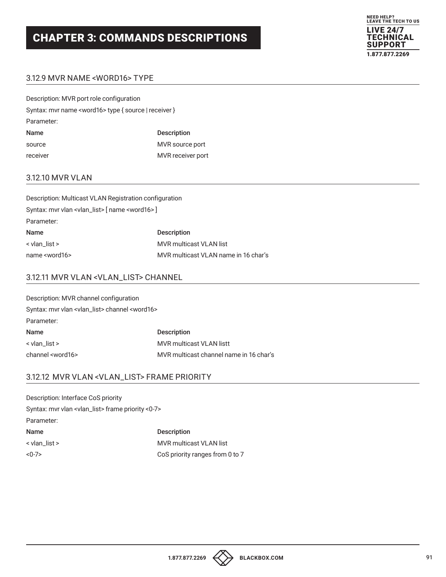

## 3.12.9 MVR NAME <WORD16> TYPE

| Description: MVR port role configuration                      |                    |
|---------------------------------------------------------------|--------------------|
| Syntax: mvr name <word16> type { source   receiver }</word16> |                    |
| Parameter:                                                    |                    |
| Name                                                          | <b>Description</b> |
| source                                                        | MVR source port    |
| receiver                                                      | MVR receiver port  |

### 3.12.10 MVR VLAN

| Description: Multicast VLAN Registration configuration              |                                      |
|---------------------------------------------------------------------|--------------------------------------|
| Syntax: mvr vlan <vlan_list> [ name <word16> ]</word16></vlan_list> |                                      |
| Parameter:                                                          |                                      |
| Name                                                                | <b>Description</b>                   |
| < vlan list >                                                       | MVR multicast VLAN list              |
| name <word16></word16>                                              | MVR multicast VLAN name in 16 char's |

### 3.12.11 MVR VLAN <VLAN\_LIST> CHANNEL

| Description: MVR channel configuration                             |                                         |
|--------------------------------------------------------------------|-----------------------------------------|
| Syntax: mvr vlan <vlan_list> channel <word16></word16></vlan_list> |                                         |
| Parameter:                                                         |                                         |
| <b>Name</b>                                                        | <b>Description</b>                      |
| < vlan list >                                                      | <b>MVR</b> multicast VLAN listt         |
| channel <word16></word16>                                          | MVR multicast channel name in 16 char's |

#### 3.12.12 MVR VLAN <VLAN\_LIST> FRAME PRIORITY

| Description: Interface CoS priority                                 |                                 |
|---------------------------------------------------------------------|---------------------------------|
| Syntax: mvr vlan <vlan_list> frame priority &lt;0-7&gt;</vlan_list> |                                 |
| Parameter:                                                          |                                 |
| Name                                                                | <b>Description</b>              |
| $\le$ vlan list $\ge$                                               | <b>MVR</b> multicast VLAN list  |
| $<0-7>$                                                             | CoS priority ranges from 0 to 7 |

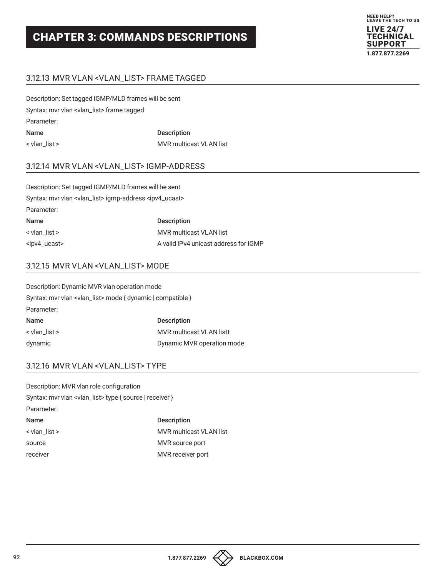

## 3.12.13 MVR VLAN <VLAN\_LIST> FRAME TAGGED

Description: Set tagged IGMP/MLD frames will be sent Syntax: mvr vlan <vlan\_list> frame tagged Parameter: Name Description < vlan\_list > MVR multicast VLAN list

#### 3.12.14 MVR VLAN <VLAN\_LIST> IGMP-ADDRESS

| Description: Set tagged IGMP/MLD frames will be sent                            |                                       |
|---------------------------------------------------------------------------------|---------------------------------------|
| Syntax: mvr vlan <vlan_list> igmp-address <ipv4_ucast></ipv4_ucast></vlan_list> |                                       |
| Parameter:                                                                      |                                       |
| <b>Name</b>                                                                     | <b>Description</b>                    |
| $\le$ vlan_list >                                                               | <b>MVR</b> multicast VLAN list        |
| <ipv4_ucast></ipv4_ucast>                                                       | A valid IPv4 unicast address for IGMP |

## 3.12.15 MVR VLAN <VLAN\_LIST> MODE

| Description: Dynamic MVR vlan operation mode                           |                                 |
|------------------------------------------------------------------------|---------------------------------|
| Syntax: mvr vlan <vlan_list> mode { dynamic   compatible }</vlan_list> |                                 |
| Parameter:                                                             |                                 |
| Name                                                                   | <b>Description</b>              |
| < vlan list >                                                          | <b>MVR</b> multicast VLAN listt |
| dynamic                                                                | Dynamic MVR operation mode      |

#### 3.12.16 MVR VLAN <VLAN\_LIST> TYPE

| Description: MVR vlan role configuration                            |                                |
|---------------------------------------------------------------------|--------------------------------|
| Syntax: mvr vlan <vlan_list> type { source   receiver }</vlan_list> |                                |
| Parameter:                                                          |                                |
| Name                                                                | <b>Description</b>             |
| < vlan list >                                                       | <b>MVR multicast VLAN list</b> |
| source                                                              | MVR source port                |
| receiver                                                            | MVR receiver port              |

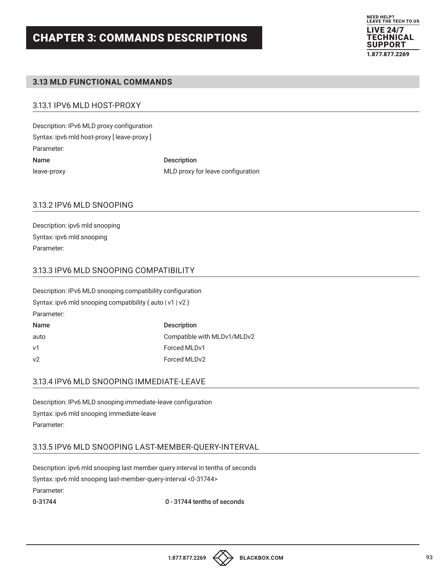

## **3.13 MLD FUNCTIONAL COMMANDS**

## 3.13.1 IPV6 MLD HOST-PROXY

Description: IPv6 MLD proxy configuration Syntax: ipv6 mld host-proxy [ leave-proxy ] Parameter: Name Description

leave-proxy MLD proxy for leave configuration

## 3.13.2 IPV6 MLD SNOOPING

Description: ipv6 mld snooping Syntax: ipv6 mld snooping Parameter:

## 3.13.3 IPV6 MLD SNOOPING COMPATIBILITY

| Description: IPv6 MLD snooping compatibility configuration |                             |
|------------------------------------------------------------|-----------------------------|
| Syntax: ipv6 mld snooping compatibility { auto $ v1 v2$ }  |                             |
| Parameter:                                                 |                             |
| Name                                                       | <b>Description</b>          |
| auto                                                       | Compatible with MLDv1/MLDv2 |
| v1                                                         | Forced MLDv1                |
| v <sub>2</sub>                                             | Forced MLDv2                |

## 3.13.4 IPV6 MLD SNOOPING IMMEDIATE-LEAVE

Description: IPv6 MLD snooping immediate-leave configuration Syntax: ipv6 mld snooping immediate-leave Parameter:

#### 3.13.5 IPV6 MLD SNOOPING LAST-MEMBER-QUERY-INTERVAL

Description: ipv6 mld snooping last member query interval in tenths of seconds Syntax: ipv6 mld snooping last-member-query-interval <0-31744> Parameter:

0-31744 tenths of seconds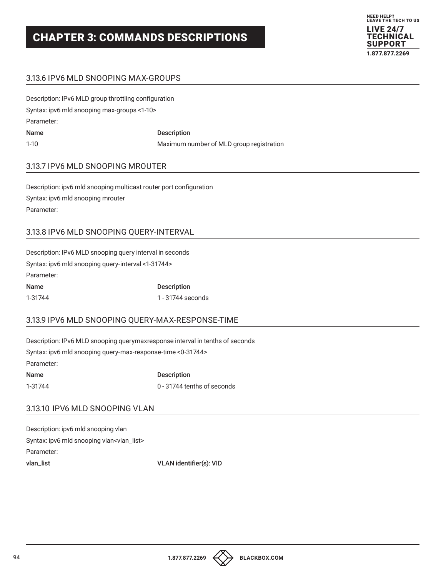

## 3.13.6 IPV6 MLD SNOOPING MAX-GROUPS

| Description: IPv6 MLD group throttling configuration |                                          |
|------------------------------------------------------|------------------------------------------|
| Syntax: ipv6 mld snooping max-groups <1-10>          |                                          |
| Parameter:                                           |                                          |
| <b>Name</b>                                          | <b>Description</b>                       |
| $1 - 10$                                             | Maximum number of MLD group registration |

#### 3.13.7 IPV6 MLD SNOOPING MROUTER

Description: ipv6 mld snooping multicast router port configuration Syntax: ipv6 mld snooping mrouter Parameter:

## 3.13.8 IPV6 MLD SNOOPING QUERY-INTERVAL

| Description: IPv6 MLD snooping query interval in seconds |                    |
|----------------------------------------------------------|--------------------|
| Syntax: ipv6 mld snooping query-interval <1-31744>       |                    |
| Parameter:                                               |                    |
| Name                                                     | <b>Description</b> |
| 1-31744                                                  | 1 - 31744 seconds  |

## 3.13.9 IPV6 MLD SNOOPING QUERY-MAX-RESPONSE-TIME

Description: IPv6 MLD snooping querymaxresponse interval in tenths of seconds Syntax: ipv6 mld snooping query-max-response-time <0-31744> Parameter: Name Description 1-31744 0 - 31744 tenths of seconds

## 3.13.10 IPV6 MLD SNOOPING VLAN

Description: ipv6 mld snooping vlan Syntax: ipv6 mld snooping vlan<vlan\_list> Parameter: vlan\_list VLAN identifier(s): VID

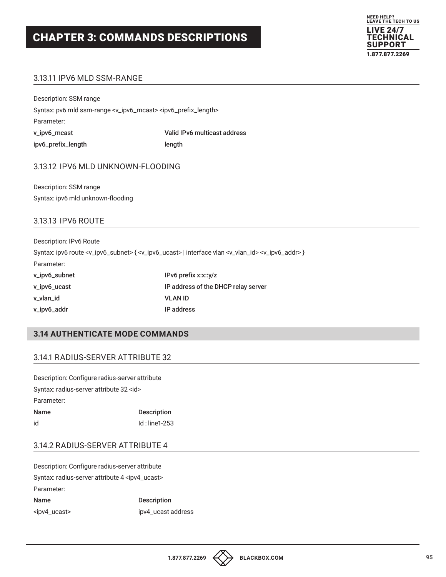

## 3.13.11 IPV6 MLD SSM-RANGE

Description: SSM range Syntax: pv6 mld ssm-range <v\_ipv6\_mcast> <ipv6\_prefix\_length> Parameter: v\_ipv6\_mcast Valid IPv6 multicast address ipv6\_prefix\_length length

#### 3.13.12 IPV6 MLD UNKNOWN-FLOODING

Description: SSM range Syntax: ipv6 mld unknown-flooding

### 3.13.13 IPV6 ROUTE

Description: IPv6 Route Syntax: ipv6 route <v\_ipv6\_subnet> { <v\_ipv6\_ucast> | interface vlan <v\_vlan\_id> <v\_ipv6\_addr> } Parameter: v\_ipv6\_subnet IPv6 prefix x:x::y/z v\_ipv6\_ucast IP address of the DHCP relay server v\_vlan\_id VLAN ID v\_ipv6\_addr IP address

### **3.14 AUTHENTICATE MODE COMMANDS**

#### 3.14.1 RADIUS-SERVER ATTRIBUTE 32

| Description: Configure radius-server attribute |                    |
|------------------------------------------------|--------------------|
| Syntax: radius-server attribute 32 <id></id>   |                    |
| Parameter:                                     |                    |
| Name                                           | <b>Description</b> |
| id                                             | $Id:$ line1-253    |

## 3.14.2 RADIUS-SERVER ATTRIBUTE 4

Description: Configure radius-server attribute Syntax: radius-server attribute 4 <ipv4\_ucast> Parameter: Name Description

<ipv4\_ucast> ipv4\_ucast address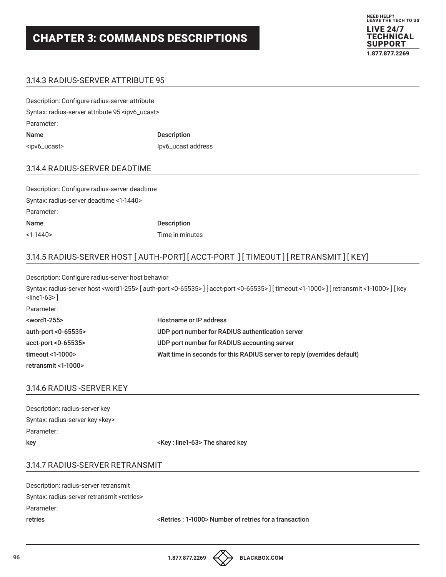

## 3.14.3 RADIUS-SERVER ATTRIBUTE 95

| Description: Configure radius-server attribute               |                    |
|--------------------------------------------------------------|--------------------|
| Syntax: radius-server attribute 95 <ipv6_ucast></ipv6_ucast> |                    |
| Parameter:                                                   |                    |
| Name                                                         | <b>Description</b> |
| <ipv6_ucast></ipv6_ucast>                                    | lpv6_ucast address |

### 3.14.4 RADIUS-SERVER DEADTIME

| Description: Configure radius-server deadtime |                    |
|-----------------------------------------------|--------------------|
| Syntax: radius-server deadtime <1-1440>       |                    |
| Parameter:                                    |                    |
| Name                                          | <b>Description</b> |
| $<1-1440>$                                    | Time in minutes    |

## 3.14.5 RADIUS-SERVER HOST [ AUTH-PORT] [ ACCT-PORT ] [ TIMEOUT ] [ RETRANSMIT ] [ KEY]

Description: Configure radius-server host behavior

Syntax: radius-server host <word1-255> [ auth-port <0-65535> ] [ acct-port <0-65535> ] [ timeout <1-1000> ] [ retransmit <1-1000> ] [ key <line1-63> ]

| Parameter:              |                                                                          |
|-------------------------|--------------------------------------------------------------------------|
| <word1-255></word1-255> | Hostname or IP address                                                   |
| auth-port $< 0.65535$   | UDP port number for RADIUS authentication server                         |
| acct-port <0-65535>     | UDP port number for RADIUS accounting server                             |
| timeout <1-1000>        | Wait time in seconds for this RADIUS server to reply (overrides default) |
| retransmit <1-1000>     |                                                                          |

#### 3.14.6 RADIUS -SERVER KEY

| Description: radius-server key   |                                          |
|----------------------------------|------------------------------------------|
| Syntax: radius-server key < key> |                                          |
| Parameter:                       |                                          |
| key                              | <key: line1-63=""> The shared key</key:> |

## 3.14.7 RADIUS-SERVER RETRANSMIT

| retries                                              | <retries: 1-1000=""> Number of retries for a transaction</retries:> |
|------------------------------------------------------|---------------------------------------------------------------------|
| Parameter:                                           |                                                                     |
| Syntax: radius-server retransmit <retries></retries> |                                                                     |
| Description: radius-server retransmit                |                                                                     |

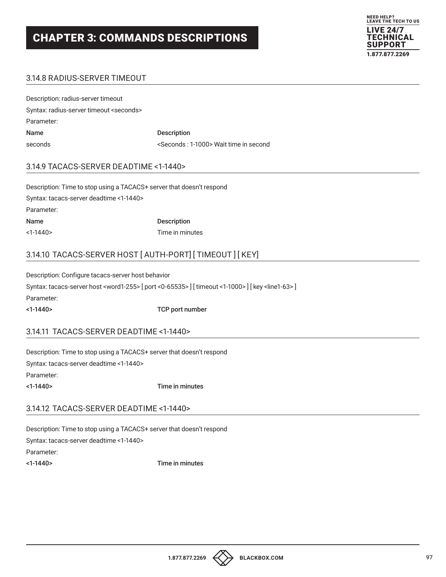

## 3.14.8 RADIUS-SERVER TIMEOUT

| Description: radius-server timeout                |                                                     |
|---------------------------------------------------|-----------------------------------------------------|
| Syntax: radius-server timeout <seconds></seconds> |                                                     |
| Parameter:                                        |                                                     |
| Name                                              | <b>Description</b>                                  |
| seconds                                           | <seconds: 1-1000=""> Wait time in second</seconds:> |

#### 3.14.9 TACACS-SERVER DEADTIME <1-1440>

Description: Time to stop using a TACACS+ server that doesn't respond Syntax: tacacs-server deadtime <1-1440> Parameter: Name Description <1-1440> Time in minutes

## 3.14.10 TACACS-SERVER HOST [ AUTH-PORT] [ TIMEOUT ] [ KEY]

Description: Configure tacacs-server host behavior Syntax: tacacs-server host <word1-255> [port <0-65535>] [timeout <1-1000>] [key <line1-63>] Parameter: <1-1440> TCP port number

#### 3.14.11 TACACS-SERVER DEADTIME <1-1440>

Description: Time to stop using a TACACS+ server that doesn't respond

Syntax: tacacs-server deadtime <1-1440>

Parameter:

<1-1440> Time in minutes

## 3.14.12 TACACS-SERVER DEADTIME <1-1440>

Description: Time to stop using a TACACS+ server that doesn't respond Syntax: tacacs-server deadtime <1-1440> Parameter: <1-1440> Time in minutes

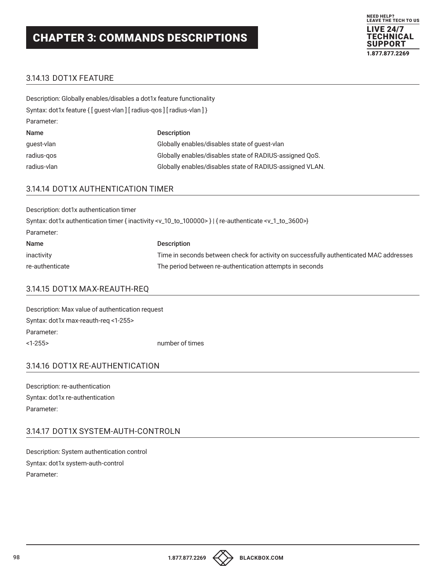

## 3.14.13 DOT1X FEATURE

| Description: Globally enables/disables a dot1x feature functionality    |                                                          |  |
|-------------------------------------------------------------------------|----------------------------------------------------------|--|
| Syntax: dot1x feature { [ guest-vlan ] [ radius-qos ] [ radius-vlan ] } |                                                          |  |
| Parameter:                                                              |                                                          |  |
| <b>Name</b>                                                             | <b>Description</b>                                       |  |
| quest-vlan                                                              | Globally enables/disables state of quest-vlan            |  |
| radius-gos                                                              | Globally enables/disables state of RADIUS-assigned QoS.  |  |
| radius-vlan                                                             | Globally enables/disables state of RADIUS-assigned VLAN. |  |

## 3.14.14 DOT1X AUTHENTICATION TIMER

| Description: dot1x authentication timer                                                                                             |                                                                                        |  |
|-------------------------------------------------------------------------------------------------------------------------------------|----------------------------------------------------------------------------------------|--|
| Syntax: dot1x authentication timer { inactivity <v_10_to_100000>}   { re-authenticate <v_1_to_3600>}</v_1_to_3600></v_10_to_100000> |                                                                                        |  |
| Parameter:                                                                                                                          |                                                                                        |  |
| Name                                                                                                                                | <b>Description</b>                                                                     |  |
| inactivity                                                                                                                          | Time in seconds between check for activity on successfully authenticated MAC addresses |  |
| re-authenticate                                                                                                                     | The period between re-authentication attempts in seconds                               |  |

## 3.14.15 DOT1X MAX-REAUTH-REQ

| Description: Max value of authentication request |                 |
|--------------------------------------------------|-----------------|
| Syntax: dot1x max-reauth-reg <1-255>             |                 |
| Parameter:                                       |                 |
| <1-255>                                          | number of times |

## 3.14.16 DOT1X RE-AUTHENTICATION

Description: re-authentication Syntax: dot1x re-authentication Parameter:

## 3.14.17 DOT1X SYSTEM-AUTH-CONTROLN

Description: System authentication control Syntax: dot1x system-auth-control Parameter:

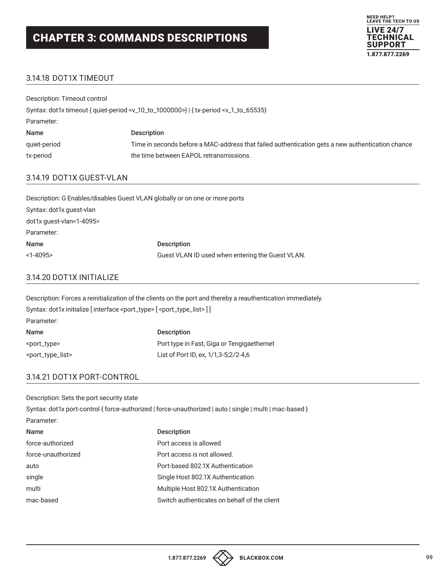

## 3.14.18 DOT1X TIMEOUT

Description: Timeout control Syntax: dot1x timeout { quiet-period <v\_10\_to\_1000000>} | { tx-period <v\_1\_to\_65535} Parameter: Name Description quiet-period Time in seconds before a MAC-address that failed authentication gets a new authentication chance tx-period tx-period the time between EAPOL retransmissions.

## 3.14.19 DOT1X GUEST-VLAN

| Description: G Enables/disables Guest VLAN globally or on one or more ports |                                                  |
|-----------------------------------------------------------------------------|--------------------------------------------------|
| Syntax: dot1x guest-vlan                                                    |                                                  |
| dot1x quest-vlan<1-4095>                                                    |                                                  |
| Parameter:                                                                  |                                                  |
| Name                                                                        | <b>Description</b>                               |
| $<1-4095$                                                                   | Guest VLAN ID used when entering the Guest VLAN. |

## 3.14.20 DOT1X INITIALIZE

Description: Forces a reinitialization of the clients on the port and thereby a reauthentication immediately. Syntax: dot1x initialize [interface <port\_type> [<port\_type\_list>] ] Parameter: Name Description <port\_type> Port type in Fast, Giga or Tengigaethernet <port\_type\_list> List of Port ID, ex, 1/1,3-5;2/2-4,6

## 3.14.21 DOT1X PORT-CONTROL

| Description: Sets the port security state |                                                                                                          |
|-------------------------------------------|----------------------------------------------------------------------------------------------------------|
|                                           | Syntax: dot1x port-control { force-authorized   force-unauthorized   auto   single   multi   mac-based } |
| Parameter:                                |                                                                                                          |
| <b>Name</b>                               | <b>Description</b>                                                                                       |
| force-authorized                          | Port access is allowed                                                                                   |
| force-unauthorized                        | Port access is not allowed.                                                                              |
| auto                                      | Port-based 802.1X Authentication                                                                         |
| single                                    | Single Host 802.1X Authentication                                                                        |
| multi                                     | Multiple Host 802.1X Authentication                                                                      |
| mac-based                                 | Switch authenticates on behalf of the client                                                             |
|                                           |                                                                                                          |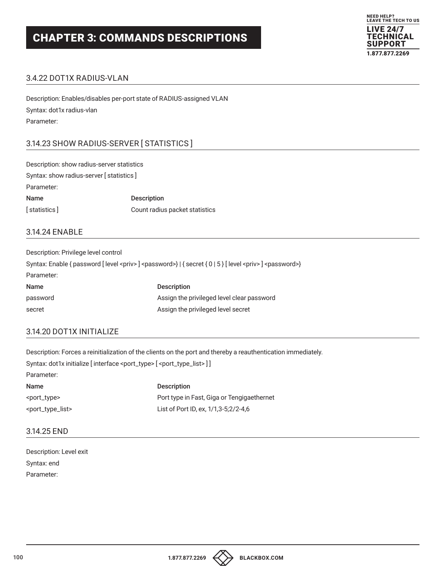

## 3.4.22 DOT1X RADIUS-VLAN

Description: Enables/disables per-port state of RADIUS-assigned VLAN Syntax: dot1x radius-vlan Parameter:

## 3.14.23 SHOW RADIUS-SERVER [ STATISTICS ]

Description: show radius-server statistics Syntax: show radius-server [ statistics ] Parameter: Name Description [ statistics ] Count radius packet statistics

#### 3.14.24 ENABLE

Description: Privilege level control Syntax: Enable { password [ level <priv> ] <password>} | { secret { 0 | 5 } [ level <priv> ] <password>} Parameter: Name Description password **Assign the privileged level clear password** secret and assign the privileged level secret

## 3.14.20 DOT1X INITIALIZE

Description: Forces a reinitialization of the clients on the port and thereby a reauthentication immediately. Syntax: dot1x initialize [interface <port\_type> [<port\_type\_list>]] Parameter: Name Description <port\_type> Port type in Fast, Giga or Tengigaethernet <port\_type\_list> List of Port ID, ex, 1/1,3-5;2/2-4,6

#### 3.14.25 END

| Description: Level exit |
|-------------------------|
| Svntax: end             |
| Parameter:              |

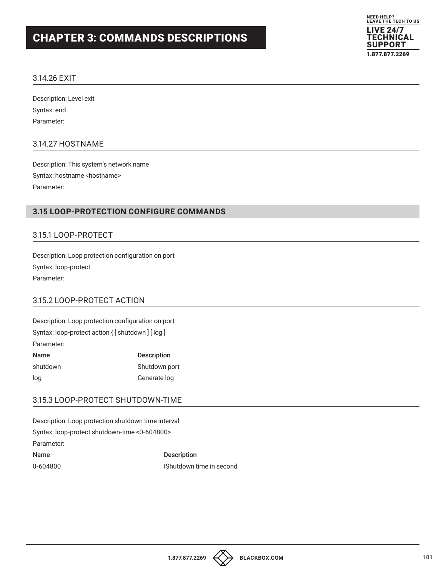

### 3.14.26 EXIT

Description: Level exit Syntax: end Parameter:

#### 3.14.27 HOSTNAME

Description: This system's network name Syntax: hostname <hostname> Parameter:

## **3.15 LOOP-PROTECTION CONFIGURE COMMANDS**

## 3.15.1 LOOP-PROTECT

Description: Loop protection configuration on port Syntax: loop-protect Parameter:

## 3.15.2 LOOP-PROTECT ACTION

Description: Loop protection configuration on port Syntax: loop-protect action { [ shutdown ] [ log ] Parameter: Name Description shutdown Shutdown **Shutdown** 

## 3.15.3 LOOP-PROTECT SHUTDOWN-TIME

log Generate log

Description: Loop protection shutdown time interval Syntax: loop-protect shutdown-time <0-604800> Parameter: Name Description 0-604800 IShutdown time in second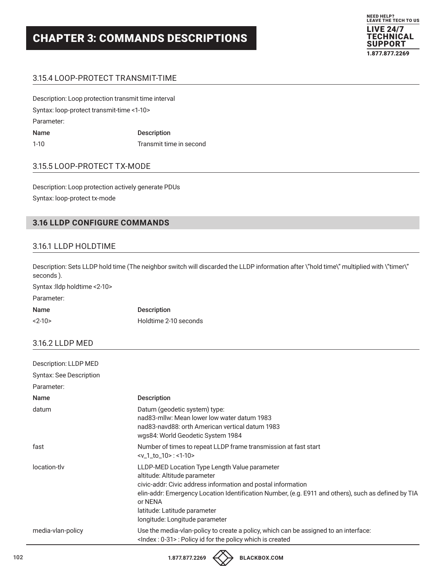

## 3.15.4 LOOP-PROTECT TRANSMIT-TIME

Description: Loop protection transmit time interval Syntax: loop-protect transmit-time <1-10> Parameter: Name Description 1-10 Transmit time in second

## 3.15.5 LOOP-PROTECT TX-MODE

Description: Loop protection actively generate PDUs Syntax: loop-protect tx-mode

## **3.16 LLDP CONFIGURE COMMANDS**

#### 3.16.1 LLDP HOLDTIME

Description: Sets LLDP hold time (The neighbor switch will discarded the LLDP information after \"hold time\" multiplied with \"timer\" seconds ).

Syntax :lldp holdtime <2-10>

## Parameter:

| Name     | <b>Description</b>    |
|----------|-----------------------|
| $2 - 10$ | Holdtime 2-10 seconds |

#### 3.16.2 LLDP MED

| Description: LLDP MED          |                                                                                                                                                                                                                                                                                                                                   |
|--------------------------------|-----------------------------------------------------------------------------------------------------------------------------------------------------------------------------------------------------------------------------------------------------------------------------------------------------------------------------------|
| <b>Syntax: See Description</b> |                                                                                                                                                                                                                                                                                                                                   |
| Parameter:                     |                                                                                                                                                                                                                                                                                                                                   |
| <b>Name</b>                    | <b>Description</b>                                                                                                                                                                                                                                                                                                                |
| datum                          | Datum (geodetic system) type:<br>nad83-mllw: Mean lower low water datum 1983<br>nad83-navd88: orth American vertical datum 1983<br>wgs84: World Geodetic System 1984                                                                                                                                                              |
| fast                           | Number of times to repeat LLDP frame transmission at fast start<br>$\leq v$ 1 to 10>: $\leq$ 1-10>                                                                                                                                                                                                                                |
| location-tly                   | LLDP-MED Location Type Length Value parameter<br>altitude: Altitude parameter<br>civic-addr: Civic address information and postal information<br>elin-addr: Emergency Location Identification Number, (e.g. E911 and others), such as defined by TIA<br>or NENA<br>latitude: Latitude parameter<br>longitude: Longitude parameter |
| media-vlan-policy              | Use the media-vlan-policy to create a policy, which can be assigned to an interface:<br><lndex: 0-31="">: Policy id for the policy which is created</lndex:>                                                                                                                                                                      |

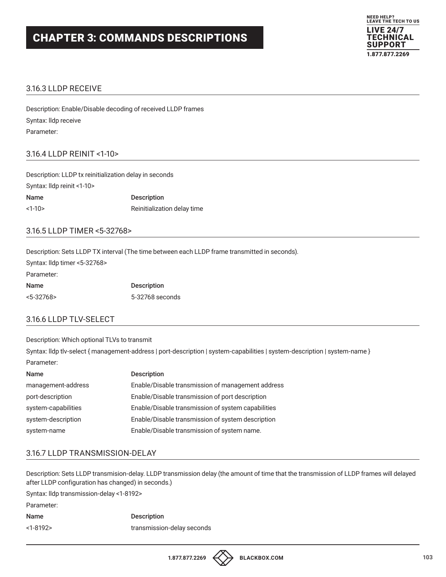

#### 3.16.3 LLDP RECEIVE

Description: Enable/Disable decoding of received LLDP frames Syntax: lldp receive Parameter:

#### 3.16.4 LLDP REINIT <1-10>

Description: LLDP tx reinitialization delay in seconds Syntax: lldp reinit <1-10> Name Description <1-10> Reinitialization delay time

#### 3.16.5 LLDP TIMER <5-32768>

Description: Sets LLDP TX interval (The time between each LLDP frame transmitted in seconds).

| Syntax: Ildp timer <5-32768> |                    |
|------------------------------|--------------------|
| Parameter:                   |                    |
| <b>Name</b>                  | <b>Description</b> |
| $< 5 - 32768$                | 5-32768 seconds    |

#### 3.16.6 LLDP TLV-SELECT

Description: Which optional TLVs to transmit

Syntax: lldp tlv-select { management-address | port-description | system-capabilities | system-description | system-name } Parameter:

| Name                | <b>Description</b>                                 |
|---------------------|----------------------------------------------------|
| management-address  | Enable/Disable transmission of management address  |
| port-description    | Enable/Disable transmission of port description    |
| system-capabilities | Enable/Disable transmission of system capabilities |
| system-description  | Enable/Disable transmission of system description  |
| system-name         | Enable/Disable transmission of system name.        |

### 3.16.7 LLDP TRANSMISSION-DELAY

Description: Sets LLDP transmision-delay. LLDP transmission delay (the amount of time that the transmission of LLDP frames will delayed after LLDP configuration has changed) in seconds.)

Syntax: lldp transmission-delay <1-8192>

Parameter: Name Description <1-8192> transmission-delay seconds

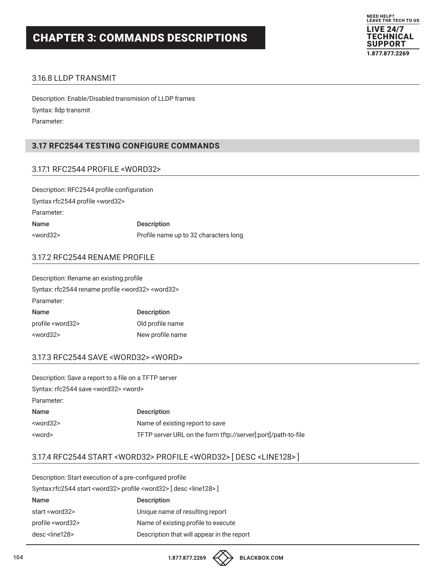

## 3.16.8 LLDP TRANSMIT

Description: Enable/Disabled transmision of LLDP frames Syntax: lldp transmit Parameter:

## **3.17 RFC2544 TESTING CONFIGURE COMMANDS**

#### 3.17.1 RFC2544 PROFILE <WORD32>

Description: RFC2544 profile configuration Syntax rfc2544 profile <word32> Parameter: Name Description <word32> Profile name up to 32 characters long

#### 3.17.2 RFC2544 RENAME PROFILE

Description: Rename an existing profile Syntax: rfc2544 rename profile <word32> <word32> Parameter: Name Description profile <word32> Old profile name <word32> New profile name

#### 3.17.3 RFC2544 SAVE <WORD32> <WORD>

| Description: Save a report to a file on a TFTP server |                                                               |
|-------------------------------------------------------|---------------------------------------------------------------|
| Syntax: rfc2544 save <word32> <word></word></word32>  |                                                               |
| Parameter:                                            |                                                               |
| Name                                                  | <b>Description</b>                                            |
| <word32></word32>                                     | Name of existing report to save                               |
| <word></word>                                         | TFTP server URL on the form tftp://server[:port]/path-to-file |

## 3.17.4 RFC2544 START <WORD32> PROFILE <WORD32> [ DESC <LINE128> ]

Description: Start execution of a pre-configured profile Syntax:rfc2544 start <word32> profile <word32> [ desc <line128> ] Name Description start <word32> Unique name of resulting report profile <word32> Name of existing profile to execute desc <line128> Description that will appear in the report



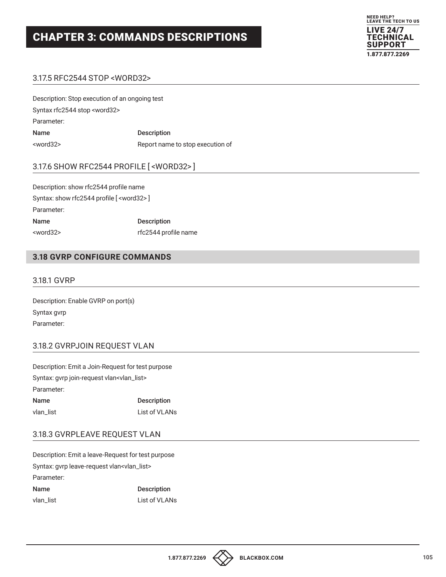

## 3.17.5 RFC2544 STOP <WORD32>

| Description: Stop execution of an ongoing test |                                  |
|------------------------------------------------|----------------------------------|
| Syntax rfc2544 stop <word32></word32>          |                                  |
| Parameter:                                     |                                  |
| Name                                           | <b>Description</b>               |
| <word32></word32>                              | Report name to stop execution of |

#### 3.17.6 SHOW RFC2544 PROFILE [ <WORD32> ]

| Description: show rfc2544 profile name            |                      |  |
|---------------------------------------------------|----------------------|--|
| Syntax: show rfc2544 profile [ <word32>]</word32> |                      |  |
| Parameter:                                        |                      |  |
| <b>Name</b>                                       | <b>Description</b>   |  |
| $<$ word $32>$                                    | rfc2544 profile name |  |

### **3.18 GVRP CONFIGURE COMMANDS**

#### 3.18.1 GVRP

Description: Enable GVRP on port(s) Syntax gvrp Parameter:

#### 3.18.2 GVRPJOIN REQUEST VLAN

Description: Emit a Join-Request for test purpose Syntax: gvrp join-request vlan<vlan\_list> Parameter: Name Description

| ,,,,,,    | <b>DCOOLIDGOIL</b> |
|-----------|--------------------|
| vlan list | List of VLANs      |

### 3.18.3 GVRPLEAVE REQUEST VLAN

Description: Emit a leave-Request for test purpose Syntax: gvrp leave-request vlan<vlan\_list> Parameter: Name Description

vlan\_list List of VLANs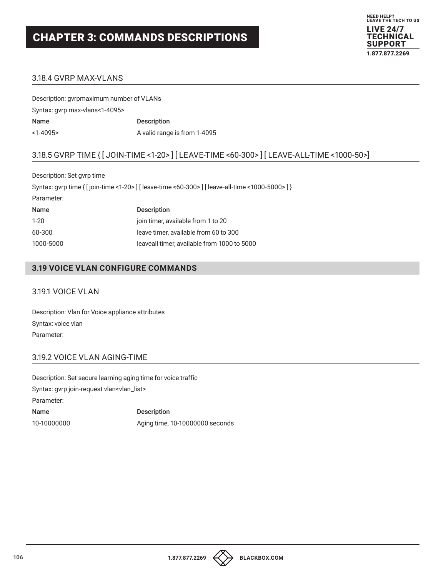

## 3.18.4 GVRP MAX-VLANS

| Description: gyrpmaximum number of VLANs |                              |
|------------------------------------------|------------------------------|
| Syntax: gyrp max-vlans<1-4095>           |                              |
| Name                                     | <b>Description</b>           |
| $<1-4095$                                | A valid range is from 1-4095 |

## 3.18.5 GVRP TIME { [ JOIN-TIME <1-20> ] [ LEAVE-TIME <60-300> ] [ LEAVE-ALL-TIME <1000-50>]

Description: Set gvrp time Syntax: gvrp time { [ join-time <1-20> ] [ leave-time <60-300> ] [ leave-all-time <1000-5000> ] } Parameter:

| Name      | <b>Description</b>                          |
|-----------|---------------------------------------------|
| $1-20$    | join timer, available from 1 to 20          |
| 60-300    | leave timer, available from 60 to 300       |
| 1000-5000 | leaveall timer, available from 1000 to 5000 |

## **3.19 VOICE VLAN CONFIGURE COMMANDS**

#### 3.19.1 VOICE VLAN

Description: Vlan for Voice appliance attributes Syntax: voice vlan Parameter:

## 3.19.2 VOICE VLAN AGING-TIME

Description: Set secure learning aging time for voice traffic Syntax: gvrp join-request vlan<vlan\_list> Parameter: Name Description 10-10000000 Aging time, 10-10000000 seconds

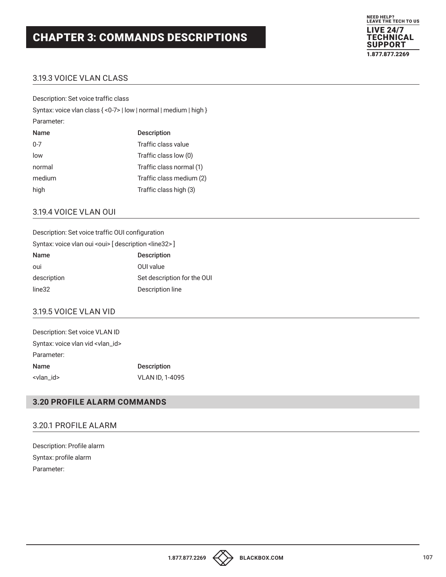

## 3.19.3 VOICE VLAN CLASS

Description: Set voice traffic class Syntax: voice vlan class { <0-7> | low | normal | medium | high } Parameter: Name Description 0-7 Traffic class value low Traffic class low (0) normal Traffic class normal (1) medium Traffic class medium (2) high Traffic class high (3)

#### 3.19.4 VOICE VLAN OUI

| Description: Set voice traffic OUI configuration                   |
|--------------------------------------------------------------------|
| Syntax: voice vlan oui <oui> [description <line32>]</line32></oui> |
| <b>Description</b>                                                 |
| OUI value                                                          |
| Set description for the OUI                                        |
| Description line                                                   |
|                                                                    |

## 3.19.5 VOICE VLAN VID

| Description: Set voice VLAN ID             |                        |
|--------------------------------------------|------------------------|
| Syntax: voice vlan vid <vlan_id></vlan_id> |                        |
| Parameter:                                 |                        |
| Name                                       | <b>Description</b>     |
| <vlan_id></vlan_id>                        | <b>VLAN ID, 1-4095</b> |

## **3.20 PROFILE ALARM COMMANDS**

### 3.20.1 PROFILE ALARM

Description: Profile alarm Syntax: profile alarm Parameter: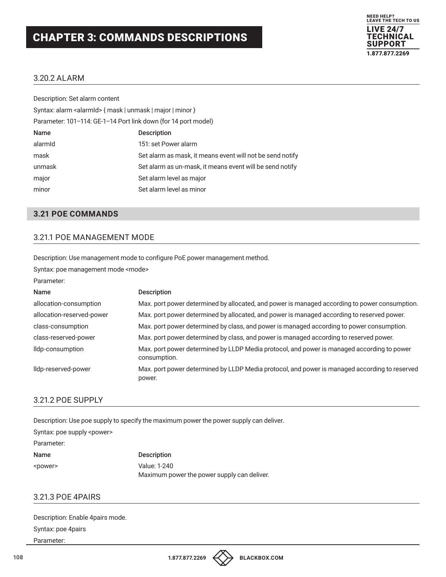

#### 3.20.2 ALARM

| Description: Set alarm content                                      |                                                           |
|---------------------------------------------------------------------|-----------------------------------------------------------|
| Syntax: alarm <alarmid> { mask   unmask   major   minor }</alarmid> |                                                           |
| Parameter: 101-114: GE-1-14 Port link down (for 14 port model)      |                                                           |
| Name                                                                | <b>Description</b>                                        |
| alarmid                                                             | 151: set Power alarm                                      |
| mask                                                                | Set alarm as mask, it means event will not be send notify |
| unmask                                                              | Set alarm as un-mask, it means event will be send notify  |
| major                                                               | Set alarm level as major                                  |
| minor                                                               | Set alarm level as minor                                  |

#### **3.21 POE COMMANDS**

## 3.21.1 POE MANAGEMENT MODE

Description: Use management mode to configure PoE power management method.

Syntax: poe management mode <mode>

Parameter:

| Name                      | <b>Description</b>                                                                                         |
|---------------------------|------------------------------------------------------------------------------------------------------------|
| allocation-consumption    | Max. port power determined by allocated, and power is managed according to power consumption.              |
| allocation-reserved-power | Max. port power determined by allocated, and power is managed according to reserved power.                 |
| class-consumption         | Max. port power determined by class, and power is managed according to power consumption.                  |
| class-reserved-power      | Max. port power determined by class, and power is managed according to reserved power.                     |
| Ildp-consumption          | Max. port power determined by LLDP Media protocol, and power is managed according to power<br>consumption. |
| lldp-reserved-power       | Max. port power determined by LLDP Media protocol, and power is managed according to reserved<br>power.    |

#### 3.21.2 POE SUPPLY

Description: Use poe supply to specify the maximum power the power supply can deliver.

Syntax: poe supply <power>

Parameter:

Name Description <power> Value: 1-240 Maximum power the power supply can deliver.

## 3.21.3 POE 4PAIRS

| Description: Enable 4pairs mode. |
|----------------------------------|
| Syntax: poe 4pairs               |
| Parameter:                       |

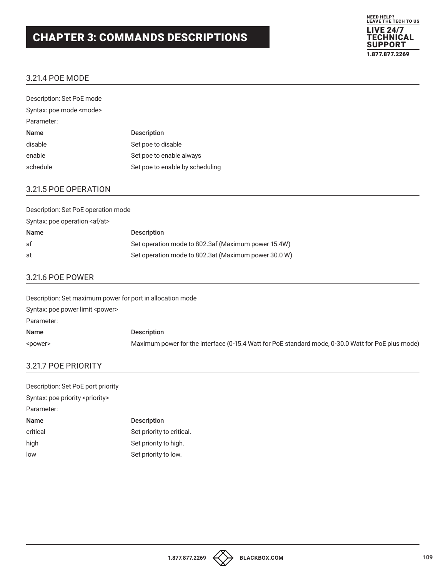# CHAPTER 3: COMMANDS DESCRIPTIONS



## 3.21.4 POE MODE

| Description: Set PoE mode      |                                 |
|--------------------------------|---------------------------------|
| Syntax: poe mode <mode></mode> |                                 |
| Parameter:                     |                                 |
| <b>Name</b>                    | <b>Description</b>              |
| disable                        | Set poe to disable              |
| enable                         | Set poe to enable always        |
| schedule                       | Set poe to enable by scheduling |

#### 3.21.5 POE OPERATION

| Description: Set PoE operation mode   |                                                      |  |
|---------------------------------------|------------------------------------------------------|--|
| Syntax: poe operation <af at=""></af> |                                                      |  |
| <b>Name</b>                           | <b>Description</b>                                   |  |
| af                                    | Set operation mode to 802.3af (Maximum power 15.4W)  |  |
| at                                    | Set operation mode to 802.3at (Maximum power 30.0 W) |  |

### 3.21.6 POE POWER

| Description: Set maximum power for port in allocation mode |                                                                                                    |
|------------------------------------------------------------|----------------------------------------------------------------------------------------------------|
| Syntax: poe power limit <power></power>                    |                                                                                                    |
| Parameter:                                                 |                                                                                                    |
| <b>Name</b>                                                | <b>Description</b>                                                                                 |
| <power></power>                                            | Maximum power for the interface (0-15.4 Watt for PoE standard mode, 0-30.0 Watt for PoE plus mode) |

## 3.21.7 POE PRIORITY

| Description: Set PoE port priority         |                           |  |
|--------------------------------------------|---------------------------|--|
| Syntax: poe priority <priority></priority> |                           |  |
| Parameter:                                 |                           |  |
| Name                                       | <b>Description</b>        |  |
| critical                                   | Set priority to critical. |  |
| high                                       | Set priority to high.     |  |
| low                                        | Set priority to low.      |  |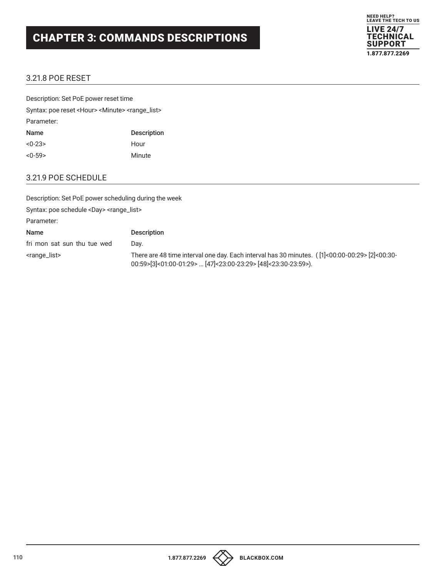# CHAPTER 3: COMMANDS DESCRIPTIONS



# 3.21.8 POE RESET

| Description: Set PoE power reset time                                       |                    |  |
|-----------------------------------------------------------------------------|--------------------|--|
| Syntax: poe reset <hour> <minute> <range_list></range_list></minute></hour> |                    |  |
| Parameter:                                                                  |                    |  |
| Name                                                                        | <b>Description</b> |  |
| $<0-23>$                                                                    | Hour               |  |
| $<0-59>$                                                                    | Minute             |  |

### 3.21.9 POE SCHEDULE

| Description: Set PoE power scheduling during the week      |                                                                                                                                                                        |
|------------------------------------------------------------|------------------------------------------------------------------------------------------------------------------------------------------------------------------------|
| Syntax: poe schedule <day> <range_list></range_list></day> |                                                                                                                                                                        |
| Parameter:                                                 |                                                                                                                                                                        |
| Name                                                       | <b>Description</b>                                                                                                                                                     |
| fri mon sat sun thu tue wed                                | Dav.                                                                                                                                                                   |
| <range_list></range_list>                                  | There are 48 time interval one day. Each interval has 30 minutes. ( $[1]$ <00:00-00:29> $[2]$ <00:30-<br>00:59>[3]<01:00-01:29>  [47]<23:00-23:29> [48]<23:30-23:59>). |



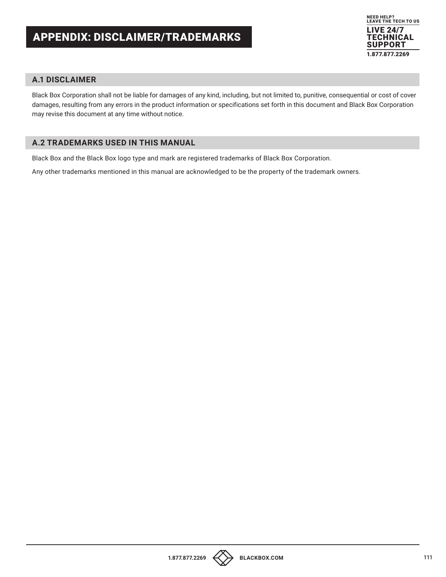

### **A.1 DISCLAIMER**

Black Box Corporation shall not be liable for damages of any kind, including, but not limited to, punitive, consequential or cost of cover damages, resulting from any errors in the product information or specifications set forth in this document and Black Box Corporation may revise this document at any time without notice.

# **A.2 TRADEMARKS USED IN THIS MANUAL**

Black Box and the Black Box logo type and mark are registered trademarks of Black Box Corporation.

Any other trademarks mentioned in this manual are acknowledged to be the property of the trademark owners.